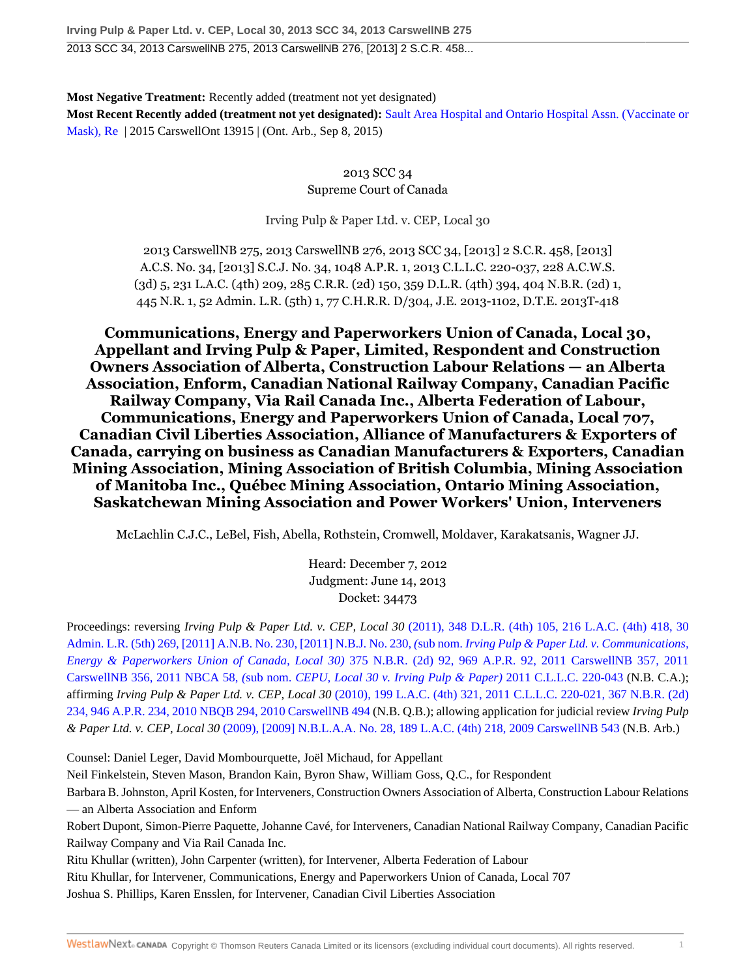**Most Negative Treatment:** Recently added (treatment not yet designated)

**Most Recent Recently added (treatment not yet designated):** [Sault Area Hospital and Ontario Hospital Assn. \(Vaccinate or](http://nextcanada.westlaw.com/Link/Document/FullText?findType=Y&pubNum=5476&serNum=2037176313&originationContext=document&transitionType=Document&vr=3.0&rs=cblt1.0&contextData=(sc.History*oc.Default)) [Mask\), Re](http://nextcanada.westlaw.com/Link/Document/FullText?findType=Y&pubNum=5476&serNum=2037176313&originationContext=document&transitionType=Document&vr=3.0&rs=cblt1.0&contextData=(sc.History*oc.Default)) | 2015 CarswellOnt 13915 | (Ont. Arb., Sep 8, 2015)

## 2013 SCC 34 Supreme Court of Canada

Irving Pulp & Paper Ltd. v. CEP, Local 30

2013 CarswellNB 275, 2013 CarswellNB 276, 2013 SCC 34, [2013] 2 S.C.R. 458, [2013] A.C.S. No. 34, [2013] S.C.J. No. 34, 1048 A.P.R. 1, 2013 C.L.L.C. 220-037, 228 A.C.W.S. (3d) 5, 231 L.A.C. (4th) 209, 285 C.R.R. (2d) 150, 359 D.L.R. (4th) 394, 404 N.B.R. (2d) 1, 445 N.R. 1, 52 Admin. L.R. (5th) 1, 77 C.H.R.R. D/304, J.E. 2013-1102, D.T.E. 2013T-418

**Communications, Energy and Paperworkers Union of Canada, Local 30, Appellant and Irving Pulp & Paper, Limited, Respondent and Construction Owners Association of Alberta, Construction Labour Relations — an Alberta Association, Enform, Canadian National Railway Company, Canadian Pacific Railway Company, Via Rail Canada Inc., Alberta Federation of Labour, Communications, Energy and Paperworkers Union of Canada, Local 707, Canadian Civil Liberties Association, Alliance of Manufacturers & Exporters of Canada, carrying on business as Canadian Manufacturers & Exporters, Canadian Mining Association, Mining Association of British Columbia, Mining Association of Manitoba Inc., Québec Mining Association, Ontario Mining Association, Saskatchewan Mining Association and Power Workers' Union, Interveners**

McLachlin C.J.C., LeBel, Fish, Abella, Rothstein, Cromwell, Moldaver, Karakatsanis, Wagner JJ.

Heard: December 7, 2012 Judgment: June 14, 2013 Docket: 34473

Proceedings: reversing *Irving Pulp & Paper Ltd. v. CEP, Local 30* [\(2011\), 348 D.L.R. \(4th\) 105, 216 L.A.C. \(4th\) 418, 30](http://nextcanada.westlaw.com/Link/Document/FullText?findType=Y&pubNum=6407&serNum=2025645951&originationContext=document&transitionType=Document&vr=3.0&rs=cblt1.0&contextData=(sc.History*oc.Default)) [Admin. L.R. \(5th\) 269, \[2011\] A.N.B. No. 230, \[2011\] N.B.J. No. 230,](http://nextcanada.westlaw.com/Link/Document/FullText?findType=Y&pubNum=6407&serNum=2025645951&originationContext=document&transitionType=Document&vr=3.0&rs=cblt1.0&contextData=(sc.History*oc.Default)) *(*sub nom. *Irving Pulp & Paper Ltd. v. Communications, Energy & Paperworkers Union of Canada, Local 30)* [375 N.B.R. \(2d\) 92, 969 A.P.R. 92, 2011 CarswellNB 357, 2011](http://nextcanada.westlaw.com/Link/Document/FullText?findType=Y&pubNum=6407&serNum=2025645951&originationContext=document&transitionType=Document&vr=3.0&rs=cblt1.0&contextData=(sc.History*oc.Default)) CarswellNB 356, 2011 NBCA 58, *(*sub nom. *[CEPU, Local 30 v. Irving Pulp & Paper\)](http://nextcanada.westlaw.com/Link/Document/FullText?findType=Y&pubNum=6407&serNum=2025645951&originationContext=document&transitionType=Document&vr=3.0&rs=cblt1.0&contextData=(sc.History*oc.Default))* 2011 C.L.L.C. 220-043 (N.B. C.A.); affirming *Irving Pulp & Paper Ltd. v. CEP, Local 30* [\(2010\), 199 L.A.C. \(4th\) 321, 2011 C.L.L.C. 220-021, 367 N.B.R. \(2d\)](http://nextcanada.westlaw.com/Link/Document/FullText?findType=Y&pubNum=6407&serNum=2023458794&originationContext=document&transitionType=Document&vr=3.0&rs=cblt1.0&contextData=(sc.History*oc.Default)) [234, 946 A.P.R. 234, 2010 NBQB 294, 2010 CarswellNB 494](http://nextcanada.westlaw.com/Link/Document/FullText?findType=Y&pubNum=6407&serNum=2023458794&originationContext=document&transitionType=Document&vr=3.0&rs=cblt1.0&contextData=(sc.History*oc.Default)) (N.B. Q.B.); allowing application for judicial review *Irving Pulp & Paper Ltd. v. CEP, Local 30* [\(2009\), \[2009\] N.B.L.A.A. No. 28, 189 L.A.C. \(4th\) 218, 2009 CarswellNB 543](http://nextcanada.westlaw.com/Link/Document/FullText?findType=Y&pubNum=6407&serNum=2020632988&originationContext=document&transitionType=Document&vr=3.0&rs=cblt1.0&contextData=(sc.History*oc.Default)) (N.B. Arb.)

Counsel: Daniel Leger, David Mombourquette, Joël Michaud, for Appellant

Neil Finkelstein, Steven Mason, Brandon Kain, Byron Shaw, William Goss, Q.C., for Respondent

Barbara B. Johnston, April Kosten, for Interveners, Construction Owners Association of Alberta, Construction Labour Relations — an Alberta Association and Enform

Robert Dupont, Simon-Pierre Paquette, Johanne Cavé, for Interveners, Canadian National Railway Company, Canadian Pacific Railway Company and Via Rail Canada Inc.

Ritu Khullar (written), John Carpenter (written), for Intervener, Alberta Federation of Labour

Ritu Khullar, for Intervener, Communications, Energy and Paperworkers Union of Canada, Local 707

Joshua S. Phillips, Karen Ensslen, for Intervener, Canadian Civil Liberties Association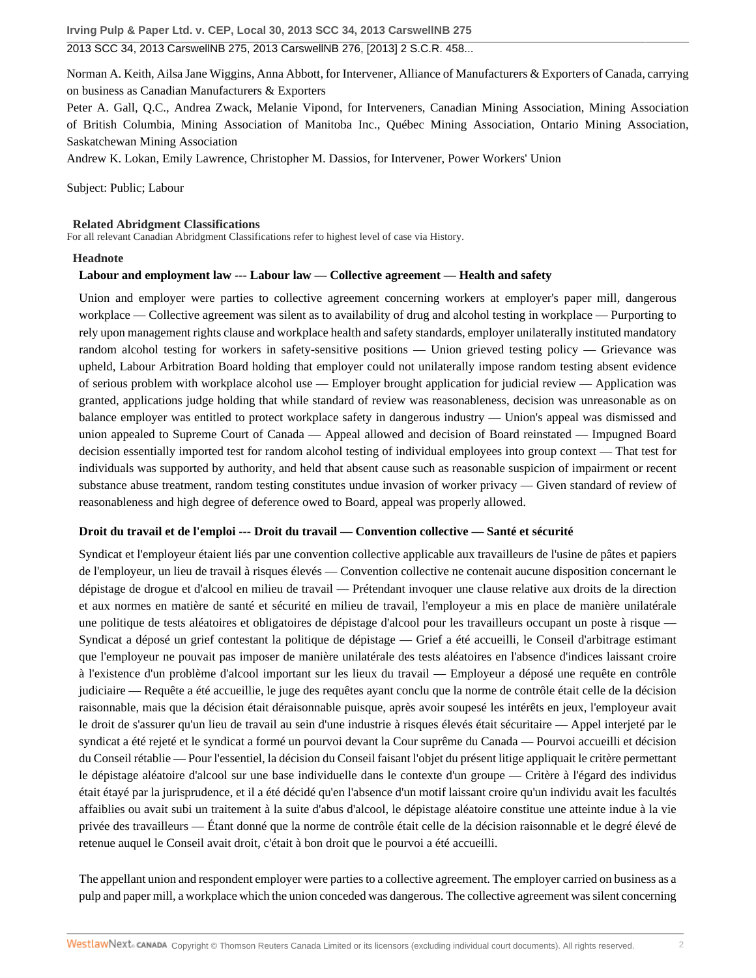Norman A. Keith, Ailsa Jane Wiggins, Anna Abbott, for Intervener, Alliance of Manufacturers & Exporters of Canada, carrying on business as Canadian Manufacturers & Exporters

Peter A. Gall, Q.C., Andrea Zwack, Melanie Vipond, for Interveners, Canadian Mining Association, Mining Association of British Columbia, Mining Association of Manitoba Inc., Québec Mining Association, Ontario Mining Association, Saskatchewan Mining Association

Andrew K. Lokan, Emily Lawrence, Christopher M. Dassios, for Intervener, Power Workers' Union

Subject: Public; Labour

#### **Related Abridgment Classifications**

For all relevant Canadian Abridgment Classifications refer to highest level of case via History.

#### **Headnote**

#### **Labour and employment law --- Labour law — Collective agreement — Health and safety**

Union and employer were parties to collective agreement concerning workers at employer's paper mill, dangerous workplace — Collective agreement was silent as to availability of drug and alcohol testing in workplace — Purporting to rely upon management rights clause and workplace health and safety standards, employer unilaterally instituted mandatory random alcohol testing for workers in safety-sensitive positions — Union grieved testing policy — Grievance was upheld, Labour Arbitration Board holding that employer could not unilaterally impose random testing absent evidence of serious problem with workplace alcohol use — Employer brought application for judicial review — Application was granted, applications judge holding that while standard of review was reasonableness, decision was unreasonable as on balance employer was entitled to protect workplace safety in dangerous industry — Union's appeal was dismissed and union appealed to Supreme Court of Canada — Appeal allowed and decision of Board reinstated — Impugned Board decision essentially imported test for random alcohol testing of individual employees into group context — That test for individuals was supported by authority, and held that absent cause such as reasonable suspicion of impairment or recent substance abuse treatment, random testing constitutes undue invasion of worker privacy — Given standard of review of reasonableness and high degree of deference owed to Board, appeal was properly allowed.

#### **Droit du travail et de l'emploi --- Droit du travail — Convention collective — Santé et sécurité**

Syndicat et l'employeur étaient liés par une convention collective applicable aux travailleurs de l'usine de pâtes et papiers de l'employeur, un lieu de travail à risques élevés — Convention collective ne contenait aucune disposition concernant le dépistage de drogue et d'alcool en milieu de travail — Prétendant invoquer une clause relative aux droits de la direction et aux normes en matière de santé et sécurité en milieu de travail, l'employeur a mis en place de manière unilatérale une politique de tests aléatoires et obligatoires de dépistage d'alcool pour les travailleurs occupant un poste à risque — Syndicat a déposé un grief contestant la politique de dépistage — Grief a été accueilli, le Conseil d'arbitrage estimant que l'employeur ne pouvait pas imposer de manière unilatérale des tests aléatoires en l'absence d'indices laissant croire à l'existence d'un problème d'alcool important sur les lieux du travail — Employeur a déposé une requête en contrôle judiciaire — Requête a été accueillie, le juge des requêtes ayant conclu que la norme de contrôle était celle de la décision raisonnable, mais que la décision était déraisonnable puisque, après avoir soupesé les intérêts en jeux, l'employeur avait le droit de s'assurer qu'un lieu de travail au sein d'une industrie à risques élevés était sécuritaire — Appel interjeté par le syndicat a été rejeté et le syndicat a formé un pourvoi devant la Cour suprême du Canada — Pourvoi accueilli et décision du Conseil rétablie — Pour l'essentiel, la décision du Conseil faisant l'objet du présent litige appliquait le critère permettant le dépistage aléatoire d'alcool sur une base individuelle dans le contexte d'un groupe — Critère à l'égard des individus était étayé par la jurisprudence, et il a été décidé qu'en l'absence d'un motif laissant croire qu'un individu avait les facultés affaiblies ou avait subi un traitement à la suite d'abus d'alcool, le dépistage aléatoire constitue une atteinte indue à la vie privée des travailleurs — Étant donné que la norme de contrôle était celle de la décision raisonnable et le degré élevé de retenue auquel le Conseil avait droit, c'était à bon droit que le pourvoi a été accueilli.

The appellant union and respondent employer were parties to a collective agreement. The employer carried on business as a pulp and paper mill, a workplace which the union conceded was dangerous. The collective agreement was silent concerning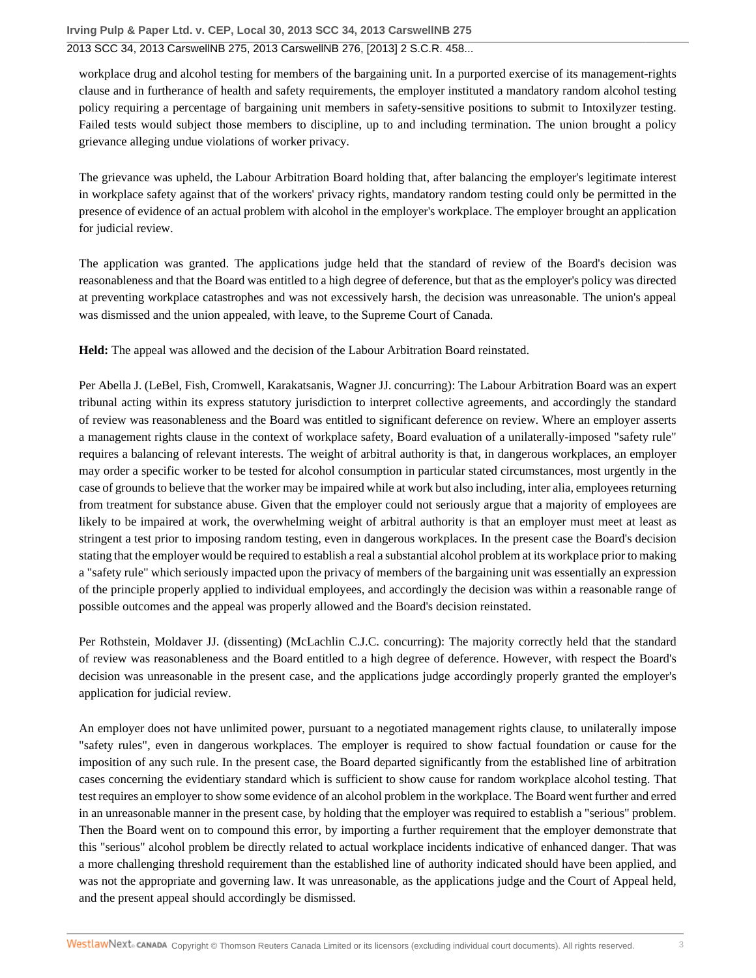workplace drug and alcohol testing for members of the bargaining unit. In a purported exercise of its management-rights clause and in furtherance of health and safety requirements, the employer instituted a mandatory random alcohol testing policy requiring a percentage of bargaining unit members in safety-sensitive positions to submit to Intoxilyzer testing. Failed tests would subject those members to discipline, up to and including termination. The union brought a policy grievance alleging undue violations of worker privacy.

The grievance was upheld, the Labour Arbitration Board holding that, after balancing the employer's legitimate interest in workplace safety against that of the workers' privacy rights, mandatory random testing could only be permitted in the presence of evidence of an actual problem with alcohol in the employer's workplace. The employer brought an application for judicial review.

The application was granted. The applications judge held that the standard of review of the Board's decision was reasonableness and that the Board was entitled to a high degree of deference, but that as the employer's policy was directed at preventing workplace catastrophes and was not excessively harsh, the decision was unreasonable. The union's appeal was dismissed and the union appealed, with leave, to the Supreme Court of Canada.

**Held:** The appeal was allowed and the decision of the Labour Arbitration Board reinstated.

Per Abella J. (LeBel, Fish, Cromwell, Karakatsanis, Wagner JJ. concurring): The Labour Arbitration Board was an expert tribunal acting within its express statutory jurisdiction to interpret collective agreements, and accordingly the standard of review was reasonableness and the Board was entitled to significant deference on review. Where an employer asserts a management rights clause in the context of workplace safety, Board evaluation of a unilaterally-imposed "safety rule" requires a balancing of relevant interests. The weight of arbitral authority is that, in dangerous workplaces, an employer may order a specific worker to be tested for alcohol consumption in particular stated circumstances, most urgently in the case of grounds to believe that the worker may be impaired while at work but also including, inter alia, employees returning from treatment for substance abuse. Given that the employer could not seriously argue that a majority of employees are likely to be impaired at work, the overwhelming weight of arbitral authority is that an employer must meet at least as stringent a test prior to imposing random testing, even in dangerous workplaces. In the present case the Board's decision stating that the employer would be required to establish a real a substantial alcohol problem at its workplace prior to making a "safety rule" which seriously impacted upon the privacy of members of the bargaining unit was essentially an expression of the principle properly applied to individual employees, and accordingly the decision was within a reasonable range of possible outcomes and the appeal was properly allowed and the Board's decision reinstated.

Per Rothstein, Moldaver JJ. (dissenting) (McLachlin C.J.C. concurring): The majority correctly held that the standard of review was reasonableness and the Board entitled to a high degree of deference. However, with respect the Board's decision was unreasonable in the present case, and the applications judge accordingly properly granted the employer's application for judicial review.

An employer does not have unlimited power, pursuant to a negotiated management rights clause, to unilaterally impose "safety rules", even in dangerous workplaces. The employer is required to show factual foundation or cause for the imposition of any such rule. In the present case, the Board departed significantly from the established line of arbitration cases concerning the evidentiary standard which is sufficient to show cause for random workplace alcohol testing. That test requires an employer to show some evidence of an alcohol problem in the workplace. The Board went further and erred in an unreasonable manner in the present case, by holding that the employer was required to establish a "serious" problem. Then the Board went on to compound this error, by importing a further requirement that the employer demonstrate that this "serious" alcohol problem be directly related to actual workplace incidents indicative of enhanced danger. That was a more challenging threshold requirement than the established line of authority indicated should have been applied, and was not the appropriate and governing law. It was unreasonable, as the applications judge and the Court of Appeal held, and the present appeal should accordingly be dismissed.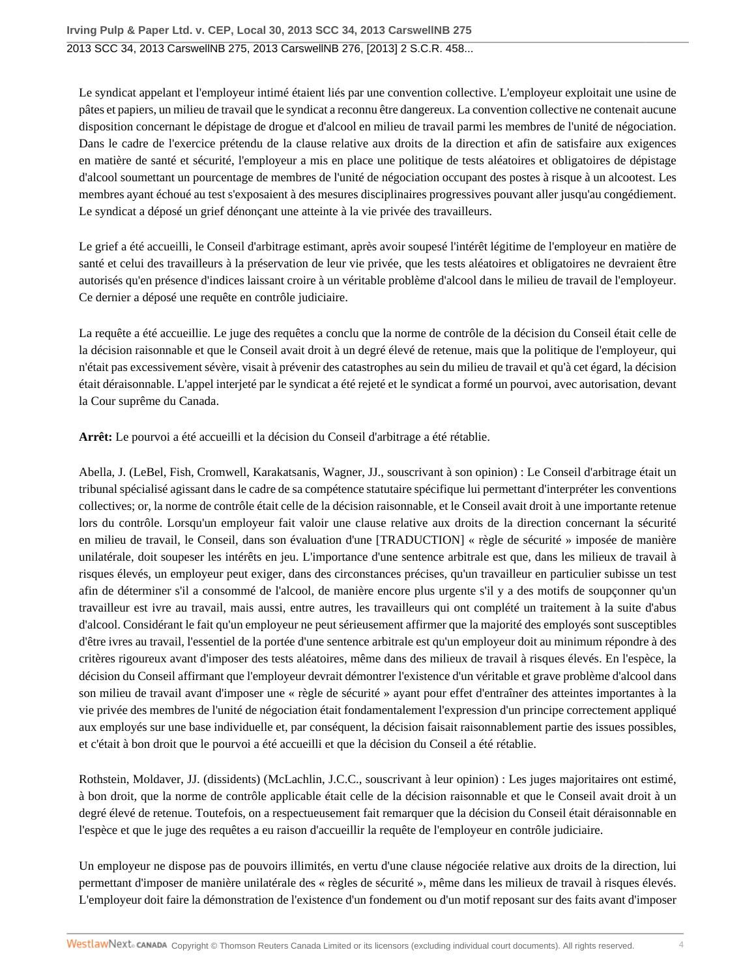Le syndicat appelant et l'employeur intimé étaient liés par une convention collective. L'employeur exploitait une usine de pâtes et papiers, un milieu de travail que le syndicat a reconnu être dangereux. La convention collective ne contenait aucune disposition concernant le dépistage de drogue et d'alcool en milieu de travail parmi les membres de l'unité de négociation. Dans le cadre de l'exercice prétendu de la clause relative aux droits de la direction et afin de satisfaire aux exigences en matière de santé et sécurité, l'employeur a mis en place une politique de tests aléatoires et obligatoires de dépistage d'alcool soumettant un pourcentage de membres de l'unité de négociation occupant des postes à risque à un alcootest. Les membres ayant échoué au test s'exposaient à des mesures disciplinaires progressives pouvant aller jusqu'au congédiement. Le syndicat a déposé un grief dénonçant une atteinte à la vie privée des travailleurs.

Le grief a été accueilli, le Conseil d'arbitrage estimant, après avoir soupesé l'intérêt légitime de l'employeur en matière de santé et celui des travailleurs à la préservation de leur vie privée, que les tests aléatoires et obligatoires ne devraient être autorisés qu'en présence d'indices laissant croire à un véritable problème d'alcool dans le milieu de travail de l'employeur. Ce dernier a déposé une requête en contrôle judiciaire.

La requête a été accueillie. Le juge des requêtes a conclu que la norme de contrôle de la décision du Conseil était celle de la décision raisonnable et que le Conseil avait droit à un degré élevé de retenue, mais que la politique de l'employeur, qui n'était pas excessivement sévère, visait à prévenir des catastrophes au sein du milieu de travail et qu'à cet égard, la décision était déraisonnable. L'appel interjeté par le syndicat a été rejeté et le syndicat a formé un pourvoi, avec autorisation, devant la Cour suprême du Canada.

**Arrêt:** Le pourvoi a été accueilli et la décision du Conseil d'arbitrage a été rétablie.

Abella, J. (LeBel, Fish, Cromwell, Karakatsanis, Wagner, JJ., souscrivant à son opinion) : Le Conseil d'arbitrage était un tribunal spécialisé agissant dans le cadre de sa compétence statutaire spécifique lui permettant d'interpréter les conventions collectives; or, la norme de contrôle était celle de la décision raisonnable, et le Conseil avait droit à une importante retenue lors du contrôle. Lorsqu'un employeur fait valoir une clause relative aux droits de la direction concernant la sécurité en milieu de travail, le Conseil, dans son évaluation d'une [TRADUCTION] « règle de sécurité » imposée de manière unilatérale, doit soupeser les intérêts en jeu. L'importance d'une sentence arbitrale est que, dans les milieux de travail à risques élevés, un employeur peut exiger, dans des circonstances précises, qu'un travailleur en particulier subisse un test afin de déterminer s'il a consommé de l'alcool, de manière encore plus urgente s'il y a des motifs de soupçonner qu'un travailleur est ivre au travail, mais aussi, entre autres, les travailleurs qui ont complété un traitement à la suite d'abus d'alcool. Considérant le fait qu'un employeur ne peut sérieusement affirmer que la majorité des employés sont susceptibles d'être ivres au travail, l'essentiel de la portée d'une sentence arbitrale est qu'un employeur doit au minimum répondre à des critères rigoureux avant d'imposer des tests aléatoires, même dans des milieux de travail à risques élevés. En l'espèce, la décision du Conseil affirmant que l'employeur devrait démontrer l'existence d'un véritable et grave problème d'alcool dans son milieu de travail avant d'imposer une « règle de sécurité » ayant pour effet d'entraîner des atteintes importantes à la vie privée des membres de l'unité de négociation était fondamentalement l'expression d'un principe correctement appliqué aux employés sur une base individuelle et, par conséquent, la décision faisait raisonnablement partie des issues possibles, et c'était à bon droit que le pourvoi a été accueilli et que la décision du Conseil a été rétablie.

Rothstein, Moldaver, JJ. (dissidents) (McLachlin, J.C.C., souscrivant à leur opinion) : Les juges majoritaires ont estimé, à bon droit, que la norme de contrôle applicable était celle de la décision raisonnable et que le Conseil avait droit à un degré élevé de retenue. Toutefois, on a respectueusement fait remarquer que la décision du Conseil était déraisonnable en l'espèce et que le juge des requêtes a eu raison d'accueillir la requête de l'employeur en contrôle judiciaire.

Un employeur ne dispose pas de pouvoirs illimités, en vertu d'une clause négociée relative aux droits de la direction, lui permettant d'imposer de manière unilatérale des « règles de sécurité », même dans les milieux de travail à risques élevés. L'employeur doit faire la démonstration de l'existence d'un fondement ou d'un motif reposant sur des faits avant d'imposer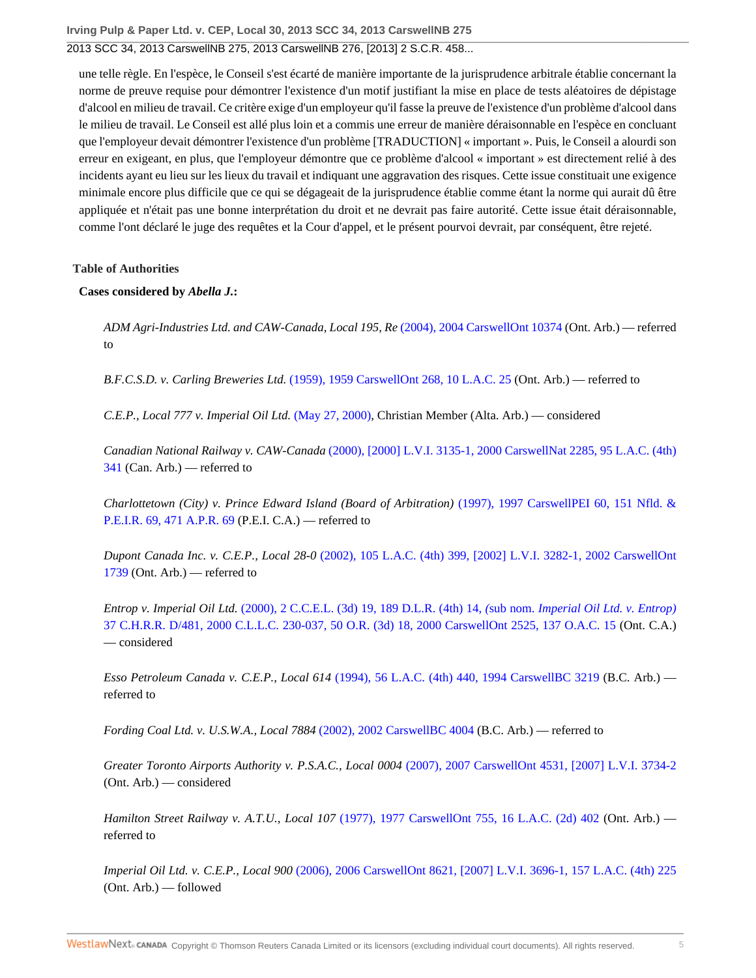une telle règle. En l'espèce, le Conseil s'est écarté de manière importante de la jurisprudence arbitrale établie concernant la norme de preuve requise pour démontrer l'existence d'un motif justifiant la mise en place de tests aléatoires de dépistage d'alcool en milieu de travail. Ce critère exige d'un employeur qu'il fasse la preuve de l'existence d'un problème d'alcool dans le milieu de travail. Le Conseil est allé plus loin et a commis une erreur de manière déraisonnable en l'espèce en concluant que l'employeur devait démontrer l'existence d'un problème [TRADUCTION] « important ». Puis, le Conseil a alourdi son erreur en exigeant, en plus, que l'employeur démontre que ce problème d'alcool « important » est directement relié à des incidents ayant eu lieu sur les lieux du travail et indiquant une aggravation des risques. Cette issue constituait une exigence minimale encore plus difficile que ce qui se dégageait de la jurisprudence établie comme étant la norme qui aurait dû être appliquée et n'était pas une bonne interprétation du droit et ne devrait pas faire autorité. Cette issue était déraisonnable, comme l'ont déclaré le juge des requêtes et la Cour d'appel, et le présent pourvoi devrait, par conséquent, être rejeté.

**Table of Authorities**

## **Cases considered by** *Abella J.***:**

*ADM Agri-Industries Ltd. and CAW-Canada, Local 195, Re* [\(2004\), 2004 CarswellOnt 10374](http://nextcanada.westlaw.com/Link/Document/FullText?findType=Y&pubNum=6407&serNum=2028550771&originationContext=document&transitionType=Document&vr=3.0&rs=cblt1.0&contextData=(sc.History*oc.Default)) (Ont. Arb.) — referred to

*B.F.C.S.D. v. Carling Breweries Ltd.* [\(1959\), 1959 CarswellOnt 268, 10 L.A.C. 25](http://nextcanada.westlaw.com/Link/Document/FullText?findType=Y&pubNum=6407&serNum=1959058956&originationContext=document&transitionType=Document&vr=3.0&rs=cblt1.0&contextData=(sc.History*oc.Default)) (Ont. Arb.) — referred to

*C.E.P., Local 777 v. Imperial Oil Ltd.* [\(May 27, 2000\),](http://nextcanada.westlaw.com/Link/Document/FullText?findType=Y&pubNum=6407&serNum=2000679525&originationContext=document&transitionType=Document&vr=3.0&rs=cblt1.0&contextData=(sc.History*oc.Default)) Christian Member (Alta. Arb.) — considered

*Canadian National Railway v. CAW-Canada* [\(2000\), \[2000\] L.V.I. 3135-1, 2000 CarswellNat 2285, 95 L.A.C. \(4th\)](http://nextcanada.westlaw.com/Link/Document/FullText?findType=Y&pubNum=6407&serNum=2000552591&originationContext=document&transitionType=Document&vr=3.0&rs=cblt1.0&contextData=(sc.History*oc.Default)) [341](http://nextcanada.westlaw.com/Link/Document/FullText?findType=Y&pubNum=6407&serNum=2000552591&originationContext=document&transitionType=Document&vr=3.0&rs=cblt1.0&contextData=(sc.History*oc.Default)) (Can. Arb.) — referred to

*Charlottetown (City) v. Prince Edward Island (Board of Arbitration)* [\(1997\), 1997 CarswellPEI 60, 151 Nfld. &](http://nextcanada.westlaw.com/Link/Document/FullText?findType=Y&pubNum=6407&serNum=1997416892&originationContext=document&transitionType=Document&vr=3.0&rs=cblt1.0&contextData=(sc.History*oc.Default)) [P.E.I.R. 69, 471 A.P.R. 69](http://nextcanada.westlaw.com/Link/Document/FullText?findType=Y&pubNum=6407&serNum=1997416892&originationContext=document&transitionType=Document&vr=3.0&rs=cblt1.0&contextData=(sc.History*oc.Default)) (P.E.I. C.A.) — referred to

*Dupont Canada Inc. v. C.E.P., Local 28-0* [\(2002\), 105 L.A.C. \(4th\) 399, \[2002\] L.V.I. 3282-1, 2002 CarswellOnt](http://nextcanada.westlaw.com/Link/Document/FullText?findType=Y&pubNum=6407&serNum=2002063179&originationContext=document&transitionType=Document&vr=3.0&rs=cblt1.0&contextData=(sc.History*oc.Default)) [1739](http://nextcanada.westlaw.com/Link/Document/FullText?findType=Y&pubNum=6407&serNum=2002063179&originationContext=document&transitionType=Document&vr=3.0&rs=cblt1.0&contextData=(sc.History*oc.Default)) (Ont. Arb.) — referred to

*Entrop v. Imperial Oil Ltd.* [\(2000\), 2 C.C.E.L. \(3d\) 19, 189 D.L.R. \(4th\) 14,](http://nextcanada.westlaw.com/Link/Document/FullText?findType=Y&pubNum=6407&serNum=2000548423&originationContext=document&transitionType=Document&vr=3.0&rs=cblt1.0&contextData=(sc.History*oc.Default)) *(*sub nom. *Imperial Oil Ltd. v. Entrop)* [37 C.H.R.R. D/481, 2000 C.L.L.C. 230-037, 50 O.R. \(3d\) 18, 2000 CarswellOnt 2525, 137 O.A.C. 15](http://nextcanada.westlaw.com/Link/Document/FullText?findType=Y&pubNum=6407&serNum=2000548423&originationContext=document&transitionType=Document&vr=3.0&rs=cblt1.0&contextData=(sc.History*oc.Default)) (Ont. C.A.) — considered

*Esso Petroleum Canada v. C.E.P., Local 614* [\(1994\), 56 L.A.C. \(4th\) 440, 1994 CarswellBC 3219](http://nextcanada.westlaw.com/Link/Document/FullText?findType=Y&pubNum=6407&serNum=1994410920&originationContext=document&transitionType=Document&vr=3.0&rs=cblt1.0&contextData=(sc.History*oc.Default)) (B.C. Arb.) referred to

*Fording Coal Ltd. v. U.S.W.A., Local 7884* [\(2002\), 2002 CarswellBC 4004](http://nextcanada.westlaw.com/Link/Document/FullText?findType=Y&pubNum=6407&serNum=2002826684&originationContext=document&transitionType=Document&vr=3.0&rs=cblt1.0&contextData=(sc.History*oc.Default)) (B.C. Arb.) — referred to

*Greater Toronto Airports Authority v. P.S.A.C., Local 0004* [\(2007\), 2007 CarswellOnt 4531, \[2007\] L.V.I. 3734-2](http://nextcanada.westlaw.com/Link/Document/FullText?findType=Y&pubNum=6407&serNum=2012726951&originationContext=document&transitionType=Document&vr=3.0&rs=cblt1.0&contextData=(sc.History*oc.Default)) (Ont. Arb.) — considered

*Hamilton Street Railway v. A.T.U., Local 107* [\(1977\), 1977 CarswellOnt 755, 16 L.A.C. \(2d\) 402](http://nextcanada.westlaw.com/Link/Document/FullText?findType=Y&pubNum=6407&serNum=1977148527&originationContext=document&transitionType=Document&vr=3.0&rs=cblt1.0&contextData=(sc.History*oc.Default)) (Ont. Arb.) referred to

*Imperial Oil Ltd. v. C.E.P., Local 900* [\(2006\), 2006 CarswellOnt 8621, \[2007\] L.V.I. 3696-1, 157 L.A.C. \(4th\) 225](http://nextcanada.westlaw.com/Link/Document/FullText?findType=Y&pubNum=6407&serNum=2011407980&originationContext=document&transitionType=Document&vr=3.0&rs=cblt1.0&contextData=(sc.History*oc.Default)) (Ont. Arb.) — followed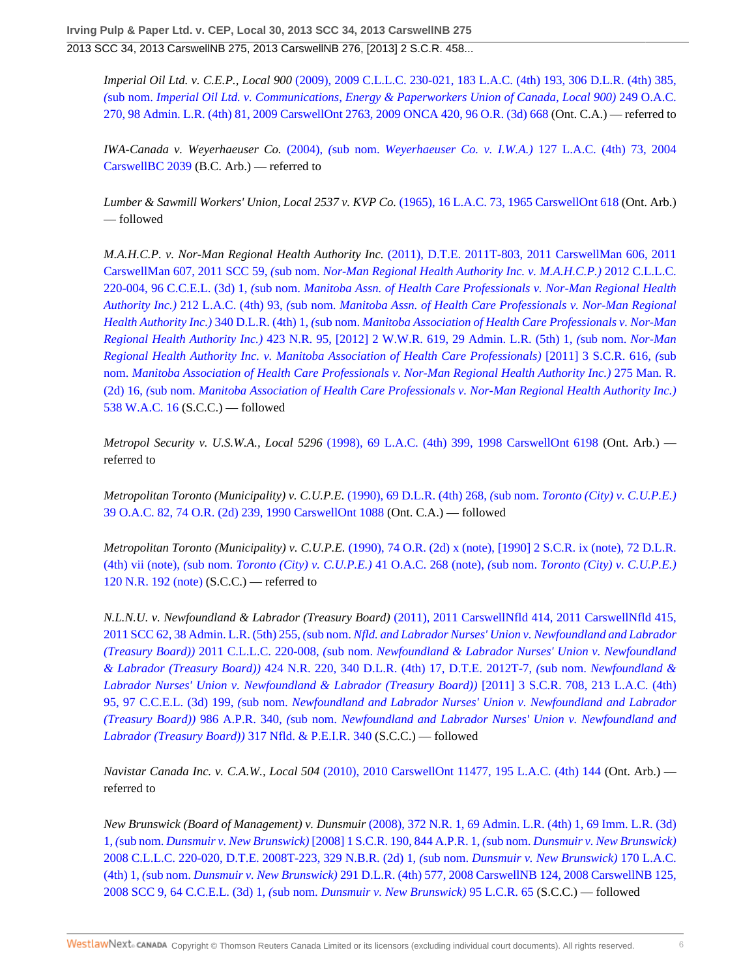*Imperial Oil Ltd. v. C.E.P., Local 900* [\(2009\), 2009 C.L.L.C. 230-021, 183 L.A.C. \(4th\) 193, 306 D.L.R. \(4th\) 385,](http://nextcanada.westlaw.com/Link/Document/FullText?findType=Y&pubNum=6407&serNum=2018889068&originationContext=document&transitionType=Document&vr=3.0&rs=cblt1.0&contextData=(sc.History*oc.Default)) *(*sub nom. *[Imperial Oil Ltd. v. Communications, Energy & Paperworkers Union of Canada, Local 900\)](http://nextcanada.westlaw.com/Link/Document/FullText?findType=Y&pubNum=6407&serNum=2018889068&originationContext=document&transitionType=Document&vr=3.0&rs=cblt1.0&contextData=(sc.History*oc.Default))* 249 O.A.C. [270, 98 Admin. L.R. \(4th\) 81, 2009 CarswellOnt 2763, 2009 ONCA 420, 96 O.R. \(3d\) 668](http://nextcanada.westlaw.com/Link/Document/FullText?findType=Y&pubNum=6407&serNum=2018889068&originationContext=document&transitionType=Document&vr=3.0&rs=cblt1.0&contextData=(sc.History*oc.Default)) (Ont. C.A.) — referred to

*IWA-Canada v. Weyerhaeuser Co.* (2004), *(*sub nom. *[Weyerhaeuser Co. v. I.W.A.\)](http://nextcanada.westlaw.com/Link/Document/FullText?findType=Y&pubNum=6407&serNum=2004909212&originationContext=document&transitionType=Document&vr=3.0&rs=cblt1.0&contextData=(sc.History*oc.Default))* 127 L.A.C. (4th) 73, 2004 [CarswellBC 2039](http://nextcanada.westlaw.com/Link/Document/FullText?findType=Y&pubNum=6407&serNum=2004909212&originationContext=document&transitionType=Document&vr=3.0&rs=cblt1.0&contextData=(sc.History*oc.Default)) (B.C. Arb.) — referred to

*Lumber & Sawmill Workers' Union, Local 2537 v. KVP Co.* [\(1965\), 16 L.A.C. 73, 1965 CarswellOnt 618](http://nextcanada.westlaw.com/Link/Document/FullText?findType=Y&pubNum=6407&serNum=1965069024&originationContext=document&transitionType=Document&vr=3.0&rs=cblt1.0&contextData=(sc.History*oc.Default)) (Ont. Arb.) — followed

*M.A.H.C.P. v. Nor-Man Regional Health Authority Inc.* [\(2011\), D.T.E. 2011T-803, 2011 CarswellMan 606, 2011](http://nextcanada.westlaw.com/Link/Document/FullText?findType=Y&pubNum=6407&serNum=2026610657&originationContext=document&transitionType=Document&vr=3.0&rs=cblt1.0&contextData=(sc.History*oc.Default)) CarswellMan 607, 2011 SCC 59, *(*sub nom. *[Nor-Man Regional Health Authority Inc. v. M.A.H.C.P.\)](http://nextcanada.westlaw.com/Link/Document/FullText?findType=Y&pubNum=6407&serNum=2026610657&originationContext=document&transitionType=Document&vr=3.0&rs=cblt1.0&contextData=(sc.History*oc.Default))* 2012 C.L.L.C. 220-004, 96 C.C.E.L. (3d) 1, *(*sub nom. *[Manitoba Assn. of Health Care Professionals v. Nor-Man Regional Health](http://nextcanada.westlaw.com/Link/Document/FullText?findType=Y&pubNum=6407&serNum=2026610657&originationContext=document&transitionType=Document&vr=3.0&rs=cblt1.0&contextData=(sc.History*oc.Default)) Authority Inc.)* 212 L.A.C. (4th) 93, *(*sub nom. *[Manitoba Assn. of Health Care Professionals v. Nor-Man Regional](http://nextcanada.westlaw.com/Link/Document/FullText?findType=Y&pubNum=6407&serNum=2026610657&originationContext=document&transitionType=Document&vr=3.0&rs=cblt1.0&contextData=(sc.History*oc.Default)) Health Authority Inc.)* 340 D.L.R. (4th) 1, *(*sub nom. *[Manitoba Association of Health Care Professionals v. Nor-Man](http://nextcanada.westlaw.com/Link/Document/FullText?findType=Y&pubNum=6407&serNum=2026610657&originationContext=document&transitionType=Document&vr=3.0&rs=cblt1.0&contextData=(sc.History*oc.Default)) Regional Health Authority Inc.)* [423 N.R. 95, \[2012\] 2 W.W.R. 619, 29 Admin. L.R. \(5th\) 1,](http://nextcanada.westlaw.com/Link/Document/FullText?findType=Y&pubNum=6407&serNum=2026610657&originationContext=document&transitionType=Document&vr=3.0&rs=cblt1.0&contextData=(sc.History*oc.Default)) *(*sub nom. *Nor-Man [Regional Health Authority Inc. v. Manitoba Association of Health Care Professionals\)](http://nextcanada.westlaw.com/Link/Document/FullText?findType=Y&pubNum=6407&serNum=2026610657&originationContext=document&transitionType=Document&vr=3.0&rs=cblt1.0&contextData=(sc.History*oc.Default))* [2011] 3 S.C.R. 616, *(*sub nom. *[Manitoba Association of Health Care Professionals v. Nor-Man Regional Health Authority Inc.\)](http://nextcanada.westlaw.com/Link/Document/FullText?findType=Y&pubNum=6407&serNum=2026610657&originationContext=document&transitionType=Document&vr=3.0&rs=cblt1.0&contextData=(sc.History*oc.Default))* 275 Man. R. (2d) 16, *(*sub nom. *[Manitoba Association of Health Care Professionals v. Nor-Man Regional Health Authority Inc.\)](http://nextcanada.westlaw.com/Link/Document/FullText?findType=Y&pubNum=6407&serNum=2026610657&originationContext=document&transitionType=Document&vr=3.0&rs=cblt1.0&contextData=(sc.History*oc.Default))* [538 W.A.C. 16](http://nextcanada.westlaw.com/Link/Document/FullText?findType=Y&pubNum=6407&serNum=2026610657&originationContext=document&transitionType=Document&vr=3.0&rs=cblt1.0&contextData=(sc.History*oc.Default)) (S.C.C.) — followed

*Metropol Security v. U.S.W.A., Local 5296* [\(1998\), 69 L.A.C. \(4th\) 399, 1998 CarswellOnt 6198](http://nextcanada.westlaw.com/Link/Document/FullText?findType=Y&pubNum=6407&serNum=1998460479&originationContext=document&transitionType=Document&vr=3.0&rs=cblt1.0&contextData=(sc.History*oc.Default)) (Ont. Arb.) referred to

*Metropolitan Toronto (Municipality) v. C.U.P.E.* [\(1990\), 69 D.L.R. \(4th\) 268,](http://nextcanada.westlaw.com/Link/Document/FullText?findType=Y&pubNum=6407&serNum=1990315647&originationContext=document&transitionType=Document&vr=3.0&rs=cblt1.0&contextData=(sc.History*oc.Default)) *(*sub nom. *Toronto (City) v. C.U.P.E.)* [39 O.A.C. 82, 74 O.R. \(2d\) 239, 1990 CarswellOnt 1088](http://nextcanada.westlaw.com/Link/Document/FullText?findType=Y&pubNum=6407&serNum=1990315647&originationContext=document&transitionType=Document&vr=3.0&rs=cblt1.0&contextData=(sc.History*oc.Default)) (Ont. C.A.) — followed

*Metropolitan Toronto (Municipality) v. C.U.P.E.* [\(1990\), 74 O.R. \(2d\) x \(note\), \[1990\] 2 S.C.R. ix \(note\), 72 D.L.R.](http://nextcanada.westlaw.com/Link/Document/FullText?findType=Y&pubNum=6407&serNum=1990315648&originationContext=document&transitionType=Document&vr=3.0&rs=cblt1.0&contextData=(sc.History*oc.Default)) (4th) vii (note), *(*sub nom. *Toronto (City) v. C.U.P.E.)* 41 O.A.C. 268 (note), *(*sub nom. *[Toronto \(City\) v. C.U.P.E.\)](http://nextcanada.westlaw.com/Link/Document/FullText?findType=Y&pubNum=6407&serNum=1990315648&originationContext=document&transitionType=Document&vr=3.0&rs=cblt1.0&contextData=(sc.History*oc.Default))* [120 N.R. 192 \(note\)](http://nextcanada.westlaw.com/Link/Document/FullText?findType=Y&pubNum=6407&serNum=1990315648&originationContext=document&transitionType=Document&vr=3.0&rs=cblt1.0&contextData=(sc.History*oc.Default)) (S.C.C.) — referred to

*N.L.N.U. v. Newfoundland & Labrador (Treasury Board)* [\(2011\), 2011 CarswellNfld 414, 2011 CarswellNfld 415,](http://nextcanada.westlaw.com/Link/Document/FullText?findType=Y&pubNum=6407&serNum=2026678952&originationContext=document&transitionType=Document&vr=3.0&rs=cblt1.0&contextData=(sc.History*oc.Default)) 2011 SCC 62, 38 Admin. L.R. (5th) 255, *(*sub nom. *[Nfld. and Labrador Nurses' Union v. Newfoundland and Labrador](http://nextcanada.westlaw.com/Link/Document/FullText?findType=Y&pubNum=6407&serNum=2026678952&originationContext=document&transitionType=Document&vr=3.0&rs=cblt1.0&contextData=(sc.History*oc.Default)) (Treasury Board))* 2011 C.L.L.C. 220-008, *(*sub nom. *[Newfoundland & Labrador Nurses' Union v. Newfoundland](http://nextcanada.westlaw.com/Link/Document/FullText?findType=Y&pubNum=6407&serNum=2026678952&originationContext=document&transitionType=Document&vr=3.0&rs=cblt1.0&contextData=(sc.History*oc.Default)) & Labrador (Treasury Board))* [424 N.R. 220, 340 D.L.R. \(4th\) 17, D.T.E. 2012T-7,](http://nextcanada.westlaw.com/Link/Document/FullText?findType=Y&pubNum=6407&serNum=2026678952&originationContext=document&transitionType=Document&vr=3.0&rs=cblt1.0&contextData=(sc.History*oc.Default)) *(*sub nom. *Newfoundland & [Labrador Nurses' Union v. Newfoundland & Labrador \(Treasury Board\)\)](http://nextcanada.westlaw.com/Link/Document/FullText?findType=Y&pubNum=6407&serNum=2026678952&originationContext=document&transitionType=Document&vr=3.0&rs=cblt1.0&contextData=(sc.History*oc.Default))* [2011] 3 S.C.R. 708, 213 L.A.C. (4th) 95, 97 C.C.E.L. (3d) 199, *(*sub nom. *[Newfoundland and Labrador Nurses' Union v. Newfoundland and Labrador](http://nextcanada.westlaw.com/Link/Document/FullText?findType=Y&pubNum=6407&serNum=2026678952&originationContext=document&transitionType=Document&vr=3.0&rs=cblt1.0&contextData=(sc.History*oc.Default)) (Treasury Board))* 986 A.P.R. 340, *(*sub nom. *[Newfoundland and Labrador Nurses' Union v. Newfoundland and](http://nextcanada.westlaw.com/Link/Document/FullText?findType=Y&pubNum=6407&serNum=2026678952&originationContext=document&transitionType=Document&vr=3.0&rs=cblt1.0&contextData=(sc.History*oc.Default)) [Labrador \(Treasury Board\)\)](http://nextcanada.westlaw.com/Link/Document/FullText?findType=Y&pubNum=6407&serNum=2026678952&originationContext=document&transitionType=Document&vr=3.0&rs=cblt1.0&contextData=(sc.History*oc.Default))* 317 Nfld. & P.E.I.R. 340 (S.C.C.) — followed

*Navistar Canada Inc. v. C.A.W., Local 504* [\(2010\), 2010 CarswellOnt 11477, 195 L.A.C. \(4th\) 144](http://nextcanada.westlaw.com/Link/Document/FullText?findType=Y&pubNum=6407&serNum=2023661557&originationContext=document&transitionType=Document&vr=3.0&rs=cblt1.0&contextData=(sc.History*oc.Default)) (Ont. Arb.) referred to

*New Brunswick (Board of Management) v. Dunsmuir* [\(2008\), 372 N.R. 1, 69 Admin. L.R. \(4th\) 1, 69 Imm. L.R. \(3d\)](http://nextcanada.westlaw.com/Link/Document/FullText?findType=Y&pubNum=6407&serNum=2015426704&originationContext=document&transitionType=Document&vr=3.0&rs=cblt1.0&contextData=(sc.History*oc.Default)) 1, *(*sub nom. *Dunsmuir v. New Brunswick)* [\[2008\] 1 S.C.R. 190, 844 A.P.R. 1,](http://nextcanada.westlaw.com/Link/Document/FullText?findType=Y&pubNum=6407&serNum=2015426704&originationContext=document&transitionType=Document&vr=3.0&rs=cblt1.0&contextData=(sc.History*oc.Default)) *(*sub nom. *Dunsmuir v. New Brunswick)* [2008 C.L.L.C. 220-020, D.T.E. 2008T-223, 329 N.B.R. \(2d\) 1,](http://nextcanada.westlaw.com/Link/Document/FullText?findType=Y&pubNum=6407&serNum=2015426704&originationContext=document&transitionType=Document&vr=3.0&rs=cblt1.0&contextData=(sc.History*oc.Default)) *(*sub nom. *Dunsmuir v. New Brunswick)* 170 L.A.C. (4th) 1, *(*sub nom. *Dunsmuir v. New Brunswick)* [291 D.L.R. \(4th\) 577, 2008 CarswellNB 124, 2008 CarswellNB 125,](http://nextcanada.westlaw.com/Link/Document/FullText?findType=Y&pubNum=6407&serNum=2015426704&originationContext=document&transitionType=Document&vr=3.0&rs=cblt1.0&contextData=(sc.History*oc.Default)) [2008 SCC 9, 64 C.C.E.L. \(3d\) 1,](http://nextcanada.westlaw.com/Link/Document/FullText?findType=Y&pubNum=6407&serNum=2015426704&originationContext=document&transitionType=Document&vr=3.0&rs=cblt1.0&contextData=(sc.History*oc.Default)) *(*sub nom. *Dunsmuir v. New Brunswick)* 95 L.C.R. 65 (S.C.C.) — followed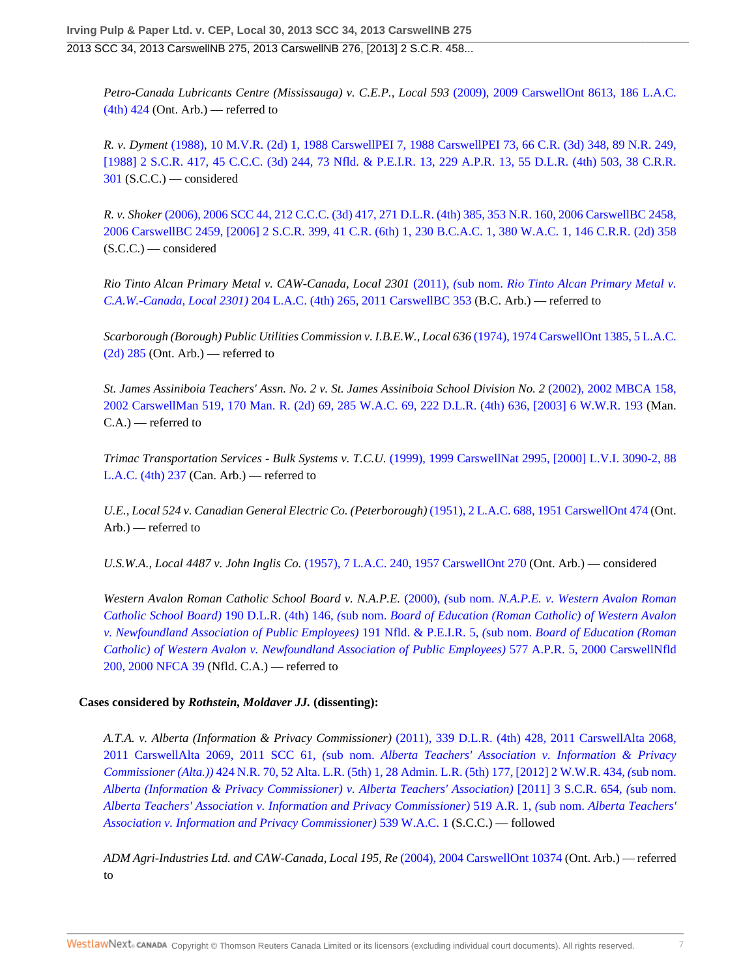*Petro-Canada Lubricants Centre (Mississauga) v. C.E.P., Local 593* [\(2009\), 2009 CarswellOnt 8613, 186 L.A.C.](http://nextcanada.westlaw.com/Link/Document/FullText?findType=Y&pubNum=6407&serNum=2021245445&originationContext=document&transitionType=Document&vr=3.0&rs=cblt1.0&contextData=(sc.History*oc.Default))  $(4th)$  424 (Ont. Arb.) — referred to

*R. v. Dyment* [\(1988\), 10 M.V.R. \(2d\) 1, 1988 CarswellPEI 7, 1988 CarswellPEI 73, 66 C.R. \(3d\) 348, 89 N.R. 249,](http://nextcanada.westlaw.com/Link/Document/FullText?findType=Y&pubNum=6407&serNum=1988287935&originationContext=document&transitionType=Document&vr=3.0&rs=cblt1.0&contextData=(sc.History*oc.Default)) [\[1988\] 2 S.C.R. 417, 45 C.C.C. \(3d\) 244, 73 Nfld. & P.E.I.R. 13, 229 A.P.R. 13, 55 D.L.R. \(4th\) 503, 38 C.R.R.](http://nextcanada.westlaw.com/Link/Document/FullText?findType=Y&pubNum=6407&serNum=1988287935&originationContext=document&transitionType=Document&vr=3.0&rs=cblt1.0&contextData=(sc.History*oc.Default)) [301](http://nextcanada.westlaw.com/Link/Document/FullText?findType=Y&pubNum=6407&serNum=1988287935&originationContext=document&transitionType=Document&vr=3.0&rs=cblt1.0&contextData=(sc.History*oc.Default)) (S.C.C.) — considered

*R. v. Shoker* [\(2006\), 2006 SCC 44, 212 C.C.C. \(3d\) 417, 271 D.L.R. \(4th\) 385, 353 N.R. 160, 2006 CarswellBC 2458,](http://nextcanada.westlaw.com/Link/Document/FullText?findType=Y&pubNum=6407&serNum=2010451381&originationContext=document&transitionType=Document&vr=3.0&rs=cblt1.0&contextData=(sc.History*oc.Default)) [2006 CarswellBC 2459, \[2006\] 2 S.C.R. 399, 41 C.R. \(6th\) 1, 230 B.C.A.C. 1, 380 W.A.C. 1, 146 C.R.R. \(2d\) 358](http://nextcanada.westlaw.com/Link/Document/FullText?findType=Y&pubNum=6407&serNum=2010451381&originationContext=document&transitionType=Document&vr=3.0&rs=cblt1.0&contextData=(sc.History*oc.Default)) (S.C.C.) — considered

*Rio Tinto Alcan Primary Metal v. CAW-Canada, Local 2301* (2011), *(*sub nom. *[Rio Tinto Alcan Primary Metal v.](http://nextcanada.westlaw.com/Link/Document/FullText?findType=Y&pubNum=6407&serNum=2024672148&originationContext=document&transitionType=Document&vr=3.0&rs=cblt1.0&contextData=(sc.History*oc.Default)) C.A.W.-Canada, Local 2301)* [204 L.A.C. \(4th\) 265, 2011 CarswellBC 353](http://nextcanada.westlaw.com/Link/Document/FullText?findType=Y&pubNum=6407&serNum=2024672148&originationContext=document&transitionType=Document&vr=3.0&rs=cblt1.0&contextData=(sc.History*oc.Default)) (B.C. Arb.) — referred to

*Scarborough (Borough) Public Utilities Commission v. I.B.E.W., Local 636* [\(1974\), 1974 CarswellOnt 1385, 5 L.A.C.](http://nextcanada.westlaw.com/Link/Document/FullText?findType=Y&pubNum=6407&serNum=1974145955&originationContext=document&transitionType=Document&vr=3.0&rs=cblt1.0&contextData=(sc.History*oc.Default))  $(2d)$  285 (Ont. Arb.) — referred to

*St. James Assiniboia Teachers' Assn. No. 2 v. St. James Assiniboia School Division No. 2* [\(2002\), 2002 MBCA 158,](http://nextcanada.westlaw.com/Link/Document/FullText?findType=Y&pubNum=6407&serNum=2002518541&originationContext=document&transitionType=Document&vr=3.0&rs=cblt1.0&contextData=(sc.History*oc.Default)) [2002 CarswellMan 519, 170 Man. R. \(2d\) 69, 285 W.A.C. 69, 222 D.L.R. \(4th\) 636, \[2003\] 6 W.W.R. 193](http://nextcanada.westlaw.com/Link/Document/FullText?findType=Y&pubNum=6407&serNum=2002518541&originationContext=document&transitionType=Document&vr=3.0&rs=cblt1.0&contextData=(sc.History*oc.Default)) (Man. C.A.) — referred to

*Trimac Transportation Services - Bulk Systems v. T.C.U.* [\(1999\), 1999 CarswellNat 2995, \[2000\] L.V.I. 3090-2, 88](http://nextcanada.westlaw.com/Link/Document/FullText?findType=Y&pubNum=6407&serNum=1999502161&originationContext=document&transitionType=Document&vr=3.0&rs=cblt1.0&contextData=(sc.History*oc.Default)) [L.A.C. \(4th\) 237](http://nextcanada.westlaw.com/Link/Document/FullText?findType=Y&pubNum=6407&serNum=1999502161&originationContext=document&transitionType=Document&vr=3.0&rs=cblt1.0&contextData=(sc.History*oc.Default)) (Can. Arb.) — referred to

*U.E., Local 524 v. Canadian General Electric Co. (Peterborough)* [\(1951\), 2 L.A.C. 688, 1951 CarswellOnt 474](http://nextcanada.westlaw.com/Link/Document/FullText?findType=Y&pubNum=6407&serNum=1951041122&originationContext=document&transitionType=Document&vr=3.0&rs=cblt1.0&contextData=(sc.History*oc.Default)) (Ont. Arb.) — referred to

*U.S.W.A., Local 4487 v. John Inglis Co.* [\(1957\), 7 L.A.C. 240, 1957 CarswellOnt 270](http://nextcanada.westlaw.com/Link/Document/FullText?findType=Y&pubNum=6407&serNum=1957050070&originationContext=document&transitionType=Document&vr=3.0&rs=cblt1.0&contextData=(sc.History*oc.Default)) (Ont. Arb.) — considered

*Western Avalon Roman Catholic School Board v. N.A.P.E.* (2000), *(*sub nom. *[N.A.P.E. v. Western Avalon Roman](http://nextcanada.westlaw.com/Link/Document/FullText?findType=Y&pubNum=6407&serNum=2000547315&originationContext=document&transitionType=Document&vr=3.0&rs=cblt1.0&contextData=(sc.History*oc.Default)) Catholic School Board)* 190 D.L.R. (4th) 146, *(*sub nom. *[Board of Education \(Roman Catholic\) of Western Avalon](http://nextcanada.westlaw.com/Link/Document/FullText?findType=Y&pubNum=6407&serNum=2000547315&originationContext=document&transitionType=Document&vr=3.0&rs=cblt1.0&contextData=(sc.History*oc.Default)) [v. Newfoundland Association of Public Employees\)](http://nextcanada.westlaw.com/Link/Document/FullText?findType=Y&pubNum=6407&serNum=2000547315&originationContext=document&transitionType=Document&vr=3.0&rs=cblt1.0&contextData=(sc.History*oc.Default))* 191 Nfld. & P.E.I.R. 5, *(*sub nom. *Board of Education (Roman [Catholic\) of Western Avalon v. Newfoundland Association of Public Employees\)](http://nextcanada.westlaw.com/Link/Document/FullText?findType=Y&pubNum=6407&serNum=2000547315&originationContext=document&transitionType=Document&vr=3.0&rs=cblt1.0&contextData=(sc.History*oc.Default))* 577 A.P.R. 5, 2000 CarswellNfld [200, 2000 NFCA 39](http://nextcanada.westlaw.com/Link/Document/FullText?findType=Y&pubNum=6407&serNum=2000547315&originationContext=document&transitionType=Document&vr=3.0&rs=cblt1.0&contextData=(sc.History*oc.Default)) (Nfld. C.A.) — referred to

# **Cases considered by** *Rothstein, Moldaver JJ.* **(dissenting):**

*A.T.A. v. Alberta (Information & Privacy Commissioner)* [\(2011\), 339 D.L.R. \(4th\) 428, 2011 CarswellAlta 2068,](http://nextcanada.westlaw.com/Link/Document/FullText?findType=Y&pubNum=6407&serNum=2026674249&originationContext=document&transitionType=Document&vr=3.0&rs=cblt1.0&contextData=(sc.History*oc.Default)) 2011 CarswellAlta 2069, 2011 SCC 61, *(*sub nom. *[Alberta Teachers' Association v. Information & Privacy](http://nextcanada.westlaw.com/Link/Document/FullText?findType=Y&pubNum=6407&serNum=2026674249&originationContext=document&transitionType=Document&vr=3.0&rs=cblt1.0&contextData=(sc.History*oc.Default)) Commissioner (Alta.))* [424 N.R. 70, 52 Alta. L.R. \(5th\) 1, 28 Admin. L.R. \(5th\) 177, \[2012\] 2 W.W.R. 434,](http://nextcanada.westlaw.com/Link/Document/FullText?findType=Y&pubNum=6407&serNum=2026674249&originationContext=document&transitionType=Document&vr=3.0&rs=cblt1.0&contextData=(sc.History*oc.Default)) *(*sub nom. *[Alberta \(Information & Privacy Commissioner\) v. Alberta Teachers' Association\)](http://nextcanada.westlaw.com/Link/Document/FullText?findType=Y&pubNum=6407&serNum=2026674249&originationContext=document&transitionType=Document&vr=3.0&rs=cblt1.0&contextData=(sc.History*oc.Default))* [2011] 3 S.C.R. 654, *(*sub nom. *[Alberta Teachers' Association v. Information and Privacy Commissioner\)](http://nextcanada.westlaw.com/Link/Document/FullText?findType=Y&pubNum=6407&serNum=2026674249&originationContext=document&transitionType=Document&vr=3.0&rs=cblt1.0&contextData=(sc.History*oc.Default))* 519 A.R. 1, *(*sub nom. *Alberta Teachers' [Association v. Information and Privacy Commissioner\)](http://nextcanada.westlaw.com/Link/Document/FullText?findType=Y&pubNum=6407&serNum=2026674249&originationContext=document&transitionType=Document&vr=3.0&rs=cblt1.0&contextData=(sc.History*oc.Default))* 539 W.A.C. 1 (S.C.C.) — followed

*ADM Agri-Industries Ltd. and CAW-Canada, Local 195, Re* [\(2004\), 2004 CarswellOnt 10374](http://nextcanada.westlaw.com/Link/Document/FullText?findType=Y&pubNum=6407&serNum=2028550771&originationContext=document&transitionType=Document&vr=3.0&rs=cblt1.0&contextData=(sc.History*oc.Default)) (Ont. Arb.) — referred to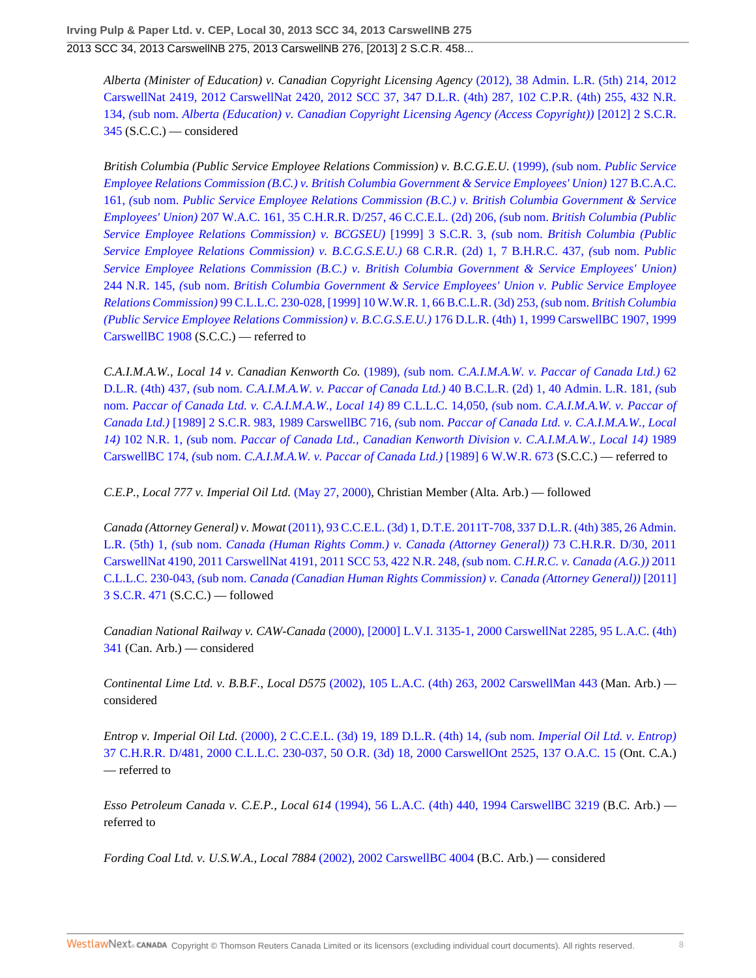*Alberta (Minister of Education) v. Canadian Copyright Licensing Agency* [\(2012\), 38 Admin. L.R. \(5th\) 214, 2012](http://nextcanada.westlaw.com/Link/Document/FullText?findType=Y&pubNum=6407&serNum=2028182920&originationContext=document&transitionType=Document&vr=3.0&rs=cblt1.0&contextData=(sc.History*oc.Default)) [CarswellNat 2419, 2012 CarswellNat 2420, 2012 SCC 37, 347 D.L.R. \(4th\) 287, 102 C.P.R. \(4th\) 255, 432 N.R.](http://nextcanada.westlaw.com/Link/Document/FullText?findType=Y&pubNum=6407&serNum=2028182920&originationContext=document&transitionType=Document&vr=3.0&rs=cblt1.0&contextData=(sc.History*oc.Default)) 134, *(*sub nom. *[Alberta \(Education\) v. Canadian Copyright Licensing Agency \(Access Copyright\)\)](http://nextcanada.westlaw.com/Link/Document/FullText?findType=Y&pubNum=6407&serNum=2028182920&originationContext=document&transitionType=Document&vr=3.0&rs=cblt1.0&contextData=(sc.History*oc.Default))* [2012] 2 S.C.R. [345](http://nextcanada.westlaw.com/Link/Document/FullText?findType=Y&pubNum=6407&serNum=2028182920&originationContext=document&transitionType=Document&vr=3.0&rs=cblt1.0&contextData=(sc.History*oc.Default)) (S.C.C.) — considered

*British Columbia (Public Service Employee Relations Commission) v. B.C.G.E.U.* (1999), *(*sub nom. *[Public Service](http://nextcanada.westlaw.com/Link/Document/FullText?findType=Y&pubNum=6407&serNum=1999291821&originationContext=document&transitionType=Document&vr=3.0&rs=cblt1.0&contextData=(sc.History*oc.Default)) [Employee Relations Commission \(B.C.\) v. British Columbia Government & Service Employees' Union\)](http://nextcanada.westlaw.com/Link/Document/FullText?findType=Y&pubNum=6407&serNum=1999291821&originationContext=document&transitionType=Document&vr=3.0&rs=cblt1.0&contextData=(sc.History*oc.Default))* 127 B.C.A.C. 161, *(*sub nom. *[Public Service Employee Relations Commission \(B.C.\) v. British Columbia Government & Service](http://nextcanada.westlaw.com/Link/Document/FullText?findType=Y&pubNum=6407&serNum=1999291821&originationContext=document&transitionType=Document&vr=3.0&rs=cblt1.0&contextData=(sc.History*oc.Default)) Employees' Union)* [207 W.A.C. 161, 35 C.H.R.R. D/257, 46 C.C.E.L. \(2d\) 206,](http://nextcanada.westlaw.com/Link/Document/FullText?findType=Y&pubNum=6407&serNum=1999291821&originationContext=document&transitionType=Document&vr=3.0&rs=cblt1.0&contextData=(sc.History*oc.Default)) *(*sub nom. *British Columbia (Public [Service Employee Relations Commission\) v. BCGSEU\)](http://nextcanada.westlaw.com/Link/Document/FullText?findType=Y&pubNum=6407&serNum=1999291821&originationContext=document&transitionType=Document&vr=3.0&rs=cblt1.0&contextData=(sc.History*oc.Default))* [1999] 3 S.C.R. 3, *(*sub nom. *British Columbia (Public [Service Employee Relations Commission\) v. B.C.G.S.E.U.\)](http://nextcanada.westlaw.com/Link/Document/FullText?findType=Y&pubNum=6407&serNum=1999291821&originationContext=document&transitionType=Document&vr=3.0&rs=cblt1.0&contextData=(sc.History*oc.Default))* 68 C.R.R. (2d) 1, 7 B.H.R.C. 437, *(*sub nom. *Public [Service Employee Relations Commission \(B.C.\) v. British Columbia Government & Service Employees' Union\)](http://nextcanada.westlaw.com/Link/Document/FullText?findType=Y&pubNum=6407&serNum=1999291821&originationContext=document&transitionType=Document&vr=3.0&rs=cblt1.0&contextData=(sc.History*oc.Default))* 244 N.R. 145, *(*sub nom. *[British Columbia Government & Service Employees' Union v. Public Service Employee](http://nextcanada.westlaw.com/Link/Document/FullText?findType=Y&pubNum=6407&serNum=1999291821&originationContext=document&transitionType=Document&vr=3.0&rs=cblt1.0&contextData=(sc.History*oc.Default)) Relations Commission)* [99 C.L.L.C. 230-028, \[1999\] 10 W.W.R. 1, 66 B.C.L.R. \(3d\) 253,](http://nextcanada.westlaw.com/Link/Document/FullText?findType=Y&pubNum=6407&serNum=1999291821&originationContext=document&transitionType=Document&vr=3.0&rs=cblt1.0&contextData=(sc.History*oc.Default)) *(*sub nom. *British Columbia [\(Public Service Employee Relations Commission\) v. B.C.G.S.E.U.\)](http://nextcanada.westlaw.com/Link/Document/FullText?findType=Y&pubNum=6407&serNum=1999291821&originationContext=document&transitionType=Document&vr=3.0&rs=cblt1.0&contextData=(sc.History*oc.Default))* 176 D.L.R. (4th) 1, 1999 CarswellBC 1907, 1999 [CarswellBC 1908](http://nextcanada.westlaw.com/Link/Document/FullText?findType=Y&pubNum=6407&serNum=1999291821&originationContext=document&transitionType=Document&vr=3.0&rs=cblt1.0&contextData=(sc.History*oc.Default)) (S.C.C.) — referred to

*C.A.I.M.A.W., Local 14 v. Canadian Kenworth Co.* (1989), *(*sub nom. *[C.A.I.M.A.W. v. Paccar of Canada Ltd.\)](http://nextcanada.westlaw.com/Link/Document/FullText?findType=Y&pubNum=6407&serNum=1989310911&originationContext=document&transitionType=Document&vr=3.0&rs=cblt1.0&contextData=(sc.History*oc.Default))* 62 D.L.R. (4th) 437, *(*sub nom. *C.A.I.M.A.W. v. Paccar of Canada Ltd.)* [40 B.C.L.R. \(2d\) 1, 40 Admin. L.R. 181,](http://nextcanada.westlaw.com/Link/Document/FullText?findType=Y&pubNum=6407&serNum=1989310911&originationContext=document&transitionType=Document&vr=3.0&rs=cblt1.0&contextData=(sc.History*oc.Default)) *(*sub nom. *[Paccar of Canada Ltd. v. C.A.I.M.A.W., Local 14\)](http://nextcanada.westlaw.com/Link/Document/FullText?findType=Y&pubNum=6407&serNum=1989310911&originationContext=document&transitionType=Document&vr=3.0&rs=cblt1.0&contextData=(sc.History*oc.Default))* 89 C.L.L.C. 14,050, *(*sub nom. *C.A.I.M.A.W. v. Paccar of Canada Ltd.)* [1989] 2 S.C.R. 983, 1989 CarswellBC 716, *(*sub nom. *[Paccar of Canada Ltd. v. C.A.I.M.A.W., Local](http://nextcanada.westlaw.com/Link/Document/FullText?findType=Y&pubNum=6407&serNum=1989310911&originationContext=document&transitionType=Document&vr=3.0&rs=cblt1.0&contextData=(sc.History*oc.Default)) 14)* 102 N.R. 1, *(*sub nom. *[Paccar of Canada Ltd., Canadian Kenworth Division v. C.A.I.M.A.W., Local 14\)](http://nextcanada.westlaw.com/Link/Document/FullText?findType=Y&pubNum=6407&serNum=1989310911&originationContext=document&transitionType=Document&vr=3.0&rs=cblt1.0&contextData=(sc.History*oc.Default))* 1989 CarswellBC 174, *(*sub nom. *[C.A.I.M.A.W. v. Paccar of Canada Ltd.\)](http://nextcanada.westlaw.com/Link/Document/FullText?findType=Y&pubNum=6407&serNum=1989310911&originationContext=document&transitionType=Document&vr=3.0&rs=cblt1.0&contextData=(sc.History*oc.Default))* [1989] 6 W.W.R. 673 (S.C.C.) — referred to

*C.E.P., Local 777 v. Imperial Oil Ltd.* [\(May 27, 2000\),](http://nextcanada.westlaw.com/Link/Document/FullText?findType=Y&pubNum=6407&serNum=2000679525&originationContext=document&transitionType=Document&vr=3.0&rs=cblt1.0&contextData=(sc.History*oc.Default)) Christian Member (Alta. Arb.) — followed

*Canada (Attorney General) v. Mowat* [\(2011\), 93 C.C.E.L. \(3d\) 1, D.T.E. 2011T-708, 337 D.L.R. \(4th\) 385, 26 Admin.](http://nextcanada.westlaw.com/Link/Document/FullText?findType=Y&pubNum=6407&serNum=2026417211&originationContext=document&transitionType=Document&vr=3.0&rs=cblt1.0&contextData=(sc.History*oc.Default)) L.R. (5th) 1, *(*sub nom. *[Canada \(Human Rights Comm.\) v. Canada \(Attorney General\)\)](http://nextcanada.westlaw.com/Link/Document/FullText?findType=Y&pubNum=6407&serNum=2026417211&originationContext=document&transitionType=Document&vr=3.0&rs=cblt1.0&contextData=(sc.History*oc.Default))* 73 C.H.R.R. D/30, 2011 [CarswellNat 4190, 2011 CarswellNat 4191, 2011 SCC 53, 422 N.R. 248,](http://nextcanada.westlaw.com/Link/Document/FullText?findType=Y&pubNum=6407&serNum=2026417211&originationContext=document&transitionType=Document&vr=3.0&rs=cblt1.0&contextData=(sc.History*oc.Default)) *(*sub nom. *C.H.R.C. v. Canada (A.G.))* 2011 C.L.L.C. 230-043, *(*sub nom. *[Canada \(Canadian Human Rights Commission\) v. Canada \(Attorney General\)\)](http://nextcanada.westlaw.com/Link/Document/FullText?findType=Y&pubNum=6407&serNum=2026417211&originationContext=document&transitionType=Document&vr=3.0&rs=cblt1.0&contextData=(sc.History*oc.Default))* [2011] [3 S.C.R. 471](http://nextcanada.westlaw.com/Link/Document/FullText?findType=Y&pubNum=6407&serNum=2026417211&originationContext=document&transitionType=Document&vr=3.0&rs=cblt1.0&contextData=(sc.History*oc.Default)) (S.C.C.) — followed

*Canadian National Railway v. CAW-Canada* [\(2000\), \[2000\] L.V.I. 3135-1, 2000 CarswellNat 2285, 95 L.A.C. \(4th\)](http://nextcanada.westlaw.com/Link/Document/FullText?findType=Y&pubNum=6407&serNum=2000552591&originationContext=document&transitionType=Document&vr=3.0&rs=cblt1.0&contextData=(sc.History*oc.Default)) [341](http://nextcanada.westlaw.com/Link/Document/FullText?findType=Y&pubNum=6407&serNum=2000552591&originationContext=document&transitionType=Document&vr=3.0&rs=cblt1.0&contextData=(sc.History*oc.Default)) (Can. Arb.) — considered

*Continental Lime Ltd. v. B.B.F., Local D575* [\(2002\), 105 L.A.C. \(4th\) 263, 2002 CarswellMan 443](http://nextcanada.westlaw.com/Link/Document/FullText?findType=Y&pubNum=6407&serNum=2002512227&originationContext=document&transitionType=Document&vr=3.0&rs=cblt1.0&contextData=(sc.History*oc.Default)) (Man. Arb.) considered

*Entrop v. Imperial Oil Ltd.* [\(2000\), 2 C.C.E.L. \(3d\) 19, 189 D.L.R. \(4th\) 14,](http://nextcanada.westlaw.com/Link/Document/FullText?findType=Y&pubNum=6407&serNum=2000548423&originationContext=document&transitionType=Document&vr=3.0&rs=cblt1.0&contextData=(sc.History*oc.Default)) *(*sub nom. *Imperial Oil Ltd. v. Entrop)* [37 C.H.R.R. D/481, 2000 C.L.L.C. 230-037, 50 O.R. \(3d\) 18, 2000 CarswellOnt 2525, 137 O.A.C. 15](http://nextcanada.westlaw.com/Link/Document/FullText?findType=Y&pubNum=6407&serNum=2000548423&originationContext=document&transitionType=Document&vr=3.0&rs=cblt1.0&contextData=(sc.History*oc.Default)) (Ont. C.A.) — referred to

*Esso Petroleum Canada v. C.E.P., Local 614* [\(1994\), 56 L.A.C. \(4th\) 440, 1994 CarswellBC 3219](http://nextcanada.westlaw.com/Link/Document/FullText?findType=Y&pubNum=6407&serNum=1994410920&originationContext=document&transitionType=Document&vr=3.0&rs=cblt1.0&contextData=(sc.History*oc.Default)) (B.C. Arb.) referred to

*Fording Coal Ltd. v. U.S.W.A., Local 7884* [\(2002\), 2002 CarswellBC 4004](http://nextcanada.westlaw.com/Link/Document/FullText?findType=Y&pubNum=6407&serNum=2002826684&originationContext=document&transitionType=Document&vr=3.0&rs=cblt1.0&contextData=(sc.History*oc.Default)) (B.C. Arb.) — considered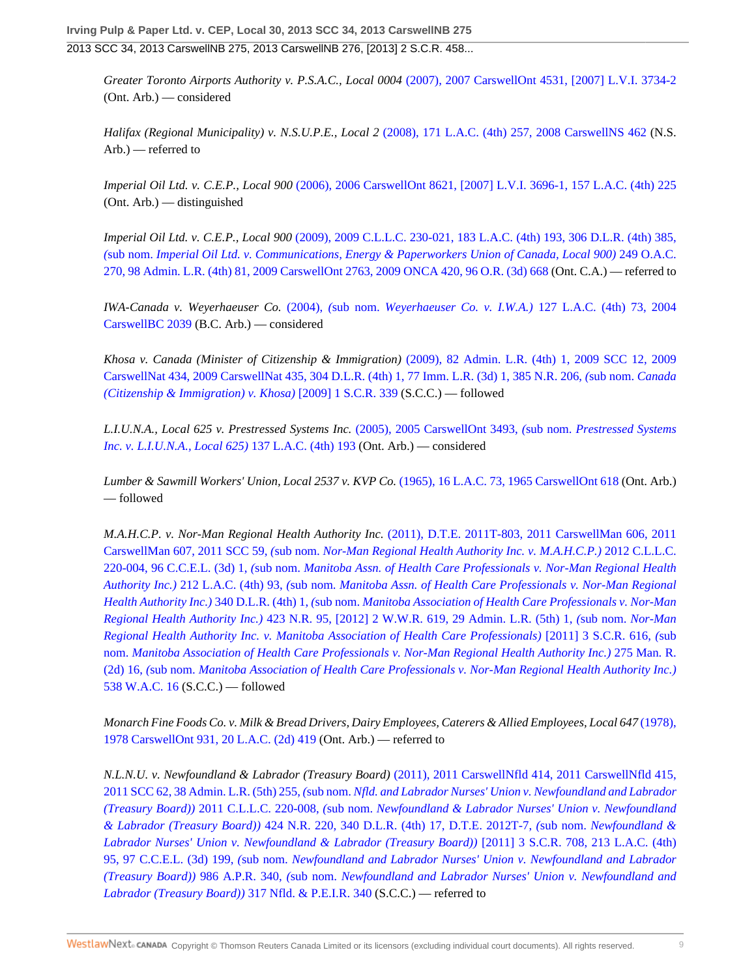*Greater Toronto Airports Authority v. P.S.A.C., Local 0004* [\(2007\), 2007 CarswellOnt 4531, \[2007\] L.V.I. 3734-2](http://nextcanada.westlaw.com/Link/Document/FullText?findType=Y&pubNum=6407&serNum=2012726951&originationContext=document&transitionType=Document&vr=3.0&rs=cblt1.0&contextData=(sc.History*oc.Default)) (Ont. Arb.) — considered

*Halifax (Regional Municipality) v. N.S.U.P.E., Local 2* [\(2008\), 171 L.A.C. \(4th\) 257, 2008 CarswellNS 462](http://nextcanada.westlaw.com/Link/Document/FullText?findType=Y&pubNum=6407&serNum=2016911144&originationContext=document&transitionType=Document&vr=3.0&rs=cblt1.0&contextData=(sc.History*oc.Default)) (N.S. Arb.) — referred to

*Imperial Oil Ltd. v. C.E.P., Local 900* [\(2006\), 2006 CarswellOnt 8621, \[2007\] L.V.I. 3696-1, 157 L.A.C. \(4th\) 225](http://nextcanada.westlaw.com/Link/Document/FullText?findType=Y&pubNum=6407&serNum=2011407980&originationContext=document&transitionType=Document&vr=3.0&rs=cblt1.0&contextData=(sc.History*oc.Default)) (Ont. Arb.) — distinguished

*Imperial Oil Ltd. v. C.E.P., Local 900* [\(2009\), 2009 C.L.L.C. 230-021, 183 L.A.C. \(4th\) 193, 306 D.L.R. \(4th\) 385,](http://nextcanada.westlaw.com/Link/Document/FullText?findType=Y&pubNum=6407&serNum=2018889068&originationContext=document&transitionType=Document&vr=3.0&rs=cblt1.0&contextData=(sc.History*oc.Default)) *(*sub nom. *[Imperial Oil Ltd. v. Communications, Energy & Paperworkers Union of Canada, Local 900\)](http://nextcanada.westlaw.com/Link/Document/FullText?findType=Y&pubNum=6407&serNum=2018889068&originationContext=document&transitionType=Document&vr=3.0&rs=cblt1.0&contextData=(sc.History*oc.Default))* 249 O.A.C. [270, 98 Admin. L.R. \(4th\) 81, 2009 CarswellOnt 2763, 2009 ONCA 420, 96 O.R. \(3d\) 668](http://nextcanada.westlaw.com/Link/Document/FullText?findType=Y&pubNum=6407&serNum=2018889068&originationContext=document&transitionType=Document&vr=3.0&rs=cblt1.0&contextData=(sc.History*oc.Default)) (Ont. C.A.) — referred to

*IWA-Canada v. Weyerhaeuser Co.* (2004), *(*sub nom. *[Weyerhaeuser Co. v. I.W.A.\)](http://nextcanada.westlaw.com/Link/Document/FullText?findType=Y&pubNum=6407&serNum=2004909212&originationContext=document&transitionType=Document&vr=3.0&rs=cblt1.0&contextData=(sc.History*oc.Default))* 127 L.A.C. (4th) 73, 2004 [CarswellBC 2039](http://nextcanada.westlaw.com/Link/Document/FullText?findType=Y&pubNum=6407&serNum=2004909212&originationContext=document&transitionType=Document&vr=3.0&rs=cblt1.0&contextData=(sc.History*oc.Default)) (B.C. Arb.) — considered

*Khosa v. Canada (Minister of Citizenship & Immigration)* [\(2009\), 82 Admin. L.R. \(4th\) 1, 2009 SCC 12, 2009](http://nextcanada.westlaw.com/Link/Document/FullText?findType=Y&pubNum=6407&serNum=2018284831&originationContext=document&transitionType=Document&vr=3.0&rs=cblt1.0&contextData=(sc.History*oc.Default)) [CarswellNat 434, 2009 CarswellNat 435, 304 D.L.R. \(4th\) 1, 77 Imm. L.R. \(3d\) 1, 385 N.R. 206,](http://nextcanada.westlaw.com/Link/Document/FullText?findType=Y&pubNum=6407&serNum=2018284831&originationContext=document&transitionType=Document&vr=3.0&rs=cblt1.0&contextData=(sc.History*oc.Default)) *(*sub nom. *Canada [\(Citizenship & Immigration\) v. Khosa\)](http://nextcanada.westlaw.com/Link/Document/FullText?findType=Y&pubNum=6407&serNum=2018284831&originationContext=document&transitionType=Document&vr=3.0&rs=cblt1.0&contextData=(sc.History*oc.Default))* [2009] 1 S.C.R. 339 (S.C.C.) — followed

*L.I.U.N.A., Local 625 v. Prestressed Systems Inc.* [\(2005\), 2005 CarswellOnt 3493,](http://nextcanada.westlaw.com/Link/Document/FullText?findType=Y&pubNum=6407&serNum=2006992313&originationContext=document&transitionType=Document&vr=3.0&rs=cblt1.0&contextData=(sc.History*oc.Default)) *(*sub nom. *Prestressed Systems [Inc. v. L.I.U.N.A., Local 625\)](http://nextcanada.westlaw.com/Link/Document/FullText?findType=Y&pubNum=6407&serNum=2006992313&originationContext=document&transitionType=Document&vr=3.0&rs=cblt1.0&contextData=(sc.History*oc.Default))* 137 L.A.C. (4th) 193 (Ont. Arb.) — considered

*Lumber & Sawmill Workers' Union, Local 2537 v. KVP Co.* [\(1965\), 16 L.A.C. 73, 1965 CarswellOnt 618](http://nextcanada.westlaw.com/Link/Document/FullText?findType=Y&pubNum=6407&serNum=1965069024&originationContext=document&transitionType=Document&vr=3.0&rs=cblt1.0&contextData=(sc.History*oc.Default)) (Ont. Arb.) — followed

*M.A.H.C.P. v. Nor-Man Regional Health Authority Inc.* [\(2011\), D.T.E. 2011T-803, 2011 CarswellMan 606, 2011](http://nextcanada.westlaw.com/Link/Document/FullText?findType=Y&pubNum=6407&serNum=2026610657&originationContext=document&transitionType=Document&vr=3.0&rs=cblt1.0&contextData=(sc.History*oc.Default)) CarswellMan 607, 2011 SCC 59, *(*sub nom. *[Nor-Man Regional Health Authority Inc. v. M.A.H.C.P.\)](http://nextcanada.westlaw.com/Link/Document/FullText?findType=Y&pubNum=6407&serNum=2026610657&originationContext=document&transitionType=Document&vr=3.0&rs=cblt1.0&contextData=(sc.History*oc.Default))* 2012 C.L.L.C. 220-004, 96 C.C.E.L. (3d) 1, *(*sub nom. *[Manitoba Assn. of Health Care Professionals v. Nor-Man Regional Health](http://nextcanada.westlaw.com/Link/Document/FullText?findType=Y&pubNum=6407&serNum=2026610657&originationContext=document&transitionType=Document&vr=3.0&rs=cblt1.0&contextData=(sc.History*oc.Default)) Authority Inc.)* 212 L.A.C. (4th) 93, *(*sub nom. *[Manitoba Assn. of Health Care Professionals v. Nor-Man Regional](http://nextcanada.westlaw.com/Link/Document/FullText?findType=Y&pubNum=6407&serNum=2026610657&originationContext=document&transitionType=Document&vr=3.0&rs=cblt1.0&contextData=(sc.History*oc.Default)) Health Authority Inc.)* 340 D.L.R. (4th) 1, *(*sub nom. *[Manitoba Association of Health Care Professionals v. Nor-Man](http://nextcanada.westlaw.com/Link/Document/FullText?findType=Y&pubNum=6407&serNum=2026610657&originationContext=document&transitionType=Document&vr=3.0&rs=cblt1.0&contextData=(sc.History*oc.Default)) Regional Health Authority Inc.)* [423 N.R. 95, \[2012\] 2 W.W.R. 619, 29 Admin. L.R. \(5th\) 1,](http://nextcanada.westlaw.com/Link/Document/FullText?findType=Y&pubNum=6407&serNum=2026610657&originationContext=document&transitionType=Document&vr=3.0&rs=cblt1.0&contextData=(sc.History*oc.Default)) *(*sub nom. *Nor-Man [Regional Health Authority Inc. v. Manitoba Association of Health Care Professionals\)](http://nextcanada.westlaw.com/Link/Document/FullText?findType=Y&pubNum=6407&serNum=2026610657&originationContext=document&transitionType=Document&vr=3.0&rs=cblt1.0&contextData=(sc.History*oc.Default))* [2011] 3 S.C.R. 616, *(*sub nom. *[Manitoba Association of Health Care Professionals v. Nor-Man Regional Health Authority Inc.\)](http://nextcanada.westlaw.com/Link/Document/FullText?findType=Y&pubNum=6407&serNum=2026610657&originationContext=document&transitionType=Document&vr=3.0&rs=cblt1.0&contextData=(sc.History*oc.Default))* 275 Man. R. (2d) 16, *(*sub nom. *[Manitoba Association of Health Care Professionals v. Nor-Man Regional Health Authority Inc.\)](http://nextcanada.westlaw.com/Link/Document/FullText?findType=Y&pubNum=6407&serNum=2026610657&originationContext=document&transitionType=Document&vr=3.0&rs=cblt1.0&contextData=(sc.History*oc.Default))* [538 W.A.C. 16](http://nextcanada.westlaw.com/Link/Document/FullText?findType=Y&pubNum=6407&serNum=2026610657&originationContext=document&transitionType=Document&vr=3.0&rs=cblt1.0&contextData=(sc.History*oc.Default)) (S.C.C.) — followed

*Monarch Fine Foods Co. v. Milk & Bread Drivers, Dairy Employees, Caterers & Allied Employees, Local 647* [\(1978\),](http://nextcanada.westlaw.com/Link/Document/FullText?findType=Y&pubNum=6407&serNum=1978153888&originationContext=document&transitionType=Document&vr=3.0&rs=cblt1.0&contextData=(sc.History*oc.Default)) [1978 CarswellOnt 931, 20 L.A.C. \(2d\) 419](http://nextcanada.westlaw.com/Link/Document/FullText?findType=Y&pubNum=6407&serNum=1978153888&originationContext=document&transitionType=Document&vr=3.0&rs=cblt1.0&contextData=(sc.History*oc.Default)) (Ont. Arb.) — referred to

*N.L.N.U. v. Newfoundland & Labrador (Treasury Board)* [\(2011\), 2011 CarswellNfld 414, 2011 CarswellNfld 415,](http://nextcanada.westlaw.com/Link/Document/FullText?findType=Y&pubNum=6407&serNum=2026678952&originationContext=document&transitionType=Document&vr=3.0&rs=cblt1.0&contextData=(sc.History*oc.Default)) 2011 SCC 62, 38 Admin. L.R. (5th) 255, *(*sub nom. *[Nfld. and Labrador Nurses' Union v. Newfoundland and Labrador](http://nextcanada.westlaw.com/Link/Document/FullText?findType=Y&pubNum=6407&serNum=2026678952&originationContext=document&transitionType=Document&vr=3.0&rs=cblt1.0&contextData=(sc.History*oc.Default)) (Treasury Board))* 2011 C.L.L.C. 220-008, *(*sub nom. *[Newfoundland & Labrador Nurses' Union v. Newfoundland](http://nextcanada.westlaw.com/Link/Document/FullText?findType=Y&pubNum=6407&serNum=2026678952&originationContext=document&transitionType=Document&vr=3.0&rs=cblt1.0&contextData=(sc.History*oc.Default)) & Labrador (Treasury Board))* [424 N.R. 220, 340 D.L.R. \(4th\) 17, D.T.E. 2012T-7,](http://nextcanada.westlaw.com/Link/Document/FullText?findType=Y&pubNum=6407&serNum=2026678952&originationContext=document&transitionType=Document&vr=3.0&rs=cblt1.0&contextData=(sc.History*oc.Default)) *(*sub nom. *Newfoundland & [Labrador Nurses' Union v. Newfoundland & Labrador \(Treasury Board\)\)](http://nextcanada.westlaw.com/Link/Document/FullText?findType=Y&pubNum=6407&serNum=2026678952&originationContext=document&transitionType=Document&vr=3.0&rs=cblt1.0&contextData=(sc.History*oc.Default))* [2011] 3 S.C.R. 708, 213 L.A.C. (4th) 95, 97 C.C.E.L. (3d) 199, *(*sub nom. *[Newfoundland and Labrador Nurses' Union v. Newfoundland and Labrador](http://nextcanada.westlaw.com/Link/Document/FullText?findType=Y&pubNum=6407&serNum=2026678952&originationContext=document&transitionType=Document&vr=3.0&rs=cblt1.0&contextData=(sc.History*oc.Default)) (Treasury Board))* 986 A.P.R. 340, *(*sub nom. *[Newfoundland and Labrador Nurses' Union v. Newfoundland and](http://nextcanada.westlaw.com/Link/Document/FullText?findType=Y&pubNum=6407&serNum=2026678952&originationContext=document&transitionType=Document&vr=3.0&rs=cblt1.0&contextData=(sc.History*oc.Default)) [Labrador \(Treasury Board\)\)](http://nextcanada.westlaw.com/Link/Document/FullText?findType=Y&pubNum=6407&serNum=2026678952&originationContext=document&transitionType=Document&vr=3.0&rs=cblt1.0&contextData=(sc.History*oc.Default))* 317 Nfld. & P.E.I.R. 340 (S.C.C.) — referred to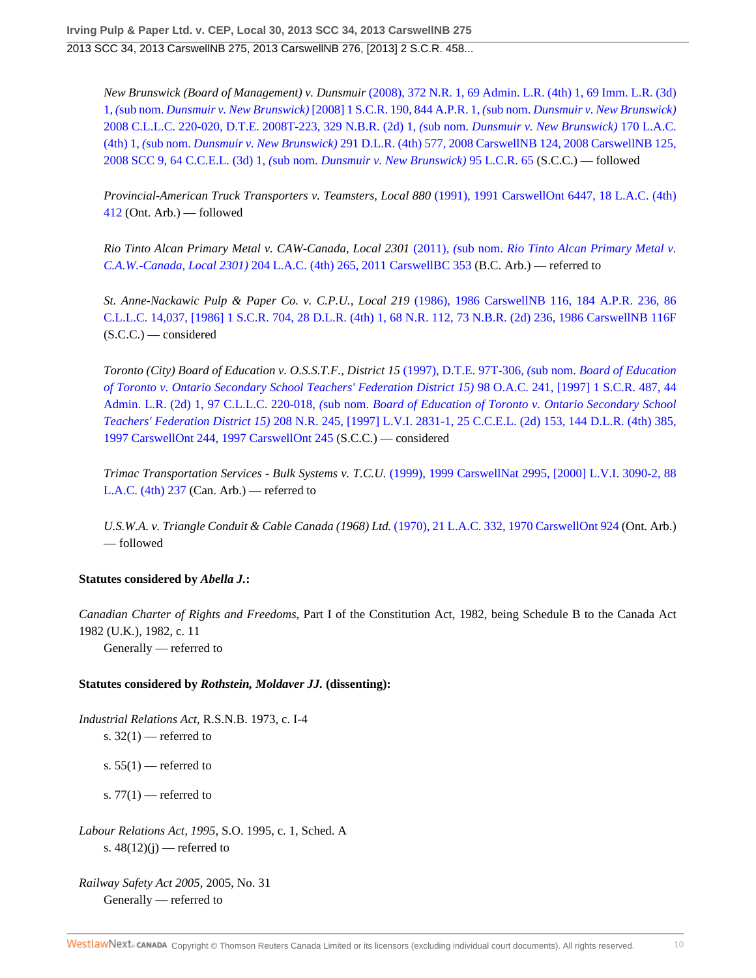*New Brunswick (Board of Management) v. Dunsmuir* [\(2008\), 372 N.R. 1, 69 Admin. L.R. \(4th\) 1, 69 Imm. L.R. \(3d\)](http://nextcanada.westlaw.com/Link/Document/FullText?findType=Y&pubNum=6407&serNum=2015426704&originationContext=document&transitionType=Document&vr=3.0&rs=cblt1.0&contextData=(sc.History*oc.Default)) 1, *(*sub nom. *Dunsmuir v. New Brunswick)* [\[2008\] 1 S.C.R. 190, 844 A.P.R. 1,](http://nextcanada.westlaw.com/Link/Document/FullText?findType=Y&pubNum=6407&serNum=2015426704&originationContext=document&transitionType=Document&vr=3.0&rs=cblt1.0&contextData=(sc.History*oc.Default)) *(*sub nom. *Dunsmuir v. New Brunswick)* [2008 C.L.L.C. 220-020, D.T.E. 2008T-223, 329 N.B.R. \(2d\) 1,](http://nextcanada.westlaw.com/Link/Document/FullText?findType=Y&pubNum=6407&serNum=2015426704&originationContext=document&transitionType=Document&vr=3.0&rs=cblt1.0&contextData=(sc.History*oc.Default)) *(*sub nom. *Dunsmuir v. New Brunswick)* 170 L.A.C. (4th) 1, *(*sub nom. *Dunsmuir v. New Brunswick)* [291 D.L.R. \(4th\) 577, 2008 CarswellNB 124, 2008 CarswellNB 125,](http://nextcanada.westlaw.com/Link/Document/FullText?findType=Y&pubNum=6407&serNum=2015426704&originationContext=document&transitionType=Document&vr=3.0&rs=cblt1.0&contextData=(sc.History*oc.Default)) [2008 SCC 9, 64 C.C.E.L. \(3d\) 1,](http://nextcanada.westlaw.com/Link/Document/FullText?findType=Y&pubNum=6407&serNum=2015426704&originationContext=document&transitionType=Document&vr=3.0&rs=cblt1.0&contextData=(sc.History*oc.Default)) *(*sub nom. *Dunsmuir v. New Brunswick)* 95 L.C.R. 65 (S.C.C.) — followed

*Provincial-American Truck Transporters v. Teamsters, Local 880* [\(1991\), 1991 CarswellOnt 6447, 18 L.A.C. \(4th\)](http://nextcanada.westlaw.com/Link/Document/FullText?findType=Y&pubNum=6407&serNum=1991349792&originationContext=document&transitionType=Document&vr=3.0&rs=cblt1.0&contextData=(sc.History*oc.Default)) [412](http://nextcanada.westlaw.com/Link/Document/FullText?findType=Y&pubNum=6407&serNum=1991349792&originationContext=document&transitionType=Document&vr=3.0&rs=cblt1.0&contextData=(sc.History*oc.Default)) (Ont. Arb.) — followed

*Rio Tinto Alcan Primary Metal v. CAW-Canada, Local 2301* (2011), *(*sub nom. *[Rio Tinto Alcan Primary Metal v.](http://nextcanada.westlaw.com/Link/Document/FullText?findType=Y&pubNum=6407&serNum=2024672148&originationContext=document&transitionType=Document&vr=3.0&rs=cblt1.0&contextData=(sc.History*oc.Default)) C.A.W.-Canada, Local 2301)* [204 L.A.C. \(4th\) 265, 2011 CarswellBC 353](http://nextcanada.westlaw.com/Link/Document/FullText?findType=Y&pubNum=6407&serNum=2024672148&originationContext=document&transitionType=Document&vr=3.0&rs=cblt1.0&contextData=(sc.History*oc.Default)) (B.C. Arb.) — referred to

*St. Anne-Nackawic Pulp & Paper Co. v. C.P.U., Local 219* [\(1986\), 1986 CarswellNB 116, 184 A.P.R. 236, 86](http://nextcanada.westlaw.com/Link/Document/FullText?findType=Y&pubNum=6407&serNum=1986269555&originationContext=document&transitionType=Document&vr=3.0&rs=cblt1.0&contextData=(sc.History*oc.Default)) [C.L.L.C. 14,037, \[1986\] 1 S.C.R. 704, 28 D.L.R. \(4th\) 1, 68 N.R. 112, 73 N.B.R. \(2d\) 236, 1986 CarswellNB 116F](http://nextcanada.westlaw.com/Link/Document/FullText?findType=Y&pubNum=6407&serNum=1986269555&originationContext=document&transitionType=Document&vr=3.0&rs=cblt1.0&contextData=(sc.History*oc.Default))  $(S.C.C.)$  — considered

*Toronto (City) Board of Education v. O.S.S.T.F., District 15* [\(1997\), D.T.E. 97T-306,](http://nextcanada.westlaw.com/Link/Document/FullText?findType=Y&pubNum=6407&serNum=1997408412&originationContext=document&transitionType=Document&vr=3.0&rs=cblt1.0&contextData=(sc.History*oc.Default)) *(*sub nom. *Board of Education [of Toronto v. Ontario Secondary School Teachers' Federation District 15\)](http://nextcanada.westlaw.com/Link/Document/FullText?findType=Y&pubNum=6407&serNum=1997408412&originationContext=document&transitionType=Document&vr=3.0&rs=cblt1.0&contextData=(sc.History*oc.Default))* 98 O.A.C. 241, [1997] 1 S.C.R. 487, 44 Admin. L.R. (2d) 1, 97 C.L.L.C. 220-018, *(*sub nom. *[Board of Education of Toronto v. Ontario Secondary School](http://nextcanada.westlaw.com/Link/Document/FullText?findType=Y&pubNum=6407&serNum=1997408412&originationContext=document&transitionType=Document&vr=3.0&rs=cblt1.0&contextData=(sc.History*oc.Default)) Teachers' Federation District 15)* [208 N.R. 245, \[1997\] L.V.I. 2831-1, 25 C.C.E.L. \(2d\) 153, 144 D.L.R. \(4th\) 385,](http://nextcanada.westlaw.com/Link/Document/FullText?findType=Y&pubNum=6407&serNum=1997408412&originationContext=document&transitionType=Document&vr=3.0&rs=cblt1.0&contextData=(sc.History*oc.Default)) [1997 CarswellOnt 244, 1997 CarswellOnt 245](http://nextcanada.westlaw.com/Link/Document/FullText?findType=Y&pubNum=6407&serNum=1997408412&originationContext=document&transitionType=Document&vr=3.0&rs=cblt1.0&contextData=(sc.History*oc.Default)) (S.C.C.) — considered

*Trimac Transportation Services - Bulk Systems v. T.C.U.* [\(1999\), 1999 CarswellNat 2995, \[2000\] L.V.I. 3090-2, 88](http://nextcanada.westlaw.com/Link/Document/FullText?findType=Y&pubNum=6407&serNum=1999502161&originationContext=document&transitionType=Document&vr=3.0&rs=cblt1.0&contextData=(sc.History*oc.Default)) [L.A.C. \(4th\) 237](http://nextcanada.westlaw.com/Link/Document/FullText?findType=Y&pubNum=6407&serNum=1999502161&originationContext=document&transitionType=Document&vr=3.0&rs=cblt1.0&contextData=(sc.History*oc.Default)) (Can. Arb.) — referred to

*U.S.W.A. v. Triangle Conduit & Cable Canada (1968) Ltd.* [\(1970\), 21 L.A.C. 332, 1970 CarswellOnt 924](http://nextcanada.westlaw.com/Link/Document/FullText?findType=Y&pubNum=6407&serNum=1970086889&originationContext=document&transitionType=Document&vr=3.0&rs=cblt1.0&contextData=(sc.History*oc.Default)) (Ont. Arb.) — followed

# **Statutes considered by** *Abella J.***:**

*Canadian Charter of Rights and Freedoms*, Part I of the Constitution Act, 1982, being Schedule B to the Canada Act 1982 (U.K.), 1982, c. 11

Generally — referred to

## **Statutes considered by** *Rothstein, Moldaver JJ.* **(dissenting):**

*Industrial Relations Act*, R.S.N.B. 1973, c. I-4 s.  $32(1)$  — referred to

s.  $55(1)$  — referred to

s.  $77(1)$  — referred to

*Labour Relations Act, 1995*, S.O. 1995, c. 1, Sched. A s.  $48(12)(j)$  — referred to

*Railway Safety Act 2005*, 2005, No. 31 Generally — referred to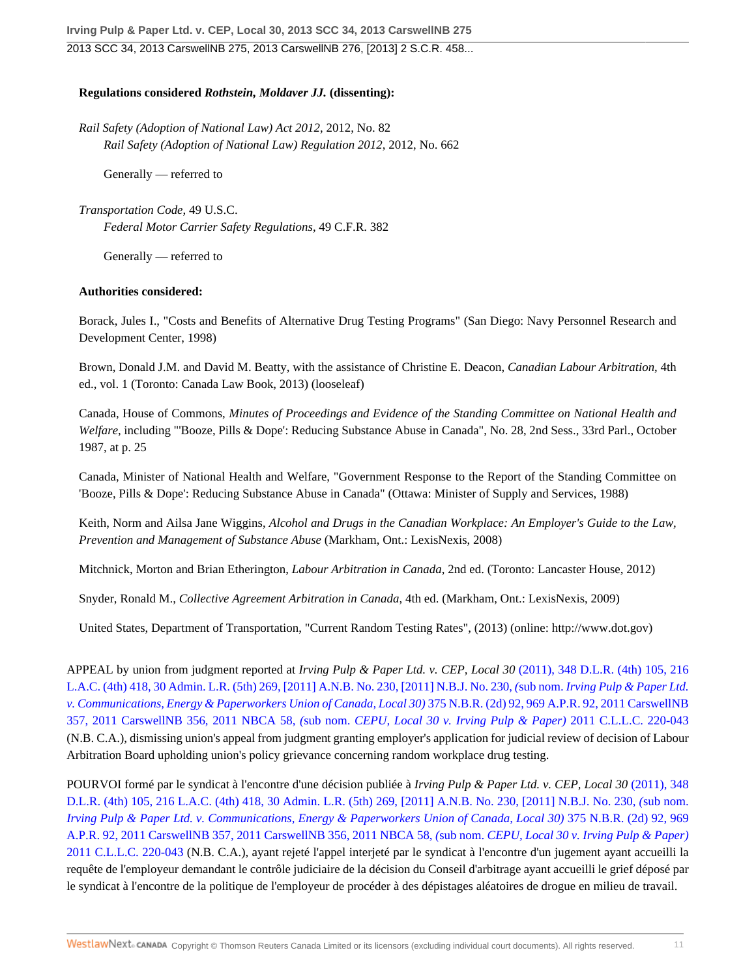## **Regulations considered** *Rothstein, Moldaver JJ.* **(dissenting):**

*Rail Safety (Adoption of National Law) Act 2012*, 2012, No. 82 *Rail Safety (Adoption of National Law) Regulation 2012*, 2012, No. 662

Generally — referred to

*Transportation Code*, 49 U.S.C. *Federal Motor Carrier Safety Regulations*, 49 C.F.R. 382

Generally — referred to

## **Authorities considered:**

Borack, Jules I., "Costs and Benefits of Alternative Drug Testing Programs" (San Diego: Navy Personnel Research and Development Center, 1998)

Brown, Donald J.M. and David M. Beatty, with the assistance of Christine E. Deacon, *Canadian Labour Arbitration*, 4th ed., vol. 1 (Toronto: Canada Law Book, 2013) (looseleaf)

Canada, House of Commons, *Minutes of Proceedings and Evidence of the Standing Committee on National Health and Welfare*, including "'Booze, Pills & Dope': Reducing Substance Abuse in Canada", No. 28, 2nd Sess., 33rd Parl., October 1987, at p. 25

Canada, Minister of National Health and Welfare, "Government Response to the Report of the Standing Committee on 'Booze, Pills & Dope': Reducing Substance Abuse in Canada" (Ottawa: Minister of Supply and Services, 1988)

Keith, Norm and Ailsa Jane Wiggins, *Alcohol and Drugs in the Canadian Workplace: An Employer's Guide to the Law, Prevention and Management of Substance Abuse* (Markham, Ont.: LexisNexis, 2008)

Mitchnick, Morton and Brian Etherington, *Labour Arbitration in Canada*, 2nd ed. (Toronto: Lancaster House, 2012)

Snyder, Ronald M., *Collective Agreement Arbitration in Canada*, 4th ed. (Markham, Ont.: LexisNexis, 2009)

United States, Department of Transportation, "Current Random Testing Rates", (2013) (online: http://www.dot.gov)

APPEAL by union from judgment reported at *Irving Pulp & Paper Ltd. v. CEP, Local 30* [\(2011\), 348 D.L.R. \(4th\) 105, 216](http://nextcanada.westlaw.com/Link/Document/FullText?findType=Y&pubNum=6407&serNum=2025645951&originationContext=document&transitionType=Document&vr=3.0&rs=cblt1.0&contextData=(sc.History*oc.Default)) [L.A.C. \(4th\) 418, 30 Admin. L.R. \(5th\) 269, \[2011\] A.N.B. No. 230, \[2011\] N.B.J. No. 230,](http://nextcanada.westlaw.com/Link/Document/FullText?findType=Y&pubNum=6407&serNum=2025645951&originationContext=document&transitionType=Document&vr=3.0&rs=cblt1.0&contextData=(sc.History*oc.Default)) *(*sub nom. *Irving Pulp & Paper Ltd. [v. Communications, Energy & Paperworkers Union of Canada, Local 30\)](http://nextcanada.westlaw.com/Link/Document/FullText?findType=Y&pubNum=6407&serNum=2025645951&originationContext=document&transitionType=Document&vr=3.0&rs=cblt1.0&contextData=(sc.History*oc.Default))* 375 N.B.R. (2d) 92, 969 A.P.R. 92, 2011 CarswellNB [357, 2011 CarswellNB 356, 2011 NBCA 58,](http://nextcanada.westlaw.com/Link/Document/FullText?findType=Y&pubNum=6407&serNum=2025645951&originationContext=document&transitionType=Document&vr=3.0&rs=cblt1.0&contextData=(sc.History*oc.Default)) *(*sub nom. *CEPU, Local 30 v. Irving Pulp & Paper)* 2011 C.L.L.C. 220-043 (N.B. C.A.), dismissing union's appeal from judgment granting employer's application for judicial review of decision of Labour Arbitration Board upholding union's policy grievance concerning random workplace drug testing.

POURVOI formé par le syndicat à l'encontre d'une décision publiée à *Irving Pulp & Paper Ltd. v. CEP, Local 30* [\(2011\), 348](http://nextcanada.westlaw.com/Link/Document/FullText?findType=Y&pubNum=6407&serNum=2025645951&originationContext=document&transitionType=Document&vr=3.0&rs=cblt1.0&contextData=(sc.History*oc.Default)) [D.L.R. \(4th\) 105, 216 L.A.C. \(4th\) 418, 30 Admin. L.R. \(5th\) 269, \[2011\] A.N.B. No. 230, \[2011\] N.B.J. No. 230,](http://nextcanada.westlaw.com/Link/Document/FullText?findType=Y&pubNum=6407&serNum=2025645951&originationContext=document&transitionType=Document&vr=3.0&rs=cblt1.0&contextData=(sc.History*oc.Default)) *(*sub nom. *[Irving Pulp & Paper Ltd. v. Communications, Energy & Paperworkers Union of Canada, Local 30\)](http://nextcanada.westlaw.com/Link/Document/FullText?findType=Y&pubNum=6407&serNum=2025645951&originationContext=document&transitionType=Document&vr=3.0&rs=cblt1.0&contextData=(sc.History*oc.Default))* 375 N.B.R. (2d) 92, 969 [A.P.R. 92, 2011 CarswellNB 357, 2011 CarswellNB 356, 2011 NBCA 58,](http://nextcanada.westlaw.com/Link/Document/FullText?findType=Y&pubNum=6407&serNum=2025645951&originationContext=document&transitionType=Document&vr=3.0&rs=cblt1.0&contextData=(sc.History*oc.Default)) *(*sub nom. *CEPU, Local 30 v. Irving Pulp & Paper)* [2011 C.L.L.C. 220-043](http://nextcanada.westlaw.com/Link/Document/FullText?findType=Y&pubNum=6407&serNum=2025645951&originationContext=document&transitionType=Document&vr=3.0&rs=cblt1.0&contextData=(sc.History*oc.Default)) (N.B. C.A.), ayant rejeté l'appel interjeté par le syndicat à l'encontre d'un jugement ayant accueilli la requête de l'employeur demandant le contrôle judiciaire de la décision du Conseil d'arbitrage ayant accueilli le grief déposé par le syndicat à l'encontre de la politique de l'employeur de procéder à des dépistages aléatoires de drogue en milieu de travail.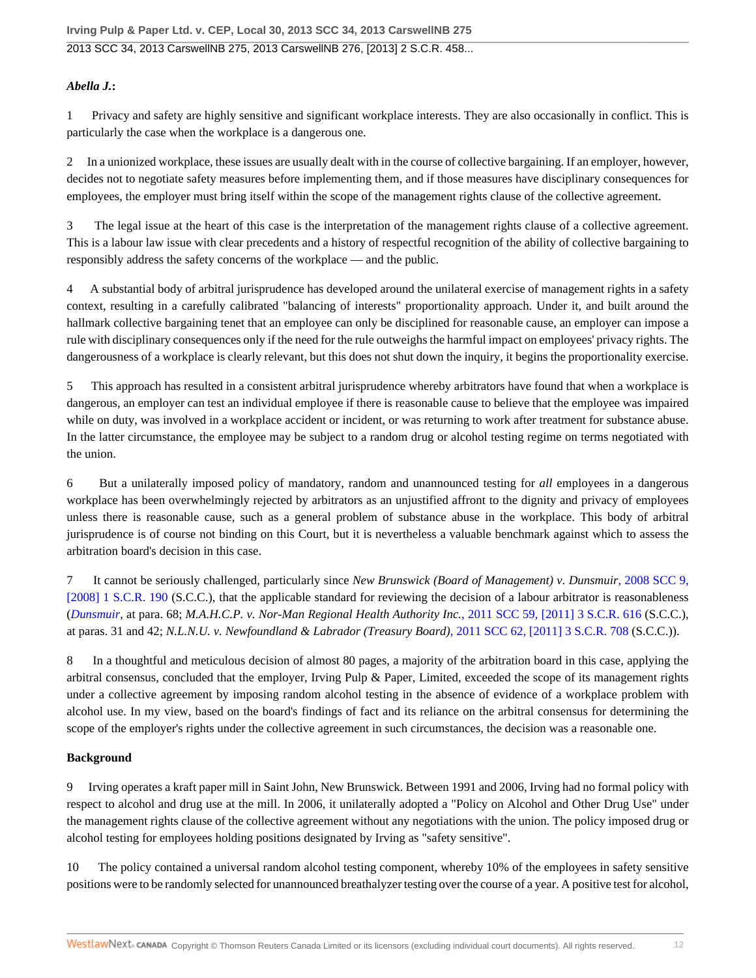## *Abella J.***:**

1 Privacy and safety are highly sensitive and significant workplace interests. They are also occasionally in conflict. This is particularly the case when the workplace is a dangerous one.

2 In a unionized workplace, these issues are usually dealt with in the course of collective bargaining. If an employer, however, decides not to negotiate safety measures before implementing them, and if those measures have disciplinary consequences for employees, the employer must bring itself within the scope of the management rights clause of the collective agreement.

3 The legal issue at the heart of this case is the interpretation of the management rights clause of a collective agreement. This is a labour law issue with clear precedents and a history of respectful recognition of the ability of collective bargaining to responsibly address the safety concerns of the workplace — and the public.

4 A substantial body of arbitral jurisprudence has developed around the unilateral exercise of management rights in a safety context, resulting in a carefully calibrated "balancing of interests" proportionality approach. Under it, and built around the hallmark collective bargaining tenet that an employee can only be disciplined for reasonable cause, an employer can impose a rule with disciplinary consequences only if the need for the rule outweighs the harmful impact on employees' privacy rights. The dangerousness of a workplace is clearly relevant, but this does not shut down the inquiry, it begins the proportionality exercise.

5 This approach has resulted in a consistent arbitral jurisprudence whereby arbitrators have found that when a workplace is dangerous, an employer can test an individual employee if there is reasonable cause to believe that the employee was impaired while on duty, was involved in a workplace accident or incident, or was returning to work after treatment for substance abuse. In the latter circumstance, the employee may be subject to a random drug or alcohol testing regime on terms negotiated with the union.

6 But a unilaterally imposed policy of mandatory, random and unannounced testing for *all* employees in a dangerous workplace has been overwhelmingly rejected by arbitrators as an unjustified affront to the dignity and privacy of employees unless there is reasonable cause, such as a general problem of substance abuse in the workplace. This body of arbitral jurisprudence is of course not binding on this Court, but it is nevertheless a valuable benchmark against which to assess the arbitration board's decision in this case.

7 It cannot be seriously challenged, particularly since *New Brunswick (Board of Management) v. Dunsmuir*[, 2008 SCC 9,](http://nextcanada.westlaw.com/Link/Document/FullText?findType=Y&pubNum=6407&serNum=2015426704&originationContext=document&transitionType=Document&vr=3.0&rs=cblt1.0&contextData=(sc.History*oc.Default)) [\[2008\] 1 S.C.R. 190](http://nextcanada.westlaw.com/Link/Document/FullText?findType=Y&pubNum=6407&serNum=2015426704&originationContext=document&transitionType=Document&vr=3.0&rs=cblt1.0&contextData=(sc.History*oc.Default)) (S.C.C.), that the applicable standard for reviewing the decision of a labour arbitrator is reasonableness (*[Dunsmuir](http://nextcanada.westlaw.com/Link/Document/FullText?findType=Y&pubNum=6407&serNum=2015426704&originationContext=document&transitionType=Document&vr=3.0&rs=cblt1.0&contextData=(sc.History*oc.Default))*, at para. 68; *M.A.H.C.P. v. Nor-Man Regional Health Authority Inc.*[, 2011 SCC 59, \[2011\] 3 S.C.R. 616](http://nextcanada.westlaw.com/Link/Document/FullText?findType=Y&pubNum=6407&serNum=2026610657&originationContext=document&transitionType=Document&vr=3.0&rs=cblt1.0&contextData=(sc.History*oc.Default)) (S.C.C.), at paras. 31 and 42; *N.L.N.U. v. Newfoundland & Labrador (Treasury Board)*[, 2011 SCC 62, \[2011\] 3 S.C.R. 708](http://nextcanada.westlaw.com/Link/Document/FullText?findType=Y&pubNum=6407&serNum=2026678952&originationContext=document&transitionType=Document&vr=3.0&rs=cblt1.0&contextData=(sc.History*oc.Default)) (S.C.C.)).

8 In a thoughtful and meticulous decision of almost 80 pages, a majority of the arbitration board in this case, applying the arbitral consensus, concluded that the employer, Irving Pulp & Paper, Limited, exceeded the scope of its management rights under a collective agreement by imposing random alcohol testing in the absence of evidence of a workplace problem with alcohol use. In my view, based on the board's findings of fact and its reliance on the arbitral consensus for determining the scope of the employer's rights under the collective agreement in such circumstances, the decision was a reasonable one.

# **Background**

9 Irving operates a kraft paper mill in Saint John, New Brunswick. Between 1991 and 2006, Irving had no formal policy with respect to alcohol and drug use at the mill. In 2006, it unilaterally adopted a "Policy on Alcohol and Other Drug Use" under the management rights clause of the collective agreement without any negotiations with the union. The policy imposed drug or alcohol testing for employees holding positions designated by Irving as "safety sensitive".

10 The policy contained a universal random alcohol testing component, whereby 10% of the employees in safety sensitive positions were to be randomly selected for unannounced breathalyzer testing over the course of a year. A positive test for alcohol,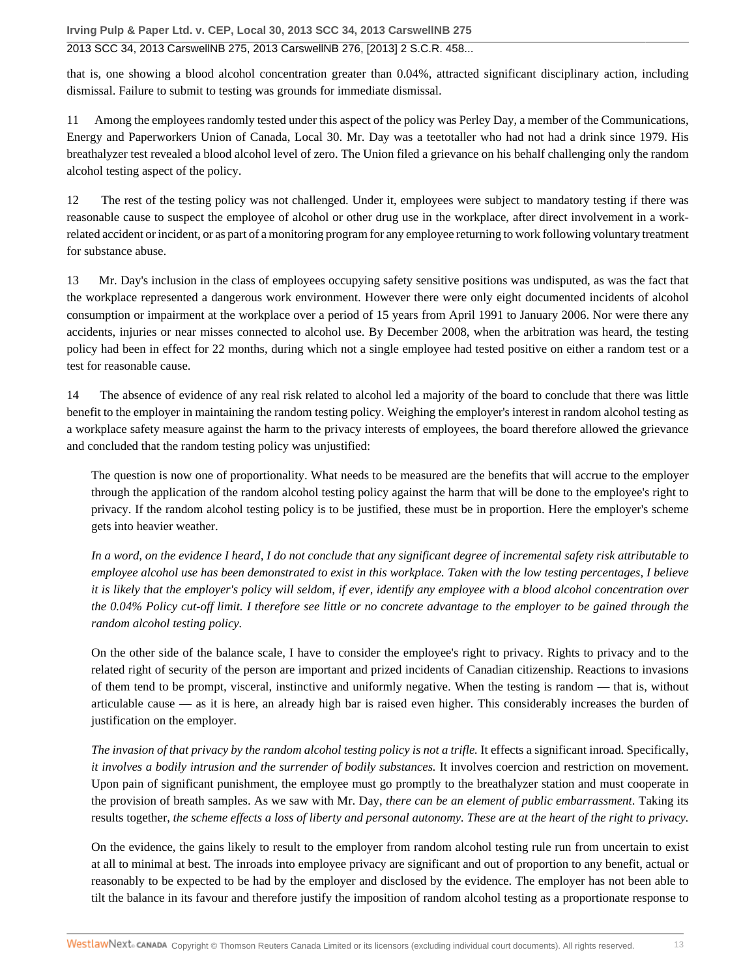that is, one showing a blood alcohol concentration greater than 0.04%, attracted significant disciplinary action, including dismissal. Failure to submit to testing was grounds for immediate dismissal.

11 Among the employees randomly tested under this aspect of the policy was Perley Day, a member of the Communications, Energy and Paperworkers Union of Canada, Local 30. Mr. Day was a teetotaller who had not had a drink since 1979. His breathalyzer test revealed a blood alcohol level of zero. The Union filed a grievance on his behalf challenging only the random alcohol testing aspect of the policy.

12 The rest of the testing policy was not challenged. Under it, employees were subject to mandatory testing if there was reasonable cause to suspect the employee of alcohol or other drug use in the workplace, after direct involvement in a workrelated accident or incident, or as part of a monitoring program for any employee returning to work following voluntary treatment for substance abuse.

13 Mr. Day's inclusion in the class of employees occupying safety sensitive positions was undisputed, as was the fact that the workplace represented a dangerous work environment. However there were only eight documented incidents of alcohol consumption or impairment at the workplace over a period of 15 years from April 1991 to January 2006. Nor were there any accidents, injuries or near misses connected to alcohol use. By December 2008, when the arbitration was heard, the testing policy had been in effect for 22 months, during which not a single employee had tested positive on either a random test or a test for reasonable cause.

14 The absence of evidence of any real risk related to alcohol led a majority of the board to conclude that there was little benefit to the employer in maintaining the random testing policy. Weighing the employer's interest in random alcohol testing as a workplace safety measure against the harm to the privacy interests of employees, the board therefore allowed the grievance and concluded that the random testing policy was unjustified:

The question is now one of proportionality. What needs to be measured are the benefits that will accrue to the employer through the application of the random alcohol testing policy against the harm that will be done to the employee's right to privacy. If the random alcohol testing policy is to be justified, these must be in proportion. Here the employer's scheme gets into heavier weather.

*In a word, on the evidence I heard, I do not conclude that any significant degree of incremental safety risk attributable to employee alcohol use has been demonstrated to exist in this workplace. Taken with the low testing percentages, I believe it is likely that the employer's policy will seldom, if ever, identify any employee with a blood alcohol concentration over the 0.04% Policy cut-off limit. I therefore see little or no concrete advantage to the employer to be gained through the random alcohol testing policy.*

On the other side of the balance scale, I have to consider the employee's right to privacy. Rights to privacy and to the related right of security of the person are important and prized incidents of Canadian citizenship. Reactions to invasions of them tend to be prompt, visceral, instinctive and uniformly negative. When the testing is random — that is, without articulable cause — as it is here, an already high bar is raised even higher. This considerably increases the burden of justification on the employer.

*The invasion of that privacy by the random alcohol testing policy is not a trifle.* It effects a significant inroad. Specifically, *it involves a bodily intrusion and the surrender of bodily substances.* It involves coercion and restriction on movement. Upon pain of significant punishment, the employee must go promptly to the breathalyzer station and must cooperate in the provision of breath samples. As we saw with Mr. Day, *there can be an element of public embarrassment*. Taking its results together, *the scheme effects a loss of liberty and personal autonomy. These are at the heart of the right to privacy.*

On the evidence, the gains likely to result to the employer from random alcohol testing rule run from uncertain to exist at all to minimal at best. The inroads into employee privacy are significant and out of proportion to any benefit, actual or reasonably to be expected to be had by the employer and disclosed by the evidence. The employer has not been able to tilt the balance in its favour and therefore justify the imposition of random alcohol testing as a proportionate response to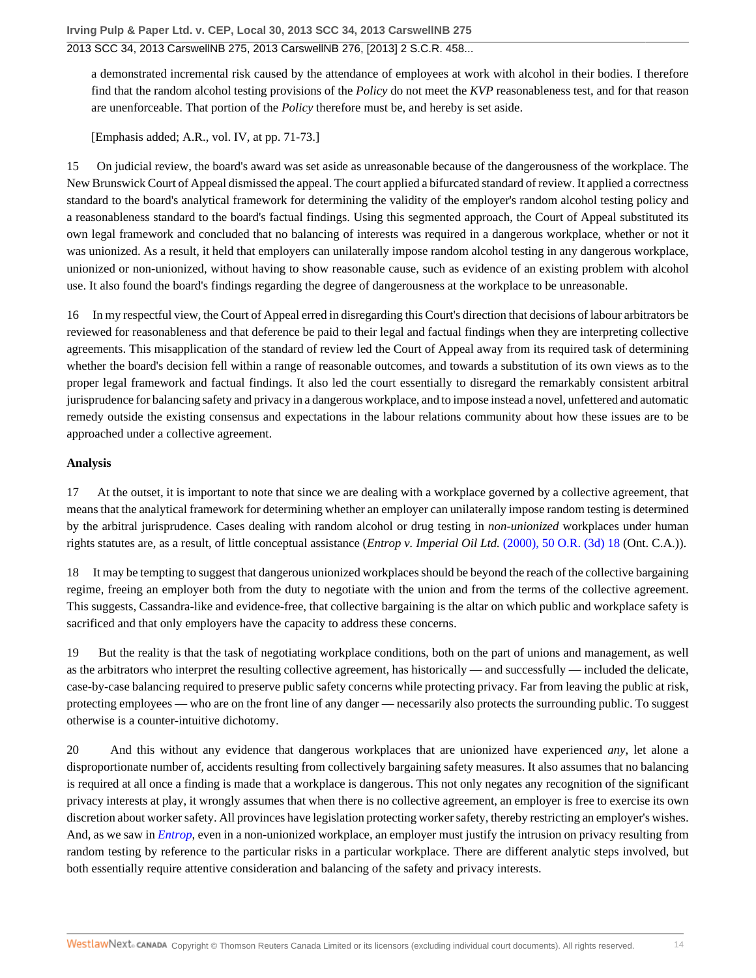a demonstrated incremental risk caused by the attendance of employees at work with alcohol in their bodies. I therefore find that the random alcohol testing provisions of the *Policy* do not meet the *KVP* reasonableness test, and for that reason are unenforceable. That portion of the *Policy* therefore must be, and hereby is set aside.

[Emphasis added; A.R., vol. IV, at pp. 71-73.]

15 On judicial review, the board's award was set aside as unreasonable because of the dangerousness of the workplace. The New Brunswick Court of Appeal dismissed the appeal. The court applied a bifurcated standard of review. It applied a correctness standard to the board's analytical framework for determining the validity of the employer's random alcohol testing policy and a reasonableness standard to the board's factual findings. Using this segmented approach, the Court of Appeal substituted its own legal framework and concluded that no balancing of interests was required in a dangerous workplace, whether or not it was unionized. As a result, it held that employers can unilaterally impose random alcohol testing in any dangerous workplace, unionized or non-unionized, without having to show reasonable cause, such as evidence of an existing problem with alcohol use. It also found the board's findings regarding the degree of dangerousness at the workplace to be unreasonable.

16 In my respectful view, the Court of Appeal erred in disregarding this Court's direction that decisions of labour arbitrators be reviewed for reasonableness and that deference be paid to their legal and factual findings when they are interpreting collective agreements. This misapplication of the standard of review led the Court of Appeal away from its required task of determining whether the board's decision fell within a range of reasonable outcomes, and towards a substitution of its own views as to the proper legal framework and factual findings. It also led the court essentially to disregard the remarkably consistent arbitral jurisprudence for balancing safety and privacy in a dangerous workplace, and to impose instead a novel, unfettered and automatic remedy outside the existing consensus and expectations in the labour relations community about how these issues are to be approached under a collective agreement.

### **Analysis**

17 At the outset, it is important to note that since we are dealing with a workplace governed by a collective agreement, that means that the analytical framework for determining whether an employer can unilaterally impose random testing is determined by the arbitral jurisprudence. Cases dealing with random alcohol or drug testing in *non-unionized* workplaces under human rights statutes are, as a result, of little conceptual assistance (*Entrop v. Imperial Oil Ltd.* [\(2000\), 50 O.R. \(3d\) 18](http://nextcanada.westlaw.com/Link/Document/FullText?findType=Y&pubNum=6407&serNum=2000548423&originationContext=document&transitionType=Document&vr=3.0&rs=cblt1.0&contextData=(sc.History*oc.Default)) (Ont. C.A.)).

18 It may be tempting to suggest that dangerous unionized workplaces should be beyond the reach of the collective bargaining regime, freeing an employer both from the duty to negotiate with the union and from the terms of the collective agreement. This suggests, Cassandra-like and evidence-free, that collective bargaining is the altar on which public and workplace safety is sacrificed and that only employers have the capacity to address these concerns.

19 But the reality is that the task of negotiating workplace conditions, both on the part of unions and management, as well as the arbitrators who interpret the resulting collective agreement, has historically — and successfully — included the delicate, case-by-case balancing required to preserve public safety concerns while protecting privacy. Far from leaving the public at risk, protecting employees — who are on the front line of any danger — necessarily also protects the surrounding public. To suggest otherwise is a counter-intuitive dichotomy.

20 And this without any evidence that dangerous workplaces that are unionized have experienced *any*, let alone a disproportionate number of, accidents resulting from collectively bargaining safety measures. It also assumes that no balancing is required at all once a finding is made that a workplace is dangerous. This not only negates any recognition of the significant privacy interests at play, it wrongly assumes that when there is no collective agreement, an employer is free to exercise its own discretion about worker safety. All provinces have legislation protecting worker safety, thereby restricting an employer's wishes. And, as we saw in *[Entrop](http://nextcanada.westlaw.com/Link/Document/FullText?findType=Y&pubNum=6407&serNum=2000548423&originationContext=document&transitionType=Document&vr=3.0&rs=cblt1.0&contextData=(sc.History*oc.Default))*, even in a non-unionized workplace, an employer must justify the intrusion on privacy resulting from random testing by reference to the particular risks in a particular workplace. There are different analytic steps involved, but both essentially require attentive consideration and balancing of the safety and privacy interests.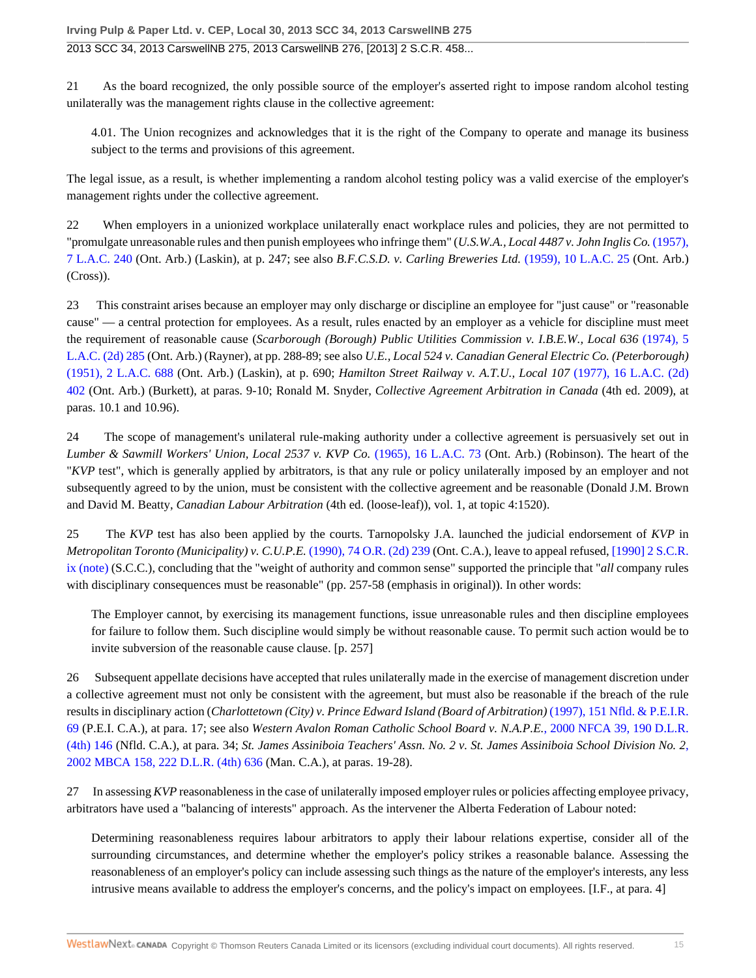21 As the board recognized, the only possible source of the employer's asserted right to impose random alcohol testing unilaterally was the management rights clause in the collective agreement:

4.01. The Union recognizes and acknowledges that it is the right of the Company to operate and manage its business subject to the terms and provisions of this agreement.

The legal issue, as a result, is whether implementing a random alcohol testing policy was a valid exercise of the employer's management rights under the collective agreement.

22 When employers in a unionized workplace unilaterally enact workplace rules and policies, they are not permitted to "promulgate unreasonable rules and then punish employees who infringe them" (*U.S.W.A., Local 4487 v. John Inglis Co.* [\(1957\),](http://nextcanada.westlaw.com/Link/Document/FullText?findType=Y&pubNum=6407&serNum=1957050070&originationContext=document&transitionType=Document&vr=3.0&rs=cblt1.0&contextData=(sc.History*oc.Default)) [7 L.A.C. 240](http://nextcanada.westlaw.com/Link/Document/FullText?findType=Y&pubNum=6407&serNum=1957050070&originationContext=document&transitionType=Document&vr=3.0&rs=cblt1.0&contextData=(sc.History*oc.Default)) (Ont. Arb.) (Laskin), at p. 247; see also *B.F.C.S.D. v. Carling Breweries Ltd.* [\(1959\), 10 L.A.C. 25](http://nextcanada.westlaw.com/Link/Document/FullText?findType=Y&pubNum=6407&serNum=1959058956&originationContext=document&transitionType=Document&vr=3.0&rs=cblt1.0&contextData=(sc.History*oc.Default)) (Ont. Arb.) (Cross)).

23 This constraint arises because an employer may only discharge or discipline an employee for "just cause" or "reasonable cause" — a central protection for employees. As a result, rules enacted by an employer as a vehicle for discipline must meet the requirement of reasonable cause (*Scarborough (Borough) Public Utilities Commission v. I.B.E.W., Local 636* [\(1974\), 5](http://nextcanada.westlaw.com/Link/Document/FullText?findType=Y&pubNum=6407&serNum=1974145955&originationContext=document&transitionType=Document&vr=3.0&rs=cblt1.0&contextData=(sc.History*oc.Default)) [L.A.C. \(2d\) 285](http://nextcanada.westlaw.com/Link/Document/FullText?findType=Y&pubNum=6407&serNum=1974145955&originationContext=document&transitionType=Document&vr=3.0&rs=cblt1.0&contextData=(sc.History*oc.Default)) (Ont. Arb.) (Rayner), at pp. 288-89; see also *U.E., Local 524 v. Canadian General Electric Co. (Peterborough)* [\(1951\), 2 L.A.C. 688](http://nextcanada.westlaw.com/Link/Document/FullText?findType=Y&pubNum=6407&serNum=1951041122&originationContext=document&transitionType=Document&vr=3.0&rs=cblt1.0&contextData=(sc.History*oc.Default)) (Ont. Arb.) (Laskin), at p. 690; *Hamilton Street Railway v. A.T.U., Local 107* [\(1977\), 16 L.A.C. \(2d\)](http://nextcanada.westlaw.com/Link/Document/FullText?findType=Y&pubNum=6407&serNum=1977148527&originationContext=document&transitionType=Document&vr=3.0&rs=cblt1.0&contextData=(sc.History*oc.Default)) [402](http://nextcanada.westlaw.com/Link/Document/FullText?findType=Y&pubNum=6407&serNum=1977148527&originationContext=document&transitionType=Document&vr=3.0&rs=cblt1.0&contextData=(sc.History*oc.Default)) (Ont. Arb.) (Burkett), at paras. 9-10; Ronald M. Snyder, *Collective Agreement Arbitration in Canada* (4th ed. 2009), at paras. 10.1 and 10.96).

24 The scope of management's unilateral rule-making authority under a collective agreement is persuasively set out in *Lumber & Sawmill Workers' Union, Local 2537 v. KVP Co.* [\(1965\), 16 L.A.C. 73](http://nextcanada.westlaw.com/Link/Document/FullText?findType=Y&pubNum=6407&serNum=1965069024&originationContext=document&transitionType=Document&vr=3.0&rs=cblt1.0&contextData=(sc.History*oc.Default)) (Ont. Arb.) (Robinson). The heart of the "*KVP* test", which is generally applied by arbitrators, is that any rule or policy unilaterally imposed by an employer and not subsequently agreed to by the union, must be consistent with the collective agreement and be reasonable (Donald J.M. Brown and David M. Beatty, *Canadian Labour Arbitration* (4th ed. (loose-leaf)), vol. 1, at topic 4:1520).

25 The *KVP* test has also been applied by the courts. Tarnopolsky J.A. launched the judicial endorsement of *KVP* in *Metropolitan Toronto (Municipality) v. C.U.P.E.* [\(1990\), 74 O.R. \(2d\) 239](http://nextcanada.westlaw.com/Link/Document/FullText?findType=Y&pubNum=6407&serNum=1990315647&originationContext=document&transitionType=Document&vr=3.0&rs=cblt1.0&contextData=(sc.History*oc.Default)) (Ont. C.A.), leave to appeal refused, [\[1990\] 2 S.C.R.](http://nextcanada.westlaw.com/Link/Document/FullText?findType=Y&pubNum=6407&serNum=1990315648&originationContext=document&transitionType=Document&vr=3.0&rs=cblt1.0&contextData=(sc.History*oc.Default)) [ix \(note\)](http://nextcanada.westlaw.com/Link/Document/FullText?findType=Y&pubNum=6407&serNum=1990315648&originationContext=document&transitionType=Document&vr=3.0&rs=cblt1.0&contextData=(sc.History*oc.Default)) (S.C.C.), concluding that the "weight of authority and common sense" supported the principle that "*all* company rules with disciplinary consequences must be reasonable" (pp. 257-58 (emphasis in original)). In other words:

The Employer cannot, by exercising its management functions, issue unreasonable rules and then discipline employees for failure to follow them. Such discipline would simply be without reasonable cause. To permit such action would be to invite subversion of the reasonable cause clause. [p. 257]

26 Subsequent appellate decisions have accepted that rules unilaterally made in the exercise of management discretion under a collective agreement must not only be consistent with the agreement, but must also be reasonable if the breach of the rule results in disciplinary action (*Charlottetown (City) v. Prince Edward Island (Board of Arbitration)* [\(1997\), 151 Nfld. & P.E.I.R.](http://nextcanada.westlaw.com/Link/Document/FullText?findType=Y&pubNum=6407&serNum=1997416892&originationContext=document&transitionType=Document&vr=3.0&rs=cblt1.0&contextData=(sc.History*oc.Default)) [69](http://nextcanada.westlaw.com/Link/Document/FullText?findType=Y&pubNum=6407&serNum=1997416892&originationContext=document&transitionType=Document&vr=3.0&rs=cblt1.0&contextData=(sc.History*oc.Default)) (P.E.I. C.A.), at para. 17; see also *Western Avalon Roman Catholic School Board v. N.A.P.E.*[, 2000 NFCA 39, 190 D.L.R.](http://nextcanada.westlaw.com/Link/Document/FullText?findType=Y&pubNum=6407&serNum=2000547315&originationContext=document&transitionType=Document&vr=3.0&rs=cblt1.0&contextData=(sc.History*oc.Default)) [\(4th\) 146](http://nextcanada.westlaw.com/Link/Document/FullText?findType=Y&pubNum=6407&serNum=2000547315&originationContext=document&transitionType=Document&vr=3.0&rs=cblt1.0&contextData=(sc.History*oc.Default)) (Nfld. C.A.), at para. 34; *St. James Assiniboia Teachers' Assn. No. 2 v. St. James Assiniboia School Division No. 2*[,](http://nextcanada.westlaw.com/Link/Document/FullText?findType=Y&pubNum=6407&serNum=2002518541&originationContext=document&transitionType=Document&vr=3.0&rs=cblt1.0&contextData=(sc.History*oc.Default)) [2002 MBCA 158, 222 D.L.R. \(4th\) 636](http://nextcanada.westlaw.com/Link/Document/FullText?findType=Y&pubNum=6407&serNum=2002518541&originationContext=document&transitionType=Document&vr=3.0&rs=cblt1.0&contextData=(sc.History*oc.Default)) (Man. C.A.), at paras. 19-28).

27 In assessing *KVP* reasonableness in the case of unilaterally imposed employer rules or policies affecting employee privacy, arbitrators have used a "balancing of interests" approach. As the intervener the Alberta Federation of Labour noted:

Determining reasonableness requires labour arbitrators to apply their labour relations expertise, consider all of the surrounding circumstances, and determine whether the employer's policy strikes a reasonable balance. Assessing the reasonableness of an employer's policy can include assessing such things as the nature of the employer's interests, any less intrusive means available to address the employer's concerns, and the policy's impact on employees. [I.F., at para. 4]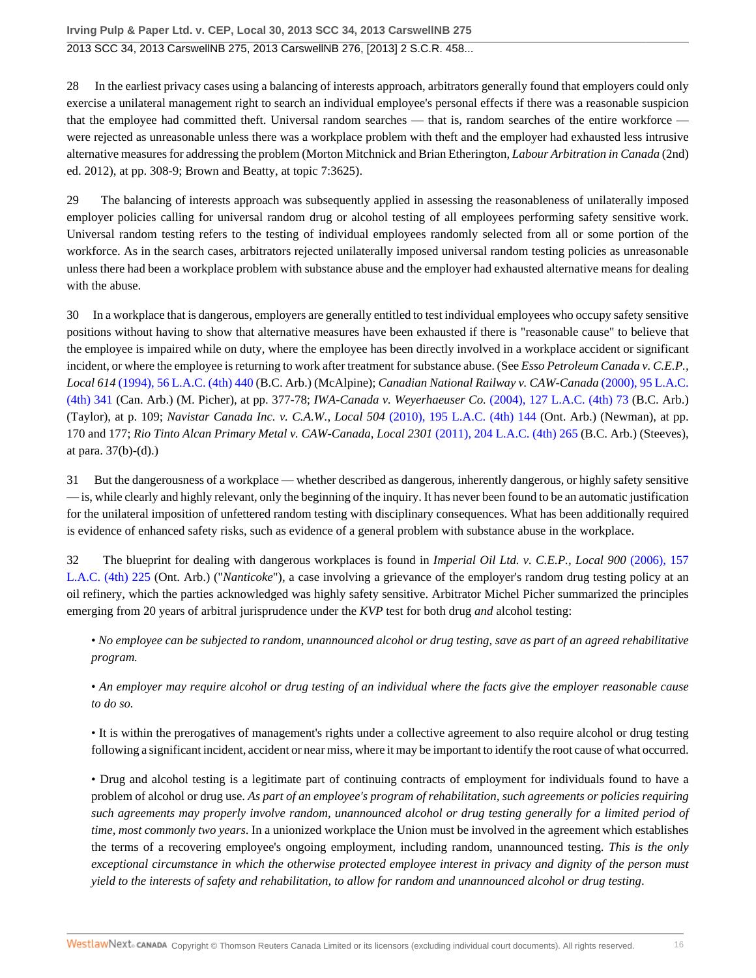28 In the earliest privacy cases using a balancing of interests approach, arbitrators generally found that employers could only exercise a unilateral management right to search an individual employee's personal effects if there was a reasonable suspicion that the employee had committed theft. Universal random searches — that is, random searches of the entire workforce were rejected as unreasonable unless there was a workplace problem with theft and the employer had exhausted less intrusive alternative measures for addressing the problem (Morton Mitchnick and Brian Etherington, *Labour Arbitration in Canada* (2nd) ed. 2012), at pp. 308-9; Brown and Beatty, at topic 7:3625).

29 The balancing of interests approach was subsequently applied in assessing the reasonableness of unilaterally imposed employer policies calling for universal random drug or alcohol testing of all employees performing safety sensitive work. Universal random testing refers to the testing of individual employees randomly selected from all or some portion of the workforce. As in the search cases, arbitrators rejected unilaterally imposed universal random testing policies as unreasonable unless there had been a workplace problem with substance abuse and the employer had exhausted alternative means for dealing with the abuse.

30 In a workplace that is dangerous, employers are generally entitled to test individual employees who occupy safety sensitive positions without having to show that alternative measures have been exhausted if there is "reasonable cause" to believe that the employee is impaired while on duty, where the employee has been directly involved in a workplace accident or significant incident, or where the employee is returning to work after treatment for substance abuse. (See *Esso Petroleum Canada v. C.E.P., Local 614* [\(1994\), 56 L.A.C. \(4th\) 440](http://nextcanada.westlaw.com/Link/Document/FullText?findType=Y&pubNum=6407&serNum=1994410920&originationContext=document&transitionType=Document&vr=3.0&rs=cblt1.0&contextData=(sc.History*oc.Default)) (B.C. Arb.) (McAlpine); *Canadian National Railway v. CAW-Canada* [\(2000\), 95 L.A.C.](http://nextcanada.westlaw.com/Link/Document/FullText?findType=Y&pubNum=6407&serNum=2000552591&originationContext=document&transitionType=Document&vr=3.0&rs=cblt1.0&contextData=(sc.History*oc.Default)) [\(4th\) 341](http://nextcanada.westlaw.com/Link/Document/FullText?findType=Y&pubNum=6407&serNum=2000552591&originationContext=document&transitionType=Document&vr=3.0&rs=cblt1.0&contextData=(sc.History*oc.Default)) (Can. Arb.) (M. Picher), at pp. 377-78; *IWA-Canada v. Weyerhaeuser Co.* [\(2004\), 127 L.A.C. \(4th\) 73](http://nextcanada.westlaw.com/Link/Document/FullText?findType=Y&pubNum=6407&serNum=2004909212&originationContext=document&transitionType=Document&vr=3.0&rs=cblt1.0&contextData=(sc.History*oc.Default)) (B.C. Arb.) (Taylor), at p. 109; *Navistar Canada Inc. v. C.A.W., Local 504* [\(2010\), 195 L.A.C. \(4th\) 144](http://nextcanada.westlaw.com/Link/Document/FullText?findType=Y&pubNum=6407&serNum=2023661557&originationContext=document&transitionType=Document&vr=3.0&rs=cblt1.0&contextData=(sc.History*oc.Default)) (Ont. Arb.) (Newman), at pp. 170 and 177; *Rio Tinto Alcan Primary Metal v. CAW-Canada, Local 2301* [\(2011\), 204 L.A.C. \(4th\) 265](http://nextcanada.westlaw.com/Link/Document/FullText?findType=Y&pubNum=6407&serNum=2024672148&originationContext=document&transitionType=Document&vr=3.0&rs=cblt1.0&contextData=(sc.History*oc.Default)) (B.C. Arb.) (Steeves), at para. 37(b)-(d).)

31 But the dangerousness of a workplace — whether described as dangerous, inherently dangerous, or highly safety sensitive — is, while clearly and highly relevant, only the beginning of the inquiry. It has never been found to be an automatic justification for the unilateral imposition of unfettered random testing with disciplinary consequences. What has been additionally required is evidence of enhanced safety risks, such as evidence of a general problem with substance abuse in the workplace.

32 The blueprint for dealing with dangerous workplaces is found in *Imperial Oil Ltd. v. C.E.P., Local 900* [\(2006\), 157](http://nextcanada.westlaw.com/Link/Document/FullText?findType=Y&pubNum=6407&serNum=2011407980&originationContext=document&transitionType=Document&vr=3.0&rs=cblt1.0&contextData=(sc.History*oc.Default)) [L.A.C. \(4th\) 225](http://nextcanada.westlaw.com/Link/Document/FullText?findType=Y&pubNum=6407&serNum=2011407980&originationContext=document&transitionType=Document&vr=3.0&rs=cblt1.0&contextData=(sc.History*oc.Default)) (Ont. Arb.) ("*Nanticoke*"), a case involving a grievance of the employer's random drug testing policy at an oil refinery, which the parties acknowledged was highly safety sensitive. Arbitrator Michel Picher summarized the principles emerging from 20 years of arbitral jurisprudence under the *KVP* test for both drug *and* alcohol testing:

• *No employee can be subjected to random, unannounced alcohol or drug testing, save as part of an agreed rehabilitative program.*

• *An employer may require alcohol or drug testing of an individual where the facts give the employer reasonable cause to do so.*

• It is within the prerogatives of management's rights under a collective agreement to also require alcohol or drug testing following a significant incident, accident or near miss, where it may be important to identify the root cause of what occurred.

• Drug and alcohol testing is a legitimate part of continuing contracts of employment for individuals found to have a problem of alcohol or drug use. *As part of an employee's program of rehabilitation, such agreements or policies requiring such agreements may properly involve random, unannounced alcohol or drug testing generally for a limited period of time, most commonly two years*. In a unionized workplace the Union must be involved in the agreement which establishes the terms of a recovering employee's ongoing employment, including random, unannounced testing. *This is the only exceptional circumstance in which the otherwise protected employee interest in privacy and dignity of the person must yield to the interests of safety and rehabilitation, to allow for random and unannounced alcohol or drug testing*.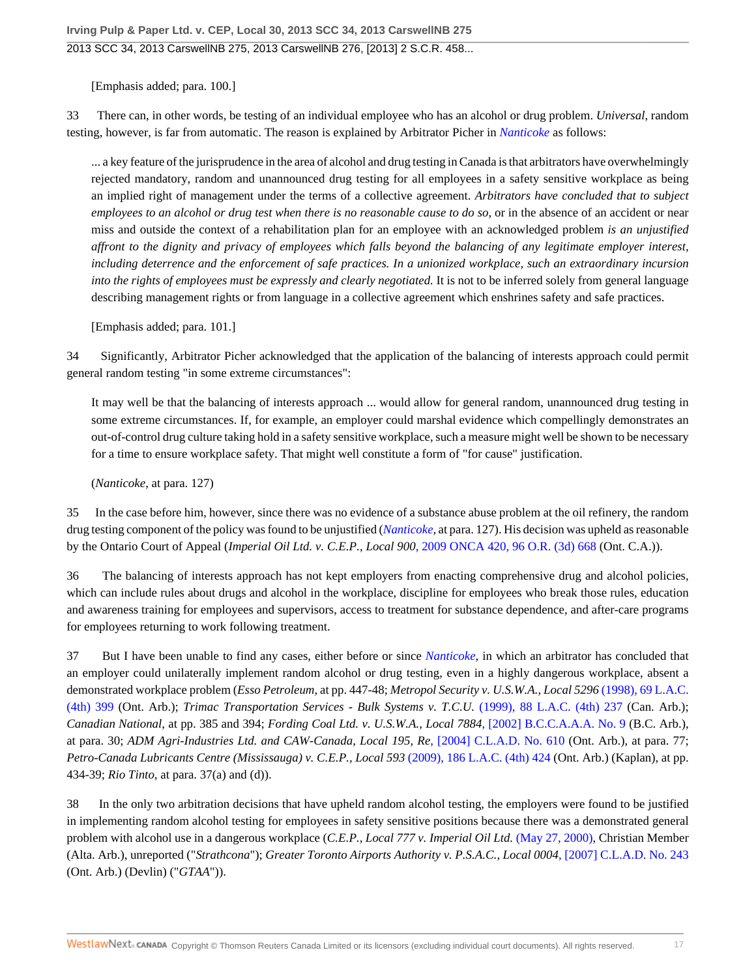[Emphasis added; para. 100.]

33 There can, in other words, be testing of an individual employee who has an alcohol or drug problem. *Universal*, random testing, however, is far from automatic. The reason is explained by Arbitrator Picher in *[Nanticoke](http://nextcanada.westlaw.com/Link/Document/FullText?findType=Y&pubNum=6407&serNum=2011407980&originationContext=document&transitionType=Document&vr=3.0&rs=cblt1.0&contextData=(sc.History*oc.Default))* as follows:

... a key feature of the jurisprudence in the area of alcohol and drug testing in Canada is that arbitrators have overwhelmingly rejected mandatory, random and unannounced drug testing for all employees in a safety sensitive workplace as being an implied right of management under the terms of a collective agreement. *Arbitrators have concluded that to subject employees to an alcohol or drug test when there is no reasonable cause to do so*, or in the absence of an accident or near miss and outside the context of a rehabilitation plan for an employee with an acknowledged problem *is an unjustified affront to the dignity and privacy of employees which falls beyond the balancing of any legitimate employer interest, including deterrence and the enforcement of safe practices. In a unionized workplace, such an extraordinary incursion into the rights of employees must be expressly and clearly negotiated.* It is not to be inferred solely from general language describing management rights or from language in a collective agreement which enshrines safety and safe practices.

[Emphasis added; para. 101.]

34 Significantly, Arbitrator Picher acknowledged that the application of the balancing of interests approach could permit general random testing "in some extreme circumstances":

It may well be that the balancing of interests approach ... would allow for general random, unannounced drug testing in some extreme circumstances. If, for example, an employer could marshal evidence which compellingly demonstrates an out-of-control drug culture taking hold in a safety sensitive workplace, such a measure might well be shown to be necessary for a time to ensure workplace safety. That might well constitute a form of "for cause" justification.

(*Nanticoke*, at para. 127)

35 In the case before him, however, since there was no evidence of a substance abuse problem at the oil refinery, the random drug testing component of the policy was found to be unjustified (*[Nanticoke](http://nextcanada.westlaw.com/Link/Document/FullText?findType=Y&pubNum=6407&serNum=2011407980&originationContext=document&transitionType=Document&vr=3.0&rs=cblt1.0&contextData=(sc.History*oc.Default))*, at para. 127). His decision was upheld as reasonable by the Ontario Court of Appeal (*Imperial Oil Ltd. v. C.E.P., Local 900*[, 2009 ONCA 420, 96 O.R. \(3d\) 668](http://nextcanada.westlaw.com/Link/Document/FullText?findType=Y&pubNum=6407&serNum=2018889068&originationContext=document&transitionType=Document&vr=3.0&rs=cblt1.0&contextData=(sc.History*oc.Default)) (Ont. C.A.)).

36 The balancing of interests approach has not kept employers from enacting comprehensive drug and alcohol policies, which can include rules about drugs and alcohol in the workplace, discipline for employees who break those rules, education and awareness training for employees and supervisors, access to treatment for substance dependence, and after-care programs for employees returning to work following treatment.

37 But I have been unable to find any cases, either before or since *[Nanticoke](http://nextcanada.westlaw.com/Link/Document/FullText?findType=Y&pubNum=6407&serNum=2011407980&originationContext=document&transitionType=Document&vr=3.0&rs=cblt1.0&contextData=(sc.History*oc.Default))*, in which an arbitrator has concluded that an employer could unilaterally implement random alcohol or drug testing, even in a highly dangerous workplace, absent a demonstrated workplace problem (*Esso Petroleum*, at pp. 447-48; *Metropol Security v. U.S.W.A., Local 5296* [\(1998\), 69 L.A.C.](http://nextcanada.westlaw.com/Link/Document/FullText?findType=Y&pubNum=6407&serNum=1998460479&originationContext=document&transitionType=Document&vr=3.0&rs=cblt1.0&contextData=(sc.History*oc.Default)) [\(4th\) 399](http://nextcanada.westlaw.com/Link/Document/FullText?findType=Y&pubNum=6407&serNum=1998460479&originationContext=document&transitionType=Document&vr=3.0&rs=cblt1.0&contextData=(sc.History*oc.Default)) (Ont. Arb.); *Trimac Transportation Services - Bulk Systems v. T.C.U.* [\(1999\), 88 L.A.C. \(4th\) 237](http://nextcanada.westlaw.com/Link/Document/FullText?findType=Y&pubNum=6407&serNum=1999502161&originationContext=document&transitionType=Document&vr=3.0&rs=cblt1.0&contextData=(sc.History*oc.Default)) (Can. Arb.); *Canadian National*, at pp. 385 and 394; *Fording Coal Ltd. v. U.S.W.A., Local 7884*[, \[2002\] B.C.C.A.A.A. No. 9](http://nextcanada.westlaw.com/Link/Document/FullText?findType=Y&pubNum=6407&serNum=2002826684&originationContext=document&transitionType=Document&vr=3.0&rs=cblt1.0&contextData=(sc.History*oc.Default)) (B.C. Arb.), at para. 30; *ADM Agri-Industries Ltd. and CAW-Canada, Local 195, Re*[, \[2004\] C.L.A.D. No. 610](http://nextcanada.westlaw.com/Link/Document/FullText?findType=Y&pubNum=6407&serNum=2028550771&originationContext=document&transitionType=Document&vr=3.0&rs=cblt1.0&contextData=(sc.History*oc.Default)) (Ont. Arb.), at para. 77; *Petro-Canada Lubricants Centre (Mississauga) v. C.E.P., Local 593* [\(2009\), 186 L.A.C. \(4th\) 424](http://nextcanada.westlaw.com/Link/Document/FullText?findType=Y&pubNum=6407&serNum=2021245445&originationContext=document&transitionType=Document&vr=3.0&rs=cblt1.0&contextData=(sc.History*oc.Default)) (Ont. Arb.) (Kaplan), at pp. 434-39; *Rio Tinto*, at para. 37(a) and (d)).

38 In the only two arbitration decisions that have upheld random alcohol testing, the employers were found to be justified in implementing random alcohol testing for employees in safety sensitive positions because there was a demonstrated general problem with alcohol use in a dangerous workplace (*C.E.P., Local 777 v. Imperial Oil Ltd.* [\(May 27, 2000\)](http://nextcanada.westlaw.com/Link/Document/FullText?findType=Y&pubNum=6407&serNum=2000679525&originationContext=document&transitionType=Document&vr=3.0&rs=cblt1.0&contextData=(sc.History*oc.Default)), Christian Member (Alta. Arb.), unreported ("*Strathcona*"); *Greater Toronto Airports Authority v. P.S.A.C., Local 0004*[, \[2007\] C.L.A.D. No. 243](http://nextcanada.westlaw.com/Link/Document/FullText?findType=Y&pubNum=6407&serNum=2012726951&originationContext=document&transitionType=Document&vr=3.0&rs=cblt1.0&contextData=(sc.History*oc.Default)) (Ont. Arb.) (Devlin) ("*GTAA*")).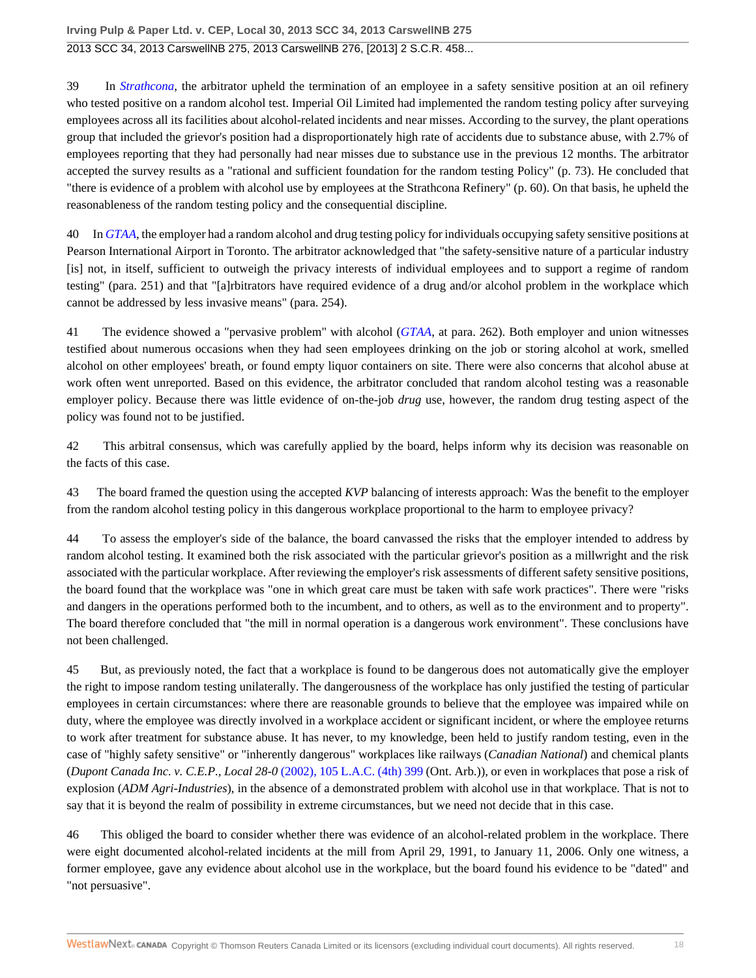39 In *[Strathcona](http://nextcanada.westlaw.com/Link/Document/FullText?findType=Y&pubNum=6407&serNum=2000679525&originationContext=document&transitionType=Document&vr=3.0&rs=cblt1.0&contextData=(sc.History*oc.Default))*, the arbitrator upheld the termination of an employee in a safety sensitive position at an oil refinery who tested positive on a random alcohol test. Imperial Oil Limited had implemented the random testing policy after surveying employees across all its facilities about alcohol-related incidents and near misses. According to the survey, the plant operations group that included the grievor's position had a disproportionately high rate of accidents due to substance abuse, with 2.7% of employees reporting that they had personally had near misses due to substance use in the previous 12 months. The arbitrator accepted the survey results as a "rational and sufficient foundation for the random testing Policy" (p. 73). He concluded that "there is evidence of a problem with alcohol use by employees at the Strathcona Refinery" (p. 60). On that basis, he upheld the reasonableness of the random testing policy and the consequential discipline.

40 In *[GTAA](http://nextcanada.westlaw.com/Link/Document/FullText?findType=Y&pubNum=6407&serNum=2012726951&originationContext=document&transitionType=Document&vr=3.0&rs=cblt1.0&contextData=(sc.History*oc.Default))*, the employer had a random alcohol and drug testing policy for individuals occupying safety sensitive positions at Pearson International Airport in Toronto. The arbitrator acknowledged that "the safety-sensitive nature of a particular industry [is] not, in itself, sufficient to outweigh the privacy interests of individual employees and to support a regime of random testing" (para. 251) and that "[a]rbitrators have required evidence of a drug and/or alcohol problem in the workplace which cannot be addressed by less invasive means" (para. 254).

41 The evidence showed a "pervasive problem" with alcohol (*[GTAA](http://nextcanada.westlaw.com/Link/Document/FullText?findType=Y&pubNum=6407&serNum=2012726951&originationContext=document&transitionType=Document&vr=3.0&rs=cblt1.0&contextData=(sc.History*oc.Default))*, at para. 262). Both employer and union witnesses testified about numerous occasions when they had seen employees drinking on the job or storing alcohol at work, smelled alcohol on other employees' breath, or found empty liquor containers on site. There were also concerns that alcohol abuse at work often went unreported. Based on this evidence, the arbitrator concluded that random alcohol testing was a reasonable employer policy. Because there was little evidence of on-the-job *drug* use, however, the random drug testing aspect of the policy was found not to be justified.

42 This arbitral consensus, which was carefully applied by the board, helps inform why its decision was reasonable on the facts of this case.

43 The board framed the question using the accepted *KVP* balancing of interests approach: Was the benefit to the employer from the random alcohol testing policy in this dangerous workplace proportional to the harm to employee privacy?

44 To assess the employer's side of the balance, the board canvassed the risks that the employer intended to address by random alcohol testing. It examined both the risk associated with the particular grievor's position as a millwright and the risk associated with the particular workplace. After reviewing the employer's risk assessments of different safety sensitive positions, the board found that the workplace was "one in which great care must be taken with safe work practices". There were "risks and dangers in the operations performed both to the incumbent, and to others, as well as to the environment and to property". The board therefore concluded that "the mill in normal operation is a dangerous work environment". These conclusions have not been challenged.

45 But, as previously noted, the fact that a workplace is found to be dangerous does not automatically give the employer the right to impose random testing unilaterally. The dangerousness of the workplace has only justified the testing of particular employees in certain circumstances: where there are reasonable grounds to believe that the employee was impaired while on duty, where the employee was directly involved in a workplace accident or significant incident, or where the employee returns to work after treatment for substance abuse. It has never, to my knowledge, been held to justify random testing, even in the case of "highly safety sensitive" or "inherently dangerous" workplaces like railways (*Canadian National*) and chemical plants (*Dupont Canada Inc. v. C.E.P., Local 28-0* [\(2002\), 105 L.A.C. \(4th\) 399](http://nextcanada.westlaw.com/Link/Document/FullText?findType=Y&pubNum=6407&serNum=2002063179&originationContext=document&transitionType=Document&vr=3.0&rs=cblt1.0&contextData=(sc.History*oc.Default)) (Ont. Arb.)), or even in workplaces that pose a risk of explosion (*ADM Agri-Industries*), in the absence of a demonstrated problem with alcohol use in that workplace. That is not to say that it is beyond the realm of possibility in extreme circumstances, but we need not decide that in this case.

46 This obliged the board to consider whether there was evidence of an alcohol-related problem in the workplace. There were eight documented alcohol-related incidents at the mill from April 29, 1991, to January 11, 2006. Only one witness, a former employee, gave any evidence about alcohol use in the workplace, but the board found his evidence to be "dated" and "not persuasive".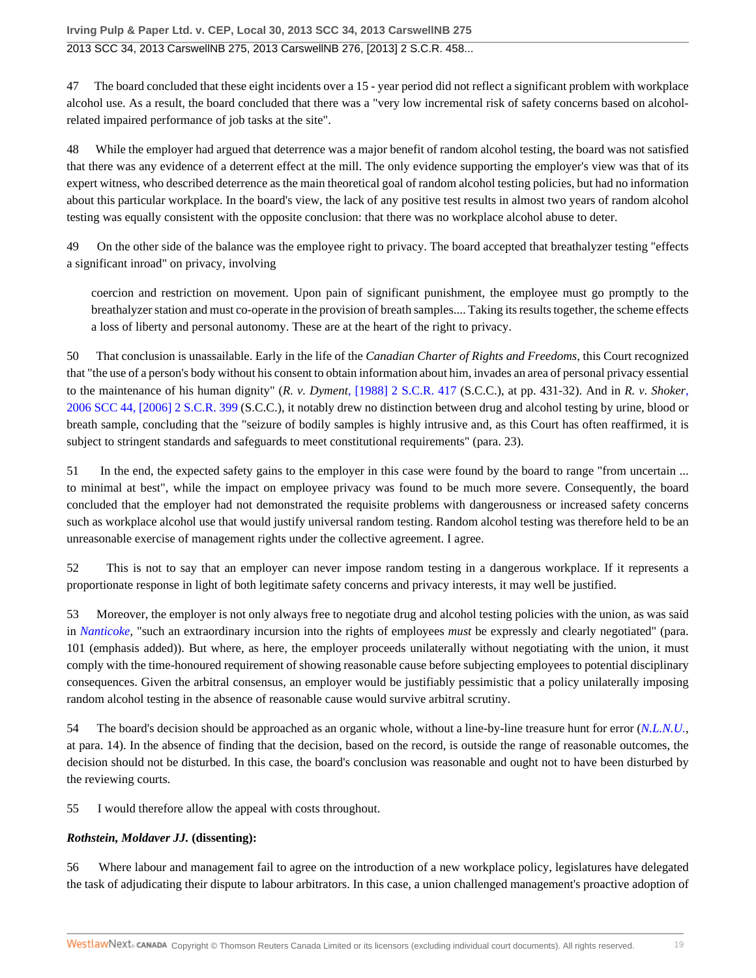47 The board concluded that these eight incidents over a 15 - year period did not reflect a significant problem with workplace alcohol use. As a result, the board concluded that there was a "very low incremental risk of safety concerns based on alcoholrelated impaired performance of job tasks at the site".

48 While the employer had argued that deterrence was a major benefit of random alcohol testing, the board was not satisfied that there was any evidence of a deterrent effect at the mill. The only evidence supporting the employer's view was that of its expert witness, who described deterrence as the main theoretical goal of random alcohol testing policies, but had no information about this particular workplace. In the board's view, the lack of any positive test results in almost two years of random alcohol testing was equally consistent with the opposite conclusion: that there was no workplace alcohol abuse to deter.

49 On the other side of the balance was the employee right to privacy. The board accepted that breathalyzer testing "effects a significant inroad" on privacy, involving

coercion and restriction on movement. Upon pain of significant punishment, the employee must go promptly to the breathalyzer station and must co-operate in the provision of breath samples.... Taking its results together, the scheme effects a loss of liberty and personal autonomy. These are at the heart of the right to privacy.

50 That conclusion is unassailable. Early in the life of the *Canadian Charter of Rights and Freedoms*, this Court recognized that "the use of a person's body without his consent to obtain information about him, invades an area of personal privacy essential to the maintenance of his human dignity" (*R. v. Dyment*[, \[1988\] 2 S.C.R. 417](http://nextcanada.westlaw.com/Link/Document/FullText?findType=Y&pubNum=6407&serNum=1988287935&originationContext=document&transitionType=Document&vr=3.0&rs=cblt1.0&contextData=(sc.History*oc.Default)) (S.C.C.), at pp. 431-32). And in *R. v. Shoker*[,](http://nextcanada.westlaw.com/Link/Document/FullText?findType=Y&pubNum=6407&serNum=2010451381&originationContext=document&transitionType=Document&vr=3.0&rs=cblt1.0&contextData=(sc.History*oc.Default)) [2006 SCC 44, \[2006\] 2 S.C.R. 399](http://nextcanada.westlaw.com/Link/Document/FullText?findType=Y&pubNum=6407&serNum=2010451381&originationContext=document&transitionType=Document&vr=3.0&rs=cblt1.0&contextData=(sc.History*oc.Default)) (S.C.C.), it notably drew no distinction between drug and alcohol testing by urine, blood or breath sample, concluding that the "seizure of bodily samples is highly intrusive and, as this Court has often reaffirmed, it is subject to stringent standards and safeguards to meet constitutional requirements" (para. 23).

51 In the end, the expected safety gains to the employer in this case were found by the board to range "from uncertain ... to minimal at best", while the impact on employee privacy was found to be much more severe. Consequently, the board concluded that the employer had not demonstrated the requisite problems with dangerousness or increased safety concerns such as workplace alcohol use that would justify universal random testing. Random alcohol testing was therefore held to be an unreasonable exercise of management rights under the collective agreement. I agree.

52 This is not to say that an employer can never impose random testing in a dangerous workplace. If it represents a proportionate response in light of both legitimate safety concerns and privacy interests, it may well be justified.

53 Moreover, the employer is not only always free to negotiate drug and alcohol testing policies with the union, as was said in *[Nanticoke](http://nextcanada.westlaw.com/Link/Document/FullText?findType=Y&pubNum=6407&serNum=2011407980&originationContext=document&transitionType=Document&vr=3.0&rs=cblt1.0&contextData=(sc.History*oc.Default))*, "such an extraordinary incursion into the rights of employees *must* be expressly and clearly negotiated" (para. 101 (emphasis added)). But where, as here, the employer proceeds unilaterally without negotiating with the union, it must comply with the time-honoured requirement of showing reasonable cause before subjecting employees to potential disciplinary consequences. Given the arbitral consensus, an employer would be justifiably pessimistic that a policy unilaterally imposing random alcohol testing in the absence of reasonable cause would survive arbitral scrutiny.

54 The board's decision should be approached as an organic whole, without a line-by-line treasure hunt for error (*[N.L.N.U.](http://nextcanada.westlaw.com/Link/Document/FullText?findType=Y&pubNum=6407&serNum=2026678952&originationContext=document&transitionType=Document&vr=3.0&rs=cblt1.0&contextData=(sc.History*oc.Default))*, at para. 14). In the absence of finding that the decision, based on the record, is outside the range of reasonable outcomes, the decision should not be disturbed. In this case, the board's conclusion was reasonable and ought not to have been disturbed by the reviewing courts.

55 I would therefore allow the appeal with costs throughout.

# *Rothstein, Moldaver JJ.* **(dissenting):**

56 Where labour and management fail to agree on the introduction of a new workplace policy, legislatures have delegated the task of adjudicating their dispute to labour arbitrators. In this case, a union challenged management's proactive adoption of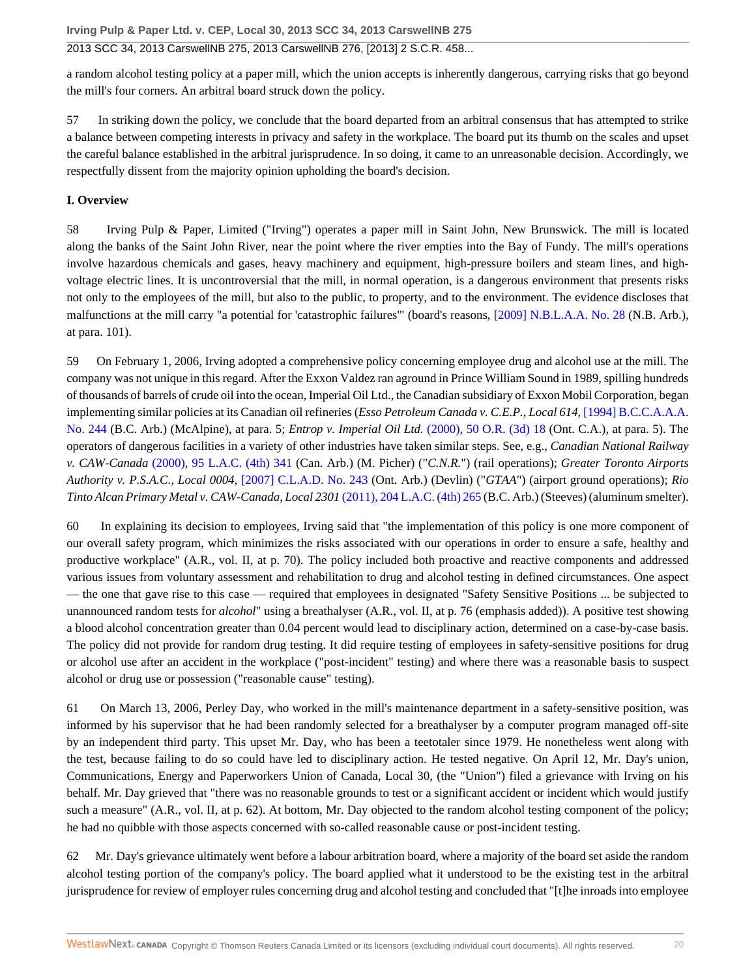a random alcohol testing policy at a paper mill, which the union accepts is inherently dangerous, carrying risks that go beyond the mill's four corners. An arbitral board struck down the policy.

57 In striking down the policy, we conclude that the board departed from an arbitral consensus that has attempted to strike a balance between competing interests in privacy and safety in the workplace. The board put its thumb on the scales and upset the careful balance established in the arbitral jurisprudence. In so doing, it came to an unreasonable decision. Accordingly, we respectfully dissent from the majority opinion upholding the board's decision.

## **I. Overview**

58 Irving Pulp & Paper, Limited ("Irving") operates a paper mill in Saint John, New Brunswick. The mill is located along the banks of the Saint John River, near the point where the river empties into the Bay of Fundy. The mill's operations involve hazardous chemicals and gases, heavy machinery and equipment, high-pressure boilers and steam lines, and highvoltage electric lines. It is uncontroversial that the mill, in normal operation, is a dangerous environment that presents risks not only to the employees of the mill, but also to the public, to property, and to the environment. The evidence discloses that malfunctions at the mill carry "a potential for 'catastrophic failures'" (board's reasons, [\[2009\] N.B.L.A.A. No. 28](http://nextcanada.westlaw.com/Link/Document/FullText?findType=Y&pubNum=6407&serNum=2020632988&originationContext=document&transitionType=Document&vr=3.0&rs=cblt1.0&contextData=(sc.History*oc.Default)) (N.B. Arb.), at para. 101).

59 On February 1, 2006, Irving adopted a comprehensive policy concerning employee drug and alcohol use at the mill. The company was not unique in this regard. After the Exxon Valdez ran aground in Prince William Sound in 1989, spilling hundreds of thousands of barrels of crude oil into the ocean, Imperial Oil Ltd., the Canadian subsidiary of Exxon Mobil Corporation, began implementing similar policies at its Canadian oil refineries (*Esso Petroleum Canada v. C.E.P., Local 614*[, \[1994\] B.C.C.A.A.A.](http://nextcanada.westlaw.com/Link/Document/FullText?findType=Y&pubNum=6407&serNum=1994410920&originationContext=document&transitionType=Document&vr=3.0&rs=cblt1.0&contextData=(sc.History*oc.Default)) [No. 244](http://nextcanada.westlaw.com/Link/Document/FullText?findType=Y&pubNum=6407&serNum=1994410920&originationContext=document&transitionType=Document&vr=3.0&rs=cblt1.0&contextData=(sc.History*oc.Default)) (B.C. Arb.) (McAlpine), at para. 5; *Entrop v. Imperial Oil Ltd.* [\(2000\), 50 O.R. \(3d\) 18](http://nextcanada.westlaw.com/Link/Document/FullText?findType=Y&pubNum=6407&serNum=2000548423&originationContext=document&transitionType=Document&vr=3.0&rs=cblt1.0&contextData=(sc.History*oc.Default)) (Ont. C.A.), at para. 5). The operators of dangerous facilities in a variety of other industries have taken similar steps. See, e.g., *Canadian National Railway v. CAW-Canada* [\(2000\), 95 L.A.C. \(4th\) 341](http://nextcanada.westlaw.com/Link/Document/FullText?findType=Y&pubNum=6407&serNum=2000552591&originationContext=document&transitionType=Document&vr=3.0&rs=cblt1.0&contextData=(sc.History*oc.Default)) (Can. Arb.) (M. Picher) ("*C.N.R.*") (rail operations); *Greater Toronto Airports Authority v. P.S.A.C., Local 0004*[, \[2007\] C.L.A.D. No. 243](http://nextcanada.westlaw.com/Link/Document/FullText?findType=Y&pubNum=6407&serNum=2012726951&originationContext=document&transitionType=Document&vr=3.0&rs=cblt1.0&contextData=(sc.History*oc.Default)) (Ont. Arb.) (Devlin) ("*GTAA*") (airport ground operations); *Rio Tinto Alcan Primary Metal v. CAW-Canada, Local 2301* [\(2011\), 204 L.A.C. \(4th\) 265](http://nextcanada.westlaw.com/Link/Document/FullText?findType=Y&pubNum=6407&serNum=2024672148&originationContext=document&transitionType=Document&vr=3.0&rs=cblt1.0&contextData=(sc.History*oc.Default)) (B.C. Arb.) (Steeves) (aluminum smelter).

60 In explaining its decision to employees, Irving said that "the implementation of this policy is one more component of our overall safety program, which minimizes the risks associated with our operations in order to ensure a safe, healthy and productive workplace" (A.R., vol. II, at p. 70). The policy included both proactive and reactive components and addressed various issues from voluntary assessment and rehabilitation to drug and alcohol testing in defined circumstances. One aspect — the one that gave rise to this case — required that employees in designated "Safety Sensitive Positions ... be subjected to unannounced random tests for *alcohol*" using a breathalyser (A.R., vol. II, at p. 76 (emphasis added)). A positive test showing a blood alcohol concentration greater than 0.04 percent would lead to disciplinary action, determined on a case-by-case basis. The policy did not provide for random drug testing. It did require testing of employees in safety-sensitive positions for drug or alcohol use after an accident in the workplace ("post-incident" testing) and where there was a reasonable basis to suspect alcohol or drug use or possession ("reasonable cause" testing).

61 On March 13, 2006, Perley Day, who worked in the mill's maintenance department in a safety-sensitive position, was informed by his supervisor that he had been randomly selected for a breathalyser by a computer program managed off-site by an independent third party. This upset Mr. Day, who has been a teetotaler since 1979. He nonetheless went along with the test, because failing to do so could have led to disciplinary action. He tested negative. On April 12, Mr. Day's union, Communications, Energy and Paperworkers Union of Canada, Local 30, (the "Union") filed a grievance with Irving on his behalf. Mr. Day grieved that "there was no reasonable grounds to test or a significant accident or incident which would justify such a measure" (A.R., vol. II, at p. 62). At bottom, Mr. Day objected to the random alcohol testing component of the policy; he had no quibble with those aspects concerned with so-called reasonable cause or post-incident testing.

62 Mr. Day's grievance ultimately went before a labour arbitration board, where a majority of the board set aside the random alcohol testing portion of the company's policy. The board applied what it understood to be the existing test in the arbitral jurisprudence for review of employer rules concerning drug and alcohol testing and concluded that "[t]he inroads into employee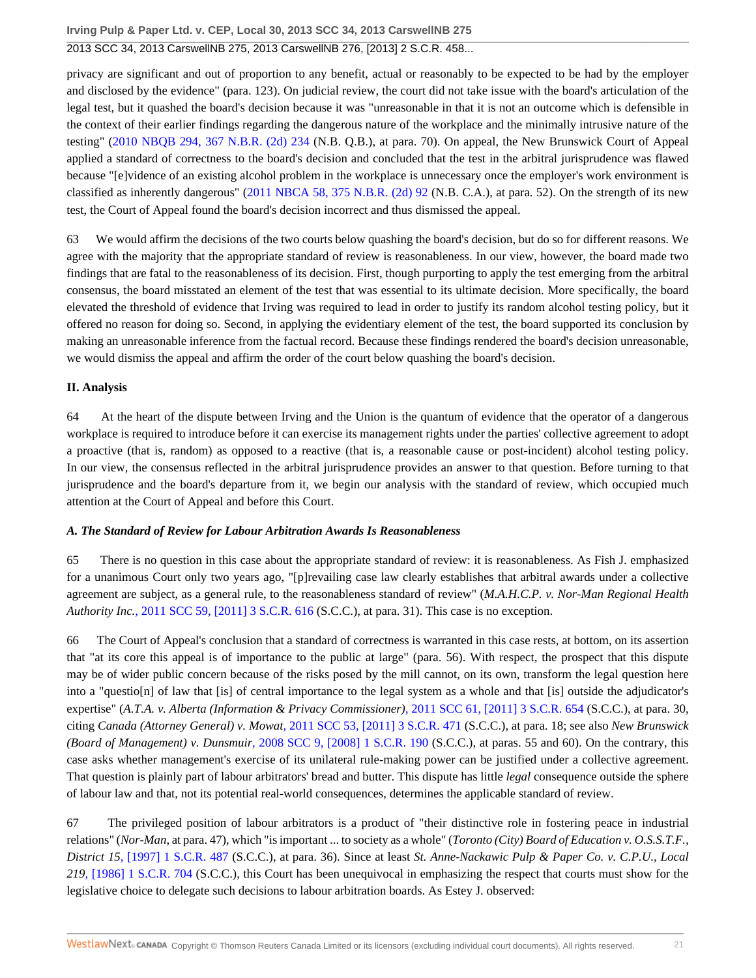privacy are significant and out of proportion to any benefit, actual or reasonably to be expected to be had by the employer and disclosed by the evidence" (para. 123). On judicial review, the court did not take issue with the board's articulation of the legal test, but it quashed the board's decision because it was "unreasonable in that it is not an outcome which is defensible in the context of their earlier findings regarding the dangerous nature of the workplace and the minimally intrusive nature of the testing" [\(2010 NBQB 294, 367 N.B.R. \(2d\) 234](http://nextcanada.westlaw.com/Link/Document/FullText?findType=Y&pubNum=6407&serNum=2023458794&originationContext=document&transitionType=Document&vr=3.0&rs=cblt1.0&contextData=(sc.History*oc.Default)) (N.B. Q.B.), at para. 70). On appeal, the New Brunswick Court of Appeal applied a standard of correctness to the board's decision and concluded that the test in the arbitral jurisprudence was flawed because "[e]vidence of an existing alcohol problem in the workplace is unnecessary once the employer's work environment is classified as inherently dangerous" [\(2011 NBCA 58, 375 N.B.R. \(2d\) 92](http://nextcanada.westlaw.com/Link/Document/FullText?findType=Y&pubNum=6407&serNum=2025645951&originationContext=document&transitionType=Document&vr=3.0&rs=cblt1.0&contextData=(sc.History*oc.Default)) (N.B. C.A.), at para. 52). On the strength of its new test, the Court of Appeal found the board's decision incorrect and thus dismissed the appeal.

63 We would affirm the decisions of the two courts below quashing the board's decision, but do so for different reasons. We agree with the majority that the appropriate standard of review is reasonableness. In our view, however, the board made two findings that are fatal to the reasonableness of its decision. First, though purporting to apply the test emerging from the arbitral consensus, the board misstated an element of the test that was essential to its ultimate decision. More specifically, the board elevated the threshold of evidence that Irving was required to lead in order to justify its random alcohol testing policy, but it offered no reason for doing so. Second, in applying the evidentiary element of the test, the board supported its conclusion by making an unreasonable inference from the factual record. Because these findings rendered the board's decision unreasonable, we would dismiss the appeal and affirm the order of the court below quashing the board's decision.

#### **II. Analysis**

64 At the heart of the dispute between Irving and the Union is the quantum of evidence that the operator of a dangerous workplace is required to introduce before it can exercise its management rights under the parties' collective agreement to adopt a proactive (that is, random) as opposed to a reactive (that is, a reasonable cause or post-incident) alcohol testing policy. In our view, the consensus reflected in the arbitral jurisprudence provides an answer to that question. Before turning to that jurisprudence and the board's departure from it, we begin our analysis with the standard of review, which occupied much attention at the Court of Appeal and before this Court.

#### *A. The Standard of Review for Labour Arbitration Awards Is Reasonableness*

65 There is no question in this case about the appropriate standard of review: it is reasonableness. As Fish J. emphasized for a unanimous Court only two years ago, "[p]revailing case law clearly establishes that arbitral awards under a collective agreement are subject, as a general rule, to the reasonableness standard of review" (*M.A.H.C.P. v. Nor-Man Regional Health Authority Inc.*[, 2011 SCC 59, \[2011\] 3 S.C.R. 616](http://nextcanada.westlaw.com/Link/Document/FullText?findType=Y&pubNum=6407&serNum=2026610657&originationContext=document&transitionType=Document&vr=3.0&rs=cblt1.0&contextData=(sc.History*oc.Default)) (S.C.C.), at para. 31). This case is no exception.

66 The Court of Appeal's conclusion that a standard of correctness is warranted in this case rests, at bottom, on its assertion that "at its core this appeal is of importance to the public at large" (para. 56). With respect, the prospect that this dispute may be of wider public concern because of the risks posed by the mill cannot, on its own, transform the legal question here into a "questio[n] of law that [is] of central importance to the legal system as a whole and that [is] outside the adjudicator's expertise" (*A.T.A. v. Alberta (Information & Privacy Commissioner)*[, 2011 SCC 61, \[2011\] 3 S.C.R. 654](http://nextcanada.westlaw.com/Link/Document/FullText?findType=Y&pubNum=6407&serNum=2026674249&originationContext=document&transitionType=Document&vr=3.0&rs=cblt1.0&contextData=(sc.History*oc.Default)) (S.C.C.), at para. 30, citing *Canada (Attorney General) v. Mowat*[, 2011 SCC 53, \[2011\] 3 S.C.R. 471](http://nextcanada.westlaw.com/Link/Document/FullText?findType=Y&pubNum=6407&serNum=2026417211&originationContext=document&transitionType=Document&vr=3.0&rs=cblt1.0&contextData=(sc.History*oc.Default)) (S.C.C.), at para. 18; see also *New Brunswick (Board of Management) v. Dunsmuir*[, 2008 SCC 9, \[2008\] 1 S.C.R. 190](http://nextcanada.westlaw.com/Link/Document/FullText?findType=Y&pubNum=6407&serNum=2015426704&originationContext=document&transitionType=Document&vr=3.0&rs=cblt1.0&contextData=(sc.History*oc.Default)) (S.C.C.), at paras. 55 and 60). On the contrary, this case asks whether management's exercise of its unilateral rule-making power can be justified under a collective agreement. That question is plainly part of labour arbitrators' bread and butter. This dispute has little *legal* consequence outside the sphere of labour law and that, not its potential real-world consequences, determines the applicable standard of review.

67 The privileged position of labour arbitrators is a product of "their distinctive role in fostering peace in industrial relations" (*Nor-Man*, at para. 47), which "is important ... to society as a whole" (*Toronto (City) Board of Education v. O.S.S.T.F., District 15*[, \[1997\] 1 S.C.R. 487](http://nextcanada.westlaw.com/Link/Document/FullText?findType=Y&pubNum=6407&serNum=1997408412&originationContext=document&transitionType=Document&vr=3.0&rs=cblt1.0&contextData=(sc.History*oc.Default)) (S.C.C.), at para. 36). Since at least *St. Anne-Nackawic Pulp & Paper Co. v. C.P.U., Local 219*[, \[1986\] 1 S.C.R. 704](http://nextcanada.westlaw.com/Link/Document/FullText?findType=Y&pubNum=6407&serNum=1986269555&originationContext=document&transitionType=Document&vr=3.0&rs=cblt1.0&contextData=(sc.History*oc.Default)) (S.C.C.), this Court has been unequivocal in emphasizing the respect that courts must show for the legislative choice to delegate such decisions to labour arbitration boards. As Estey J. observed: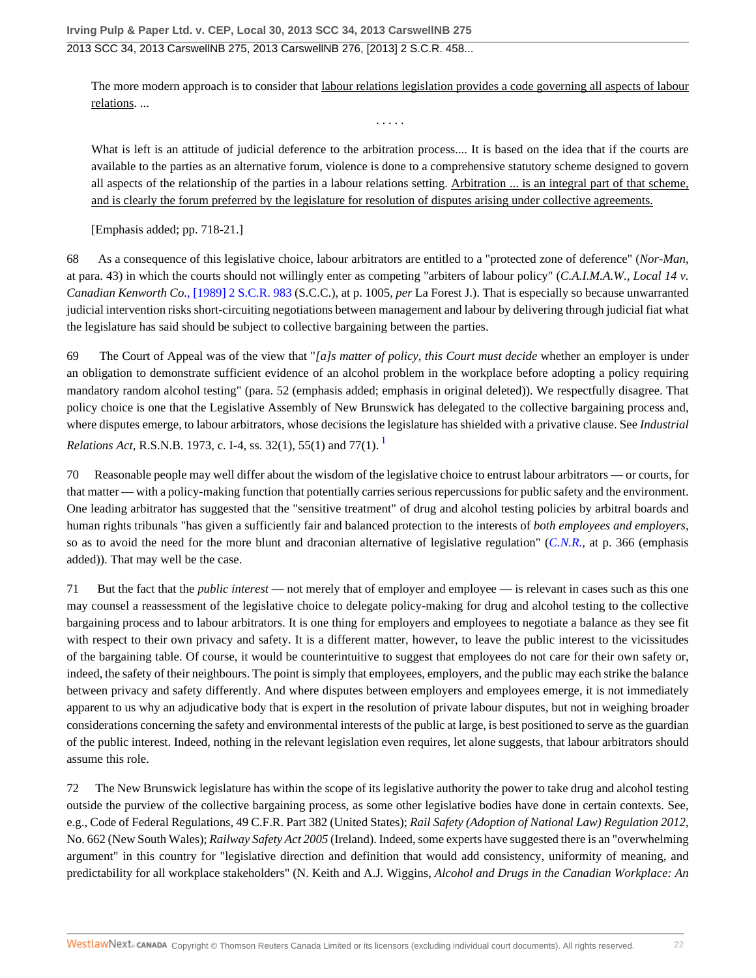The more modern approach is to consider that labour relations legislation provides a code governing all aspects of labour relations. ...

What is left is an attitude of judicial deference to the arbitration process.... It is based on the idea that if the courts are available to the parties as an alternative forum, violence is done to a comprehensive statutory scheme designed to govern all aspects of the relationship of the parties in a labour relations setting. Arbitration ... is an integral part of that scheme, and is clearly the forum preferred by the legislature for resolution of disputes arising under collective agreements.

[Emphasis added; pp. 718-21.]

68 As a consequence of this legislative choice, labour arbitrators are entitled to a "protected zone of deference" (*Nor-Man*, at para. 43) in which the courts should not willingly enter as competing "arbiters of labour policy" (*C.A.I.M.A.W., Local 14 v. Canadian Kenworth Co.*[, \[1989\] 2 S.C.R. 983](http://nextcanada.westlaw.com/Link/Document/FullText?findType=Y&pubNum=6407&serNum=1989310911&originationContext=document&transitionType=Document&vr=3.0&rs=cblt1.0&contextData=(sc.History*oc.Default)) (S.C.C.), at p. 1005, *per* La Forest J.). That is especially so because unwarranted judicial intervention risks short-circuiting negotiations between management and labour by delivering through judicial fiat what the legislature has said should be subject to collective bargaining between the parties.

69 The Court of Appeal was of the view that "*[a]s matter of policy, this Court must decide* whether an employer is under an obligation to demonstrate sufficient evidence of an alcohol problem in the workplace before adopting a policy requiring mandatory random alcohol testing" (para. 52 (emphasis added; emphasis in original deleted)). We respectfully disagree. That policy choice is one that the Legislative Assembly of New Brunswick has delegated to the collective bargaining process and, where disputes emerge, to labour arbitrators, whose decisions the legislature has shielded with a privative clause. See *Industrial Relations Act*, R.S.N.B. 1973, c. I-4, ss. 32(1), 55(1) and 77(1). [1](#page-30-0)

<span id="page-21-0"></span>70 Reasonable people may well differ about the wisdom of the legislative choice to entrust labour arbitrators — or courts, for that matter — with a policy-making function that potentially carries serious repercussions for public safety and the environment. One leading arbitrator has suggested that the "sensitive treatment" of drug and alcohol testing policies by arbitral boards and human rights tribunals "has given a sufficiently fair and balanced protection to the interests of *both employees and employers*, so as to avoid the need for the more blunt and draconian alternative of legislative regulation" (*[C.N.R.](http://nextcanada.westlaw.com/Link/Document/FullText?findType=Y&pubNum=6407&serNum=2000552591&originationContext=document&transitionType=Document&vr=3.0&rs=cblt1.0&contextData=(sc.History*oc.Default))*, at p. 366 (emphasis added)). That may well be the case.

71 But the fact that the *public interest* — not merely that of employer and employee — is relevant in cases such as this one may counsel a reassessment of the legislative choice to delegate policy-making for drug and alcohol testing to the collective bargaining process and to labour arbitrators. It is one thing for employers and employees to negotiate a balance as they see fit with respect to their own privacy and safety. It is a different matter, however, to leave the public interest to the vicissitudes of the bargaining table. Of course, it would be counterintuitive to suggest that employees do not care for their own safety or, indeed, the safety of their neighbours. The point is simply that employees, employers, and the public may each strike the balance between privacy and safety differently. And where disputes between employers and employees emerge, it is not immediately apparent to us why an adjudicative body that is expert in the resolution of private labour disputes, but not in weighing broader considerations concerning the safety and environmental interests of the public at large, is best positioned to serve as the guardian of the public interest. Indeed, nothing in the relevant legislation even requires, let alone suggests, that labour arbitrators should assume this role.

72 The New Brunswick legislature has within the scope of its legislative authority the power to take drug and alcohol testing outside the purview of the collective bargaining process, as some other legislative bodies have done in certain contexts. See, e.g., Code of Federal Regulations, 49 C.F.R. Part 382 (United States); *Rail Safety (Adoption of National Law) Regulation 2012*, No. 662 (New South Wales); *Railway Safety Act 2005* (Ireland). Indeed, some experts have suggested there is an "overwhelming argument" in this country for "legislative direction and definition that would add consistency, uniformity of meaning, and predictability for all workplace stakeholders" (N. Keith and A.J. Wiggins, *Alcohol and Drugs in the Canadian Workplace: An*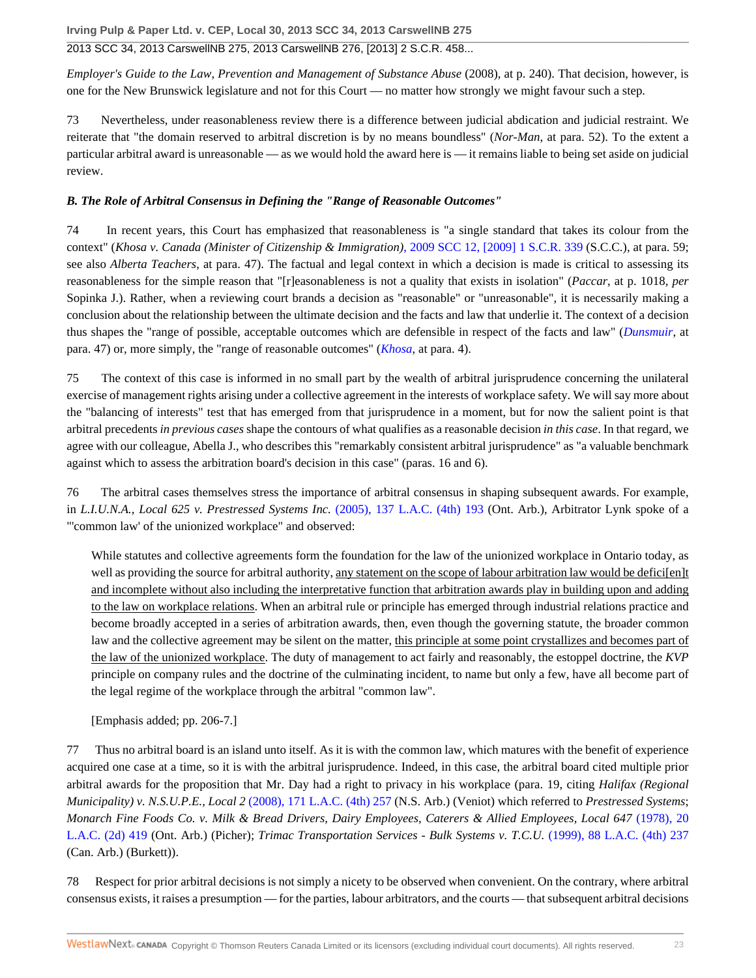*Employer's Guide to the Law, Prevention and Management of Substance Abuse* (2008), at p. 240). That decision, however, is one for the New Brunswick legislature and not for this Court — no matter how strongly we might favour such a step.

73 Nevertheless, under reasonableness review there is a difference between judicial abdication and judicial restraint. We reiterate that "the domain reserved to arbitral discretion is by no means boundless" (*Nor-Man*, at para. 52). To the extent a particular arbitral award is unreasonable — as we would hold the award here is — it remains liable to being set aside on judicial review.

## *B. The Role of Arbitral Consensus in Defining the "Range of Reasonable Outcomes"*

74 In recent years, this Court has emphasized that reasonableness is "a single standard that takes its colour from the context" (*Khosa v. Canada (Minister of Citizenship & Immigration)*[, 2009 SCC 12, \[2009\] 1 S.C.R. 339](http://nextcanada.westlaw.com/Link/Document/FullText?findType=Y&pubNum=6407&serNum=2018284831&originationContext=document&transitionType=Document&vr=3.0&rs=cblt1.0&contextData=(sc.History*oc.Default)) (S.C.C.), at para. 59; see also *Alberta Teachers*, at para. 47). The factual and legal context in which a decision is made is critical to assessing its reasonableness for the simple reason that "[r]easonableness is not a quality that exists in isolation" (*Paccar*, at p. 1018, *per* Sopinka J.). Rather, when a reviewing court brands a decision as "reasonable" or "unreasonable", it is necessarily making a conclusion about the relationship between the ultimate decision and the facts and law that underlie it. The context of a decision thus shapes the "range of possible, acceptable outcomes which are defensible in respect of the facts and law" (*[Dunsmuir](http://nextcanada.westlaw.com/Link/Document/FullText?findType=Y&pubNum=6407&serNum=2015426704&originationContext=document&transitionType=Document&vr=3.0&rs=cblt1.0&contextData=(sc.History*oc.Default))*, at para. 47) or, more simply, the "range of reasonable outcomes" (*[Khosa](http://nextcanada.westlaw.com/Link/Document/FullText?findType=Y&pubNum=6407&serNum=2018284831&originationContext=document&transitionType=Document&vr=3.0&rs=cblt1.0&contextData=(sc.History*oc.Default))*, at para. 4).

75 The context of this case is informed in no small part by the wealth of arbitral jurisprudence concerning the unilateral exercise of management rights arising under a collective agreement in the interests of workplace safety. We will say more about the "balancing of interests" test that has emerged from that jurisprudence in a moment, but for now the salient point is that arbitral precedents *in previous cases* shape the contours of what qualifies as a reasonable decision *in this case*. In that regard, we agree with our colleague, Abella J., who describes this "remarkably consistent arbitral jurisprudence" as "a valuable benchmark against which to assess the arbitration board's decision in this case" (paras. 16 and 6).

76 The arbitral cases themselves stress the importance of arbitral consensus in shaping subsequent awards. For example, in *L.I.U.N.A., Local 625 v. Prestressed Systems Inc.* [\(2005\), 137 L.A.C. \(4th\) 193](http://nextcanada.westlaw.com/Link/Document/FullText?findType=Y&pubNum=6407&serNum=2006992313&originationContext=document&transitionType=Document&vr=3.0&rs=cblt1.0&contextData=(sc.History*oc.Default)) (Ont. Arb.), Arbitrator Lynk spoke of a "'common law' of the unionized workplace" and observed:

While statutes and collective agreements form the foundation for the law of the unionized workplace in Ontario today, as well as providing the source for arbitral authority, any statement on the scope of labour arbitration law would be defici[en]t and incomplete without also including the interpretative function that arbitration awards play in building upon and adding to the law on workplace relations. When an arbitral rule or principle has emerged through industrial relations practice and become broadly accepted in a series of arbitration awards, then, even though the governing statute, the broader common law and the collective agreement may be silent on the matter, this principle at some point crystallizes and becomes part of the law of the unionized workplace. The duty of management to act fairly and reasonably, the estoppel doctrine, the *KVP* principle on company rules and the doctrine of the culminating incident, to name but only a few, have all become part of the legal regime of the workplace through the arbitral "common law".

[Emphasis added; pp. 206-7.]

77 Thus no arbitral board is an island unto itself. As it is with the common law, which matures with the benefit of experience acquired one case at a time, so it is with the arbitral jurisprudence. Indeed, in this case, the arbitral board cited multiple prior arbitral awards for the proposition that Mr. Day had a right to privacy in his workplace (para. 19, citing *Halifax (Regional Municipality) v. N.S.U.P.E., Local 2* [\(2008\), 171 L.A.C. \(4th\) 257](http://nextcanada.westlaw.com/Link/Document/FullText?findType=Y&pubNum=6407&serNum=2016911144&originationContext=document&transitionType=Document&vr=3.0&rs=cblt1.0&contextData=(sc.History*oc.Default)) (N.S. Arb.) (Veniot) which referred to *Prestressed Systems*; *Monarch Fine Foods Co. v. Milk & Bread Drivers, Dairy Employees, Caterers & Allied Employees, Local 647* [\(1978\), 20](http://nextcanada.westlaw.com/Link/Document/FullText?findType=Y&pubNum=6407&serNum=1978153888&originationContext=document&transitionType=Document&vr=3.0&rs=cblt1.0&contextData=(sc.History*oc.Default)) [L.A.C. \(2d\) 419](http://nextcanada.westlaw.com/Link/Document/FullText?findType=Y&pubNum=6407&serNum=1978153888&originationContext=document&transitionType=Document&vr=3.0&rs=cblt1.0&contextData=(sc.History*oc.Default)) (Ont. Arb.) (Picher); *Trimac Transportation Services - Bulk Systems v. T.C.U.* [\(1999\), 88 L.A.C. \(4th\) 237](http://nextcanada.westlaw.com/Link/Document/FullText?findType=Y&pubNum=6407&serNum=1999502161&originationContext=document&transitionType=Document&vr=3.0&rs=cblt1.0&contextData=(sc.History*oc.Default)) (Can. Arb.) (Burkett)).

78 Respect for prior arbitral decisions is not simply a nicety to be observed when convenient. On the contrary, where arbitral consensus exists, it raises a presumption — for the parties, labour arbitrators, and the courts — that subsequent arbitral decisions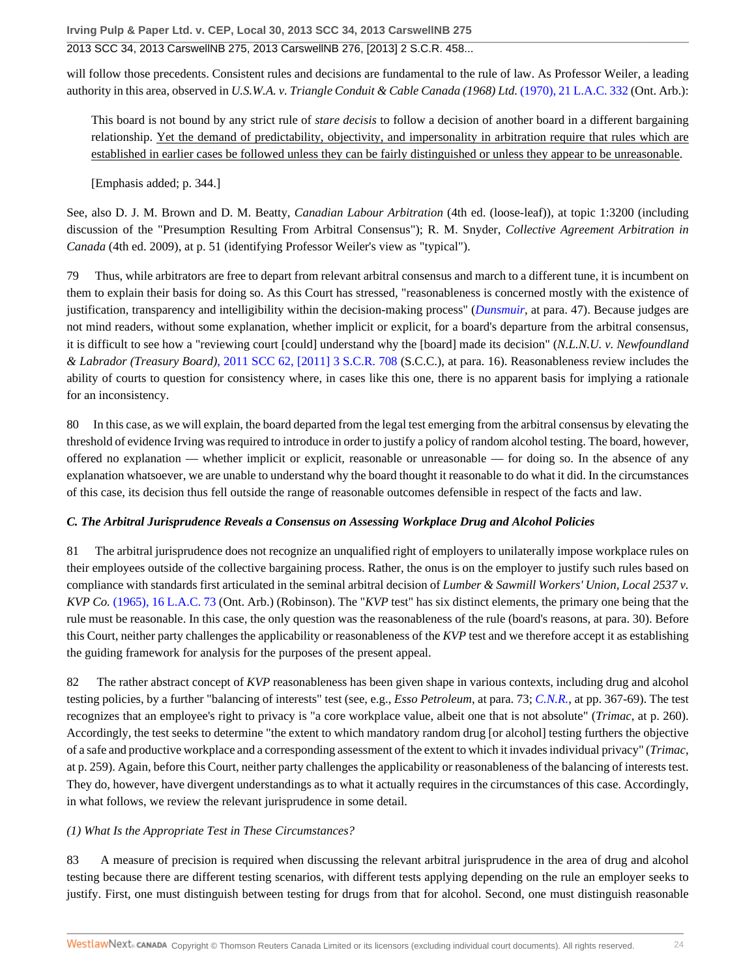**Irving Pulp & Paper Ltd. v. CEP, Local 30, 2013 SCC 34, 2013 CarswellNB 275**

2013 SCC 34, 2013 CarswellNB 275, 2013 CarswellNB 276, [2013] 2 S.C.R. 458...

will follow those precedents. Consistent rules and decisions are fundamental to the rule of law. As Professor Weiler, a leading authority in this area, observed in *U.S.W.A. v. Triangle Conduit & Cable Canada (1968) Ltd.* [\(1970\), 21 L.A.C. 332](http://nextcanada.westlaw.com/Link/Document/FullText?findType=Y&pubNum=6407&serNum=1970086889&originationContext=document&transitionType=Document&vr=3.0&rs=cblt1.0&contextData=(sc.History*oc.Default)) (Ont. Arb.):

This board is not bound by any strict rule of *stare decisis* to follow a decision of another board in a different bargaining relationship. Yet the demand of predictability, objectivity, and impersonality in arbitration require that rules which are established in earlier cases be followed unless they can be fairly distinguished or unless they appear to be unreasonable.

[Emphasis added; p. 344.]

See, also D. J. M. Brown and D. M. Beatty, *Canadian Labour Arbitration* (4th ed. (loose-leaf)), at topic 1:3200 (including discussion of the "Presumption Resulting From Arbitral Consensus"); R. M. Snyder, *Collective Agreement Arbitration in Canada* (4th ed. 2009), at p. 51 (identifying Professor Weiler's view as "typical").

79 Thus, while arbitrators are free to depart from relevant arbitral consensus and march to a different tune, it is incumbent on them to explain their basis for doing so. As this Court has stressed, "reasonableness is concerned mostly with the existence of justification, transparency and intelligibility within the decision-making process" (*[Dunsmuir](http://nextcanada.westlaw.com/Link/Document/FullText?findType=Y&pubNum=6407&serNum=2015426704&originationContext=document&transitionType=Document&vr=3.0&rs=cblt1.0&contextData=(sc.History*oc.Default))*, at para. 47). Because judges are not mind readers, without some explanation, whether implicit or explicit, for a board's departure from the arbitral consensus, it is difficult to see how a "reviewing court [could] understand why the [board] made its decision" (*N.L.N.U. v. Newfoundland & Labrador (Treasury Board)*[, 2011 SCC 62, \[2011\] 3 S.C.R. 708](http://nextcanada.westlaw.com/Link/Document/FullText?findType=Y&pubNum=6407&serNum=2026678952&originationContext=document&transitionType=Document&vr=3.0&rs=cblt1.0&contextData=(sc.History*oc.Default)) (S.C.C.), at para. 16). Reasonableness review includes the ability of courts to question for consistency where, in cases like this one, there is no apparent basis for implying a rationale for an inconsistency.

80 In this case, as we will explain, the board departed from the legal test emerging from the arbitral consensus by elevating the threshold of evidence Irving was required to introduce in order to justify a policy of random alcohol testing. The board, however, offered no explanation — whether implicit or explicit, reasonable or unreasonable — for doing so. In the absence of any explanation whatsoever, we are unable to understand why the board thought it reasonable to do what it did. In the circumstances of this case, its decision thus fell outside the range of reasonable outcomes defensible in respect of the facts and law.

## *C. The Arbitral Jurisprudence Reveals a Consensus on Assessing Workplace Drug and Alcohol Policies*

81 The arbitral jurisprudence does not recognize an unqualified right of employers to unilaterally impose workplace rules on their employees outside of the collective bargaining process. Rather, the onus is on the employer to justify such rules based on compliance with standards first articulated in the seminal arbitral decision of *Lumber & Sawmill Workers' Union, Local 2537 v. KVP Co.* [\(1965\), 16 L.A.C. 73](http://nextcanada.westlaw.com/Link/Document/FullText?findType=Y&pubNum=6407&serNum=1965069024&originationContext=document&transitionType=Document&vr=3.0&rs=cblt1.0&contextData=(sc.History*oc.Default)) (Ont. Arb.) (Robinson). The "*KVP* test" has six distinct elements, the primary one being that the rule must be reasonable. In this case, the only question was the reasonableness of the rule (board's reasons, at para. 30). Before this Court, neither party challenges the applicability or reasonableness of the *KVP* test and we therefore accept it as establishing the guiding framework for analysis for the purposes of the present appeal.

82 The rather abstract concept of *KVP* reasonableness has been given shape in various contexts, including drug and alcohol testing policies, by a further "balancing of interests" test (see, e.g., *Esso Petroleum*, at para. 73; *[C.N.R.](http://nextcanada.westlaw.com/Link/Document/FullText?findType=Y&pubNum=6407&serNum=2000552591&originationContext=document&transitionType=Document&vr=3.0&rs=cblt1.0&contextData=(sc.History*oc.Default))*, at pp. 367-69). The test recognizes that an employee's right to privacy is "a core workplace value, albeit one that is not absolute" (*Trimac*, at p. 260). Accordingly, the test seeks to determine "the extent to which mandatory random drug [or alcohol] testing furthers the objective of a safe and productive workplace and a corresponding assessment of the extent to which it invades individual privacy" (*Trimac*, at p. 259). Again, before this Court, neither party challenges the applicability or reasonableness of the balancing of interests test. They do, however, have divergent understandings as to what it actually requires in the circumstances of this case. Accordingly, in what follows, we review the relevant jurisprudence in some detail.

## *(1) What Is the Appropriate Test in These Circumstances?*

83 A measure of precision is required when discussing the relevant arbitral jurisprudence in the area of drug and alcohol testing because there are different testing scenarios, with different tests applying depending on the rule an employer seeks to justify. First, one must distinguish between testing for drugs from that for alcohol. Second, one must distinguish reasonable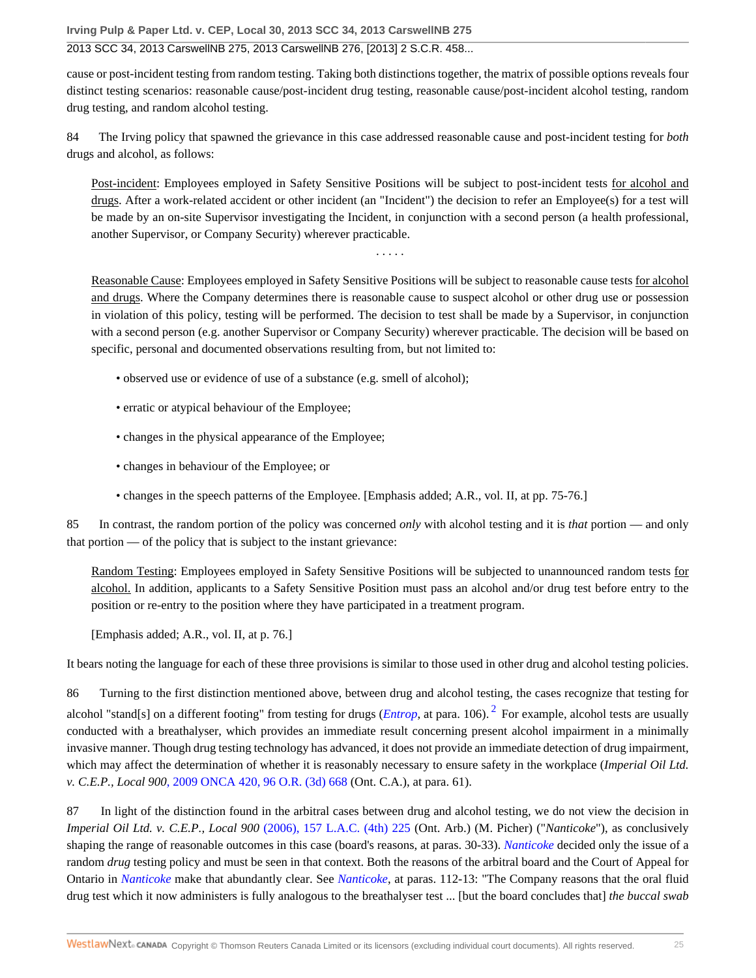**Irving Pulp & Paper Ltd. v. CEP, Local 30, 2013 SCC 34, 2013 CarswellNB 275**

### 2013 SCC 34, 2013 CarswellNB 275, 2013 CarswellNB 276, [2013] 2 S.C.R. 458...

cause or post-incident testing from random testing. Taking both distinctions together, the matrix of possible options reveals four distinct testing scenarios: reasonable cause/post-incident drug testing, reasonable cause/post-incident alcohol testing, random drug testing, and random alcohol testing.

84 The Irving policy that spawned the grievance in this case addressed reasonable cause and post-incident testing for *both* drugs and alcohol, as follows:

Post-incident: Employees employed in Safety Sensitive Positions will be subject to post-incident tests for alcohol and drugs. After a work-related accident or other incident (an "Incident") the decision to refer an Employee(s) for a test will be made by an on-site Supervisor investigating the Incident, in conjunction with a second person (a health professional, another Supervisor, or Company Security) wherever practicable.

. . . . .

Reasonable Cause: Employees employed in Safety Sensitive Positions will be subject to reasonable cause tests for alcohol and drugs. Where the Company determines there is reasonable cause to suspect alcohol or other drug use or possession in violation of this policy, testing will be performed. The decision to test shall be made by a Supervisor, in conjunction with a second person (e.g. another Supervisor or Company Security) wherever practicable. The decision will be based on specific, personal and documented observations resulting from, but not limited to:

- observed use or evidence of use of a substance (e.g. smell of alcohol);
- erratic or atypical behaviour of the Employee;
- changes in the physical appearance of the Employee;
- changes in behaviour of the Employee; or
- changes in the speech patterns of the Employee. [Emphasis added; A.R., vol. II, at pp. 75-76.]

85 In contrast, the random portion of the policy was concerned *only* with alcohol testing and it is *that* portion — and only that portion — of the policy that is subject to the instant grievance:

Random Testing: Employees employed in Safety Sensitive Positions will be subjected to unannounced random tests for alcohol. In addition, applicants to a Safety Sensitive Position must pass an alcohol and/or drug test before entry to the position or re-entry to the position where they have participated in a treatment program.

<span id="page-24-0"></span>[Emphasis added; A.R., vol. II, at p. 76.]

It bears noting the language for each of these three provisions is similar to those used in other drug and alcohol testing policies.

86 Turning to the first distinction mentioned above, between drug and alcohol testing, the cases recognize that testing for alcohol "stand[s] on a different footing" from testing for drugs (*[Entrop](http://nextcanada.westlaw.com/Link/Document/FullText?findType=Y&pubNum=6407&serNum=2000548423&originationContext=document&transitionType=Document&vr=3.0&rs=cblt1.0&contextData=(sc.History*oc.Default))*, at para. 106). <sup>[2](#page-30-1)</sup> For example, alcohol tests are usually conducted with a breathalyser, which provides an immediate result concerning present alcohol impairment in a minimally invasive manner. Though drug testing technology has advanced, it does not provide an immediate detection of drug impairment, which may affect the determination of whether it is reasonably necessary to ensure safety in the workplace (*Imperial Oil Ltd. v. C.E.P., Local 900*[, 2009 ONCA 420, 96 O.R. \(3d\) 668](http://nextcanada.westlaw.com/Link/Document/FullText?findType=Y&pubNum=6407&serNum=2018889068&originationContext=document&transitionType=Document&vr=3.0&rs=cblt1.0&contextData=(sc.History*oc.Default)) (Ont. C.A.), at para. 61).

87 In light of the distinction found in the arbitral cases between drug and alcohol testing, we do not view the decision in *Imperial Oil Ltd. v. C.E.P., Local 900* [\(2006\), 157 L.A.C. \(4th\) 225](http://nextcanada.westlaw.com/Link/Document/FullText?findType=Y&pubNum=6407&serNum=2011407980&originationContext=document&transitionType=Document&vr=3.0&rs=cblt1.0&contextData=(sc.History*oc.Default)) (Ont. Arb.) (M. Picher) ("*Nanticoke*"), as conclusively shaping the range of reasonable outcomes in this case (board's reasons, at paras. 30-33). *[Nanticoke](http://nextcanada.westlaw.com/Link/Document/FullText?findType=Y&pubNum=6407&serNum=2011407980&originationContext=document&transitionType=Document&vr=3.0&rs=cblt1.0&contextData=(sc.History*oc.Default))* decided only the issue of a random *drug* testing policy and must be seen in that context. Both the reasons of the arbitral board and the Court of Appeal for Ontario in *[Nanticoke](http://nextcanada.westlaw.com/Link/Document/FullText?findType=Y&pubNum=6407&serNum=2011407980&originationContext=document&transitionType=Document&vr=3.0&rs=cblt1.0&contextData=(sc.History*oc.Default))* make that abundantly clear. See *[Nanticoke](http://nextcanada.westlaw.com/Link/Document/FullText?findType=Y&pubNum=6407&serNum=2011407980&originationContext=document&transitionType=Document&vr=3.0&rs=cblt1.0&contextData=(sc.History*oc.Default))*, at paras. 112-13: "The Company reasons that the oral fluid drug test which it now administers is fully analogous to the breathalyser test ... [but the board concludes that] *the buccal swab*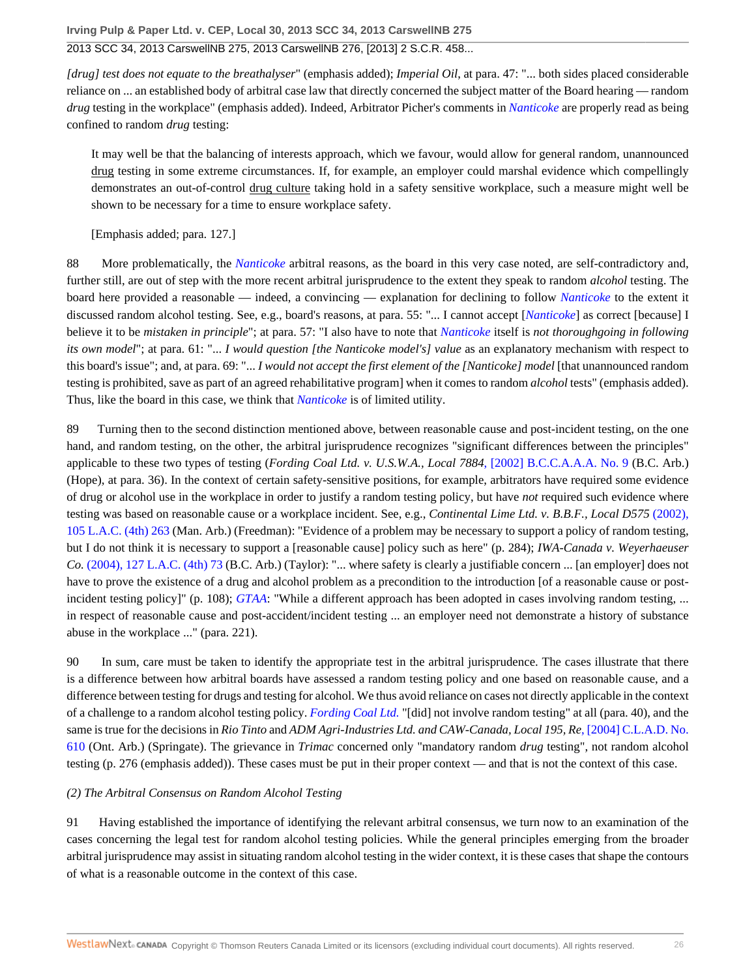*[drug] test does not equate to the breathalyser*" (emphasis added); *Imperial Oil*, at para. 47: "... both sides placed considerable reliance on ... an established body of arbitral case law that directly concerned the subject matter of the Board hearing — random *drug* testing in the workplace" (emphasis added). Indeed, Arbitrator Picher's comments in *[Nanticoke](http://nextcanada.westlaw.com/Link/Document/FullText?findType=Y&pubNum=6407&serNum=2011407980&originationContext=document&transitionType=Document&vr=3.0&rs=cblt1.0&contextData=(sc.History*oc.Default))* are properly read as being confined to random *drug* testing:

It may well be that the balancing of interests approach, which we favour, would allow for general random, unannounced drug testing in some extreme circumstances. If, for example, an employer could marshal evidence which compellingly demonstrates an out-of-control drug culture taking hold in a safety sensitive workplace, such a measure might well be shown to be necessary for a time to ensure workplace safety.

[Emphasis added; para. 127.]

88 More problematically, the *[Nanticoke](http://nextcanada.westlaw.com/Link/Document/FullText?findType=Y&pubNum=6407&serNum=2011407980&originationContext=document&transitionType=Document&vr=3.0&rs=cblt1.0&contextData=(sc.History*oc.Default))* arbitral reasons, as the board in this very case noted, are self-contradictory and, further still, are out of step with the more recent arbitral jurisprudence to the extent they speak to random *alcohol* testing. The board here provided a reasonable — indeed, a convincing — explanation for declining to follow *[Nanticoke](http://nextcanada.westlaw.com/Link/Document/FullText?findType=Y&pubNum=6407&serNum=2011407980&originationContext=document&transitionType=Document&vr=3.0&rs=cblt1.0&contextData=(sc.History*oc.Default))* to the extent it discussed random alcohol testing. See, e.g., board's reasons, at para. 55: "... I cannot accept [*[Nanticoke](http://nextcanada.westlaw.com/Link/Document/FullText?findType=Y&pubNum=6407&serNum=2011407980&originationContext=document&transitionType=Document&vr=3.0&rs=cblt1.0&contextData=(sc.History*oc.Default))*] as correct [because] I believe it to be *mistaken in principle*"; at para. 57: "I also have to note that *[Nanticoke](http://nextcanada.westlaw.com/Link/Document/FullText?findType=Y&pubNum=6407&serNum=2011407980&originationContext=document&transitionType=Document&vr=3.0&rs=cblt1.0&contextData=(sc.History*oc.Default))* itself is *not thoroughgoing in following its own model*"; at para. 61: "... *I would question [the Nanticoke model's] value* as an explanatory mechanism with respect to this board's issue"; and, at para. 69: "... *I would not accept the first element of the [Nanticoke] model* [that unannounced random testing is prohibited, save as part of an agreed rehabilitative program] when it comes to random *alcohol* tests" (emphasis added). Thus, like the board in this case, we think that *[Nanticoke](http://nextcanada.westlaw.com/Link/Document/FullText?findType=Y&pubNum=6407&serNum=2011407980&originationContext=document&transitionType=Document&vr=3.0&rs=cblt1.0&contextData=(sc.History*oc.Default))* is of limited utility.

89 Turning then to the second distinction mentioned above, between reasonable cause and post-incident testing, on the one hand, and random testing, on the other, the arbitral jurisprudence recognizes "significant differences between the principles" applicable to these two types of testing (*Fording Coal Ltd. v. U.S.W.A., Local 7884*[, \[2002\] B.C.C.A.A.A. No. 9](http://nextcanada.westlaw.com/Link/Document/FullText?findType=Y&pubNum=6407&serNum=2002826684&originationContext=document&transitionType=Document&vr=3.0&rs=cblt1.0&contextData=(sc.History*oc.Default)) (B.C. Arb.) (Hope), at para. 36). In the context of certain safety-sensitive positions, for example, arbitrators have required some evidence of drug or alcohol use in the workplace in order to justify a random testing policy, but have *not* required such evidence where testing was based on reasonable cause or a workplace incident. See, e.g., *Continental Lime Ltd. v. B.B.F., Local D575* [\(2002\),](http://nextcanada.westlaw.com/Link/Document/FullText?findType=Y&pubNum=6407&serNum=2002512227&originationContext=document&transitionType=Document&vr=3.0&rs=cblt1.0&contextData=(sc.History*oc.Default)) [105 L.A.C. \(4th\) 263](http://nextcanada.westlaw.com/Link/Document/FullText?findType=Y&pubNum=6407&serNum=2002512227&originationContext=document&transitionType=Document&vr=3.0&rs=cblt1.0&contextData=(sc.History*oc.Default)) (Man. Arb.) (Freedman): "Evidence of a problem may be necessary to support a policy of random testing, but I do not think it is necessary to support a [reasonable cause] policy such as here" (p. 284); *IWA-Canada v. Weyerhaeuser Co.* [\(2004\), 127 L.A.C. \(4th\) 73](http://nextcanada.westlaw.com/Link/Document/FullText?findType=Y&pubNum=6407&serNum=2004909212&originationContext=document&transitionType=Document&vr=3.0&rs=cblt1.0&contextData=(sc.History*oc.Default)) (B.C. Arb.) (Taylor): "... where safety is clearly a justifiable concern ... [an employer] does not have to prove the existence of a drug and alcohol problem as a precondition to the introduction [of a reasonable cause or postincident testing policy]" (p. 108); *[GTAA](http://nextcanada.westlaw.com/Link/Document/FullText?findType=Y&pubNum=6407&serNum=2012726951&originationContext=document&transitionType=Document&vr=3.0&rs=cblt1.0&contextData=(sc.History*oc.Default))*: "While a different approach has been adopted in cases involving random testing, ... in respect of reasonable cause and post-accident/incident testing ... an employer need not demonstrate a history of substance abuse in the workplace ..." (para. 221).

90 In sum, care must be taken to identify the appropriate test in the arbitral jurisprudence. The cases illustrate that there is a difference between how arbitral boards have assessed a random testing policy and one based on reasonable cause, and a difference between testing for drugs and testing for alcohol. We thus avoid reliance on cases not directly applicable in the context of a challenge to a random alcohol testing policy. *[Fording Coal Ltd.](http://nextcanada.westlaw.com/Link/Document/FullText?findType=Y&pubNum=6407&serNum=2002826684&originationContext=document&transitionType=Document&vr=3.0&rs=cblt1.0&contextData=(sc.History*oc.Default))* "[did] not involve random testing" at all (para. 40), and the same is true for the decisions in *Rio Tinto* and *ADM Agri-Industries Ltd. and CAW-Canada, Local 195, Re*[, \[2004\] C.L.A.D. No.](http://nextcanada.westlaw.com/Link/Document/FullText?findType=Y&pubNum=6407&serNum=2028550771&originationContext=document&transitionType=Document&vr=3.0&rs=cblt1.0&contextData=(sc.History*oc.Default)) [610](http://nextcanada.westlaw.com/Link/Document/FullText?findType=Y&pubNum=6407&serNum=2028550771&originationContext=document&transitionType=Document&vr=3.0&rs=cblt1.0&contextData=(sc.History*oc.Default)) (Ont. Arb.) (Springate). The grievance in *Trimac* concerned only "mandatory random *drug* testing", not random alcohol testing (p. 276 (emphasis added)). These cases must be put in their proper context — and that is not the context of this case.

## *(2) The Arbitral Consensus on Random Alcohol Testing*

91 Having established the importance of identifying the relevant arbitral consensus, we turn now to an examination of the cases concerning the legal test for random alcohol testing policies. While the general principles emerging from the broader arbitral jurisprudence may assist in situating random alcohol testing in the wider context, it is these cases that shape the contours of what is a reasonable outcome in the context of this case.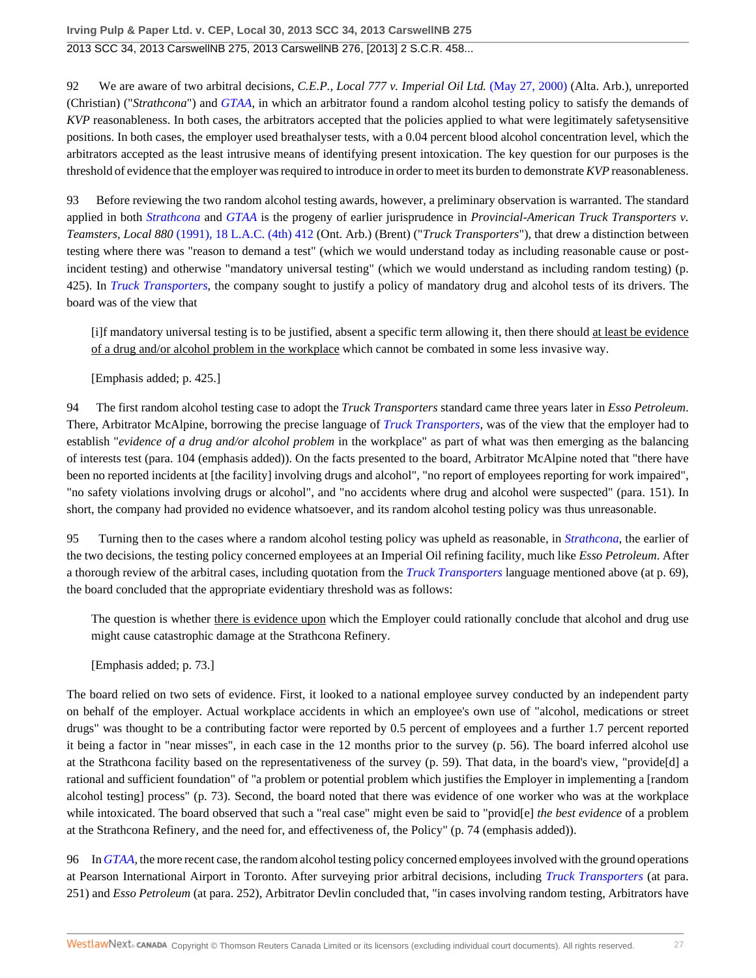92 We are aware of two arbitral decisions, *C.E.P., Local 777 v. Imperial Oil Ltd.* [\(May 27, 2000\)](http://nextcanada.westlaw.com/Link/Document/FullText?findType=Y&pubNum=6407&serNum=2000679525&originationContext=document&transitionType=Document&vr=3.0&rs=cblt1.0&contextData=(sc.History*oc.Default)) (Alta. Arb.), unreported (Christian) ("*Strathcona*") and *[GTAA](http://nextcanada.westlaw.com/Link/Document/FullText?findType=Y&pubNum=6407&serNum=2012726951&originationContext=document&transitionType=Document&vr=3.0&rs=cblt1.0&contextData=(sc.History*oc.Default))*, in which an arbitrator found a random alcohol testing policy to satisfy the demands of *KVP* reasonableness. In both cases, the arbitrators accepted that the policies applied to what were legitimately safetysensitive positions. In both cases, the employer used breathalyser tests, with a 0.04 percent blood alcohol concentration level, which the arbitrators accepted as the least intrusive means of identifying present intoxication. The key question for our purposes is the threshold of evidence that the employer was required to introduce in order to meet its burden to demonstrate *KVP* reasonableness.

93 Before reviewing the two random alcohol testing awards, however, a preliminary observation is warranted. The standard applied in both *[Strathcona](http://nextcanada.westlaw.com/Link/Document/FullText?findType=Y&pubNum=6407&serNum=2000679525&originationContext=document&transitionType=Document&vr=3.0&rs=cblt1.0&contextData=(sc.History*oc.Default))* and *[GTAA](http://nextcanada.westlaw.com/Link/Document/FullText?findType=Y&pubNum=6407&serNum=2012726951&originationContext=document&transitionType=Document&vr=3.0&rs=cblt1.0&contextData=(sc.History*oc.Default))* is the progeny of earlier jurisprudence in *Provincial-American Truck Transporters v. Teamsters, Local 880* [\(1991\), 18 L.A.C. \(4th\) 412](http://nextcanada.westlaw.com/Link/Document/FullText?findType=Y&pubNum=6407&serNum=1991349792&originationContext=document&transitionType=Document&vr=3.0&rs=cblt1.0&contextData=(sc.History*oc.Default)) (Ont. Arb.) (Brent) ("*Truck Transporters*"), that drew a distinction between testing where there was "reason to demand a test" (which we would understand today as including reasonable cause or postincident testing) and otherwise "mandatory universal testing" (which we would understand as including random testing) (p. 425). In *[Truck Transporters](http://nextcanada.westlaw.com/Link/Document/FullText?findType=Y&pubNum=6407&serNum=1991349792&originationContext=document&transitionType=Document&vr=3.0&rs=cblt1.0&contextData=(sc.History*oc.Default))*, the company sought to justify a policy of mandatory drug and alcohol tests of its drivers. The board was of the view that

[i]f mandatory universal testing is to be justified, absent a specific term allowing it, then there should at least be evidence of a drug and/or alcohol problem in the workplace which cannot be combated in some less invasive way.

[Emphasis added; p. 425.]

94 The first random alcohol testing case to adopt the *Truck Transporters* standard came three years later in *Esso Petroleum*. There, Arbitrator McAlpine, borrowing the precise language of *[Truck Transporters](http://nextcanada.westlaw.com/Link/Document/FullText?findType=Y&pubNum=6407&serNum=1991349792&originationContext=document&transitionType=Document&vr=3.0&rs=cblt1.0&contextData=(sc.History*oc.Default))*, was of the view that the employer had to establish "*evidence of a drug and/or alcohol problem* in the workplace" as part of what was then emerging as the balancing of interests test (para. 104 (emphasis added)). On the facts presented to the board, Arbitrator McAlpine noted that "there have been no reported incidents at [the facility] involving drugs and alcohol", "no report of employees reporting for work impaired", "no safety violations involving drugs or alcohol", and "no accidents where drug and alcohol were suspected" (para. 151). In short, the company had provided no evidence whatsoever, and its random alcohol testing policy was thus unreasonable.

95 Turning then to the cases where a random alcohol testing policy was upheld as reasonable, in *[Strathcona](http://nextcanada.westlaw.com/Link/Document/FullText?findType=Y&pubNum=6407&serNum=2000679525&originationContext=document&transitionType=Document&vr=3.0&rs=cblt1.0&contextData=(sc.History*oc.Default))*, the earlier of the two decisions, the testing policy concerned employees at an Imperial Oil refining facility, much like *Esso Petroleum*. After a thorough review of the arbitral cases, including quotation from the *[Truck Transporters](http://nextcanada.westlaw.com/Link/Document/FullText?findType=Y&pubNum=6407&serNum=1991349792&originationContext=document&transitionType=Document&vr=3.0&rs=cblt1.0&contextData=(sc.History*oc.Default))* language mentioned above (at p. 69), the board concluded that the appropriate evidentiary threshold was as follows:

The question is whether there is evidence upon which the Employer could rationally conclude that alcohol and drug use might cause catastrophic damage at the Strathcona Refinery.

[Emphasis added; p. 73.]

The board relied on two sets of evidence. First, it looked to a national employee survey conducted by an independent party on behalf of the employer. Actual workplace accidents in which an employee's own use of "alcohol, medications or street drugs" was thought to be a contributing factor were reported by 0.5 percent of employees and a further 1.7 percent reported it being a factor in "near misses", in each case in the 12 months prior to the survey (p. 56). The board inferred alcohol use at the Strathcona facility based on the representativeness of the survey (p. 59). That data, in the board's view, "provide[d] a rational and sufficient foundation" of "a problem or potential problem which justifies the Employer in implementing a [random alcohol testing] process" (p. 73). Second, the board noted that there was evidence of one worker who was at the workplace while intoxicated. The board observed that such a "real case" might even be said to "provid[e] *the best evidence* of a problem at the Strathcona Refinery, and the need for, and effectiveness of, the Policy" (p. 74 (emphasis added)).

96 In *[GTAA](http://nextcanada.westlaw.com/Link/Document/FullText?findType=Y&pubNum=6407&serNum=2012726951&originationContext=document&transitionType=Document&vr=3.0&rs=cblt1.0&contextData=(sc.History*oc.Default))*, the more recent case, the random alcohol testing policy concerned employees involved with the ground operations at Pearson International Airport in Toronto. After surveying prior arbitral decisions, including *[Truck Transporters](http://nextcanada.westlaw.com/Link/Document/FullText?findType=Y&pubNum=6407&serNum=1991349792&originationContext=document&transitionType=Document&vr=3.0&rs=cblt1.0&contextData=(sc.History*oc.Default))* (at para. 251) and *Esso Petroleum* (at para. 252), Arbitrator Devlin concluded that, "in cases involving random testing, Arbitrators have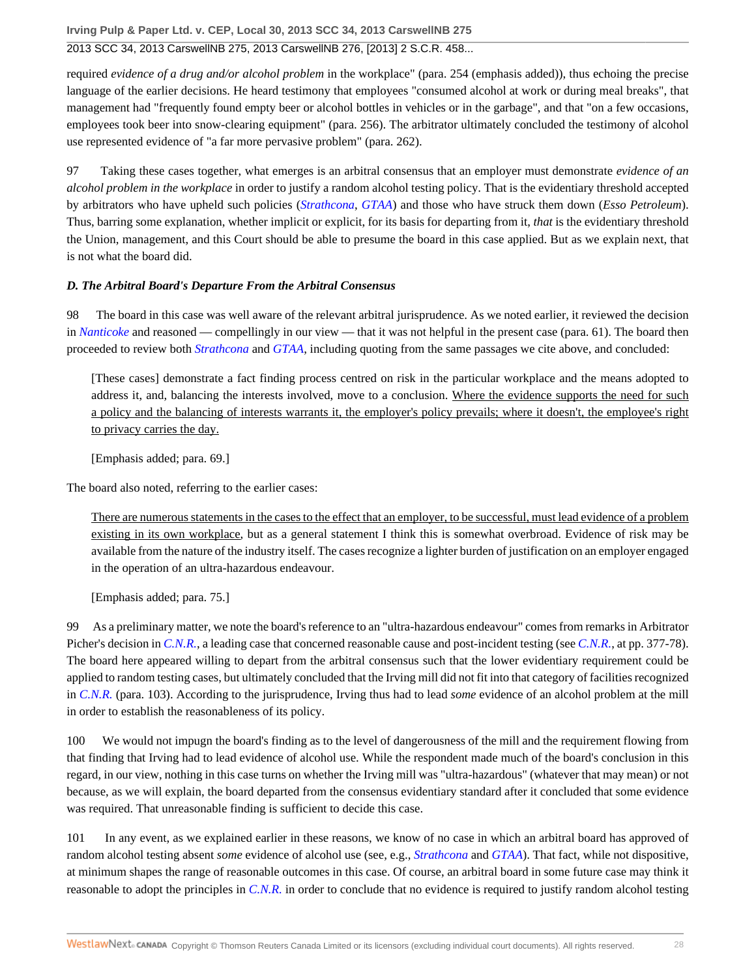required *evidence of a drug and/or alcohol problem* in the workplace" (para. 254 (emphasis added)), thus echoing the precise language of the earlier decisions. He heard testimony that employees "consumed alcohol at work or during meal breaks", that management had "frequently found empty beer or alcohol bottles in vehicles or in the garbage", and that "on a few occasions, employees took beer into snow-clearing equipment" (para. 256). The arbitrator ultimately concluded the testimony of alcohol use represented evidence of "a far more pervasive problem" (para. 262).

97 Taking these cases together, what emerges is an arbitral consensus that an employer must demonstrate *evidence of an alcohol problem in the workplace* in order to justify a random alcohol testing policy. That is the evidentiary threshold accepted by arbitrators who have upheld such policies (*[Strathcona](http://nextcanada.westlaw.com/Link/Document/FullText?findType=Y&pubNum=6407&serNum=2000679525&originationContext=document&transitionType=Document&vr=3.0&rs=cblt1.0&contextData=(sc.History*oc.Default))*, *[GTAA](http://nextcanada.westlaw.com/Link/Document/FullText?findType=Y&pubNum=6407&serNum=2012726951&originationContext=document&transitionType=Document&vr=3.0&rs=cblt1.0&contextData=(sc.History*oc.Default))*) and those who have struck them down (*Esso Petroleum*). Thus, barring some explanation, whether implicit or explicit, for its basis for departing from it, *that* is the evidentiary threshold the Union, management, and this Court should be able to presume the board in this case applied. But as we explain next, that is not what the board did.

#### *D. The Arbitral Board's Departure From the Arbitral Consensus*

98 The board in this case was well aware of the relevant arbitral jurisprudence. As we noted earlier, it reviewed the decision in *[Nanticoke](http://nextcanada.westlaw.com/Link/Document/FullText?findType=Y&pubNum=6407&serNum=2011407980&originationContext=document&transitionType=Document&vr=3.0&rs=cblt1.0&contextData=(sc.History*oc.Default))* and reasoned — compellingly in our view — that it was not helpful in the present case (para. 61). The board then proceeded to review both *[Strathcona](http://nextcanada.westlaw.com/Link/Document/FullText?findType=Y&pubNum=6407&serNum=2000679525&originationContext=document&transitionType=Document&vr=3.0&rs=cblt1.0&contextData=(sc.History*oc.Default))* and *[GTAA](http://nextcanada.westlaw.com/Link/Document/FullText?findType=Y&pubNum=6407&serNum=2012726951&originationContext=document&transitionType=Document&vr=3.0&rs=cblt1.0&contextData=(sc.History*oc.Default))*, including quoting from the same passages we cite above, and concluded:

[These cases] demonstrate a fact finding process centred on risk in the particular workplace and the means adopted to address it, and, balancing the interests involved, move to a conclusion. Where the evidence supports the need for such a policy and the balancing of interests warrants it, the employer's policy prevails; where it doesn't, the employee's right to privacy carries the day.

[Emphasis added; para. 69.]

The board also noted, referring to the earlier cases:

There are numerous statements in the cases to the effect that an employer, to be successful, must lead evidence of a problem existing in its own workplace, but as a general statement I think this is somewhat overbroad. Evidence of risk may be available from the nature of the industry itself. The cases recognize a lighter burden of justification on an employer engaged in the operation of an ultra-hazardous endeavour.

[Emphasis added; para. 75.]

99 As a preliminary matter, we note the board's reference to an "ultra-hazardous endeavour" comes from remarks in Arbitrator Picher's decision in *[C.N.R.](http://nextcanada.westlaw.com/Link/Document/FullText?findType=Y&pubNum=6407&serNum=2000552591&originationContext=document&transitionType=Document&vr=3.0&rs=cblt1.0&contextData=(sc.History*oc.Default))*, a leading case that concerned reasonable cause and post-incident testing (see *C.N.R.*, at pp. 377-78). The board here appeared willing to depart from the arbitral consensus such that the lower evidentiary requirement could be applied to random testing cases, but ultimately concluded that the Irving mill did not fit into that category of facilities recognized in *[C.N.R.](http://nextcanada.westlaw.com/Link/Document/FullText?findType=Y&pubNum=6407&serNum=2000552591&originationContext=document&transitionType=Document&vr=3.0&rs=cblt1.0&contextData=(sc.History*oc.Default))* (para. 103). According to the jurisprudence, Irving thus had to lead *some* evidence of an alcohol problem at the mill in order to establish the reasonableness of its policy.

100 We would not impugn the board's finding as to the level of dangerousness of the mill and the requirement flowing from that finding that Irving had to lead evidence of alcohol use. While the respondent made much of the board's conclusion in this regard, in our view, nothing in this case turns on whether the Irving mill was "ultra-hazardous" (whatever that may mean) or not because, as we will explain, the board departed from the consensus evidentiary standard after it concluded that some evidence was required. That unreasonable finding is sufficient to decide this case.

101 In any event, as we explained earlier in these reasons, we know of no case in which an arbitral board has approved of random alcohol testing absent *some* evidence of alcohol use (see, e.g., *[Strathcona](http://nextcanada.westlaw.com/Link/Document/FullText?findType=Y&pubNum=6407&serNum=2000679525&originationContext=document&transitionType=Document&vr=3.0&rs=cblt1.0&contextData=(sc.History*oc.Default))* and *[GTAA](http://nextcanada.westlaw.com/Link/Document/FullText?findType=Y&pubNum=6407&serNum=2012726951&originationContext=document&transitionType=Document&vr=3.0&rs=cblt1.0&contextData=(sc.History*oc.Default))*). That fact, while not dispositive, at minimum shapes the range of reasonable outcomes in this case. Of course, an arbitral board in some future case may think it reasonable to adopt the principles in *[C.N.R.](http://nextcanada.westlaw.com/Link/Document/FullText?findType=Y&pubNum=6407&serNum=2000552591&originationContext=document&transitionType=Document&vr=3.0&rs=cblt1.0&contextData=(sc.History*oc.Default))* in order to conclude that no evidence is required to justify random alcohol testing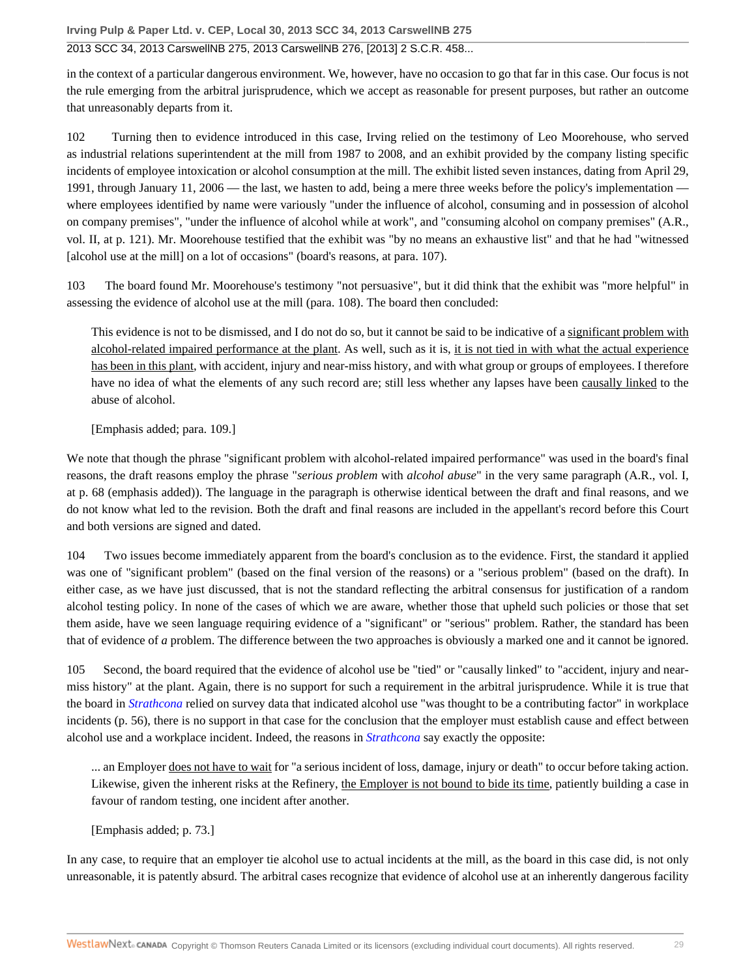in the context of a particular dangerous environment. We, however, have no occasion to go that far in this case. Our focus is not the rule emerging from the arbitral jurisprudence, which we accept as reasonable for present purposes, but rather an outcome that unreasonably departs from it.

102 Turning then to evidence introduced in this case, Irving relied on the testimony of Leo Moorehouse, who served as industrial relations superintendent at the mill from 1987 to 2008, and an exhibit provided by the company listing specific incidents of employee intoxication or alcohol consumption at the mill. The exhibit listed seven instances, dating from April 29, 1991, through January 11, 2006 — the last, we hasten to add, being a mere three weeks before the policy's implementation where employees identified by name were variously "under the influence of alcohol, consuming and in possession of alcohol on company premises", "under the influence of alcohol while at work", and "consuming alcohol on company premises" (A.R., vol. II, at p. 121). Mr. Moorehouse testified that the exhibit was "by no means an exhaustive list" and that he had "witnessed [alcohol use at the mill] on a lot of occasions" (board's reasons, at para. 107).

103 The board found Mr. Moorehouse's testimony "not persuasive", but it did think that the exhibit was "more helpful" in assessing the evidence of alcohol use at the mill (para. 108). The board then concluded:

This evidence is not to be dismissed, and I do not do so, but it cannot be said to be indicative of a significant problem with alcohol-related impaired performance at the plant. As well, such as it is, it is not tied in with what the actual experience has been in this plant, with accident, injury and near-miss history, and with what group or groups of employees. I therefore have no idea of what the elements of any such record are; still less whether any lapses have been causally linked to the abuse of alcohol.

[Emphasis added; para. 109.]

We note that though the phrase "significant problem with alcohol-related impaired performance" was used in the board's final reasons, the draft reasons employ the phrase "*serious problem* with *alcohol abuse*" in the very same paragraph (A.R., vol. I, at p. 68 (emphasis added)). The language in the paragraph is otherwise identical between the draft and final reasons, and we do not know what led to the revision. Both the draft and final reasons are included in the appellant's record before this Court and both versions are signed and dated.

104 Two issues become immediately apparent from the board's conclusion as to the evidence. First, the standard it applied was one of "significant problem" (based on the final version of the reasons) or a "serious problem" (based on the draft). In either case, as we have just discussed, that is not the standard reflecting the arbitral consensus for justification of a random alcohol testing policy. In none of the cases of which we are aware, whether those that upheld such policies or those that set them aside, have we seen language requiring evidence of a "significant" or "serious" problem. Rather, the standard has been that of evidence of *a* problem. The difference between the two approaches is obviously a marked one and it cannot be ignored.

105 Second, the board required that the evidence of alcohol use be "tied" or "causally linked" to "accident, injury and nearmiss history" at the plant. Again, there is no support for such a requirement in the arbitral jurisprudence. While it is true that the board in *[Strathcona](http://nextcanada.westlaw.com/Link/Document/FullText?findType=Y&pubNum=6407&serNum=2000679525&originationContext=document&transitionType=Document&vr=3.0&rs=cblt1.0&contextData=(sc.History*oc.Default))* relied on survey data that indicated alcohol use "was thought to be a contributing factor" in workplace incidents (p. 56), there is no support in that case for the conclusion that the employer must establish cause and effect between alcohol use and a workplace incident. Indeed, the reasons in *[Strathcona](http://nextcanada.westlaw.com/Link/Document/FullText?findType=Y&pubNum=6407&serNum=2000679525&originationContext=document&transitionType=Document&vr=3.0&rs=cblt1.0&contextData=(sc.History*oc.Default))* say exactly the opposite:

... an Employer does not have to wait for "a serious incident of loss, damage, injury or death" to occur before taking action. Likewise, given the inherent risks at the Refinery, the Employer is not bound to bide its time, patiently building a case in favour of random testing, one incident after another.

[Emphasis added; p. 73.]

In any case, to require that an employer tie alcohol use to actual incidents at the mill, as the board in this case did, is not only unreasonable, it is patently absurd. The arbitral cases recognize that evidence of alcohol use at an inherently dangerous facility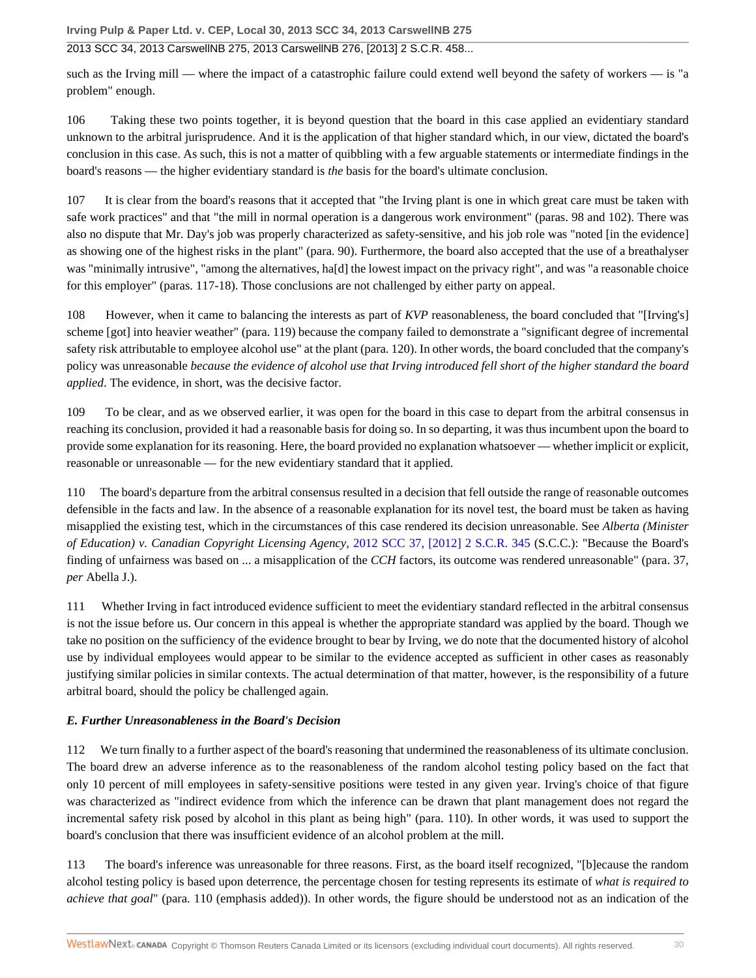such as the Irving mill — where the impact of a catastrophic failure could extend well beyond the safety of workers — is "a problem" enough.

106 Taking these two points together, it is beyond question that the board in this case applied an evidentiary standard unknown to the arbitral jurisprudence. And it is the application of that higher standard which, in our view, dictated the board's conclusion in this case. As such, this is not a matter of quibbling with a few arguable statements or intermediate findings in the board's reasons — the higher evidentiary standard is *the* basis for the board's ultimate conclusion.

107 It is clear from the board's reasons that it accepted that "the Irving plant is one in which great care must be taken with safe work practices" and that "the mill in normal operation is a dangerous work environment" (paras. 98 and 102). There was also no dispute that Mr. Day's job was properly characterized as safety-sensitive, and his job role was "noted [in the evidence] as showing one of the highest risks in the plant" (para. 90). Furthermore, the board also accepted that the use of a breathalyser was "minimally intrusive", "among the alternatives, ha[d] the lowest impact on the privacy right", and was "a reasonable choice for this employer" (paras. 117-18). Those conclusions are not challenged by either party on appeal.

108 However, when it came to balancing the interests as part of *KVP* reasonableness, the board concluded that "[Irving's] scheme [got] into heavier weather" (para. 119) because the company failed to demonstrate a "significant degree of incremental safety risk attributable to employee alcohol use" at the plant (para. 120). In other words, the board concluded that the company's policy was unreasonable *because the evidence of alcohol use that Irving introduced fell short of the higher standard the board applied*. The evidence, in short, was the decisive factor.

109 To be clear, and as we observed earlier, it was open for the board in this case to depart from the arbitral consensus in reaching its conclusion, provided it had a reasonable basis for doing so. In so departing, it was thus incumbent upon the board to provide some explanation for its reasoning. Here, the board provided no explanation whatsoever — whether implicit or explicit, reasonable or unreasonable — for the new evidentiary standard that it applied.

110 The board's departure from the arbitral consensus resulted in a decision that fell outside the range of reasonable outcomes defensible in the facts and law. In the absence of a reasonable explanation for its novel test, the board must be taken as having misapplied the existing test, which in the circumstances of this case rendered its decision unreasonable. See *Alberta (Minister of Education) v. Canadian Copyright Licensing Agency*[, 2012 SCC 37, \[2012\] 2 S.C.R. 345](http://nextcanada.westlaw.com/Link/Document/FullText?findType=Y&pubNum=6407&serNum=2028182920&originationContext=document&transitionType=Document&vr=3.0&rs=cblt1.0&contextData=(sc.History*oc.Default)) (S.C.C.): "Because the Board's finding of unfairness was based on ... a misapplication of the *CCH* factors, its outcome was rendered unreasonable" (para. 37, *per* Abella J.).

111 Whether Irving in fact introduced evidence sufficient to meet the evidentiary standard reflected in the arbitral consensus is not the issue before us. Our concern in this appeal is whether the appropriate standard was applied by the board. Though we take no position on the sufficiency of the evidence brought to bear by Irving, we do note that the documented history of alcohol use by individual employees would appear to be similar to the evidence accepted as sufficient in other cases as reasonably justifying similar policies in similar contexts. The actual determination of that matter, however, is the responsibility of a future arbitral board, should the policy be challenged again.

## *E. Further Unreasonableness in the Board's Decision*

112 We turn finally to a further aspect of the board's reasoning that undermined the reasonableness of its ultimate conclusion. The board drew an adverse inference as to the reasonableness of the random alcohol testing policy based on the fact that only 10 percent of mill employees in safety-sensitive positions were tested in any given year. Irving's choice of that figure was characterized as "indirect evidence from which the inference can be drawn that plant management does not regard the incremental safety risk posed by alcohol in this plant as being high" (para. 110). In other words, it was used to support the board's conclusion that there was insufficient evidence of an alcohol problem at the mill.

113 The board's inference was unreasonable for three reasons. First, as the board itself recognized, "[b]ecause the random alcohol testing policy is based upon deterrence, the percentage chosen for testing represents its estimate of *what is required to achieve that goal*" (para. 110 (emphasis added)). In other words, the figure should be understood not as an indication of the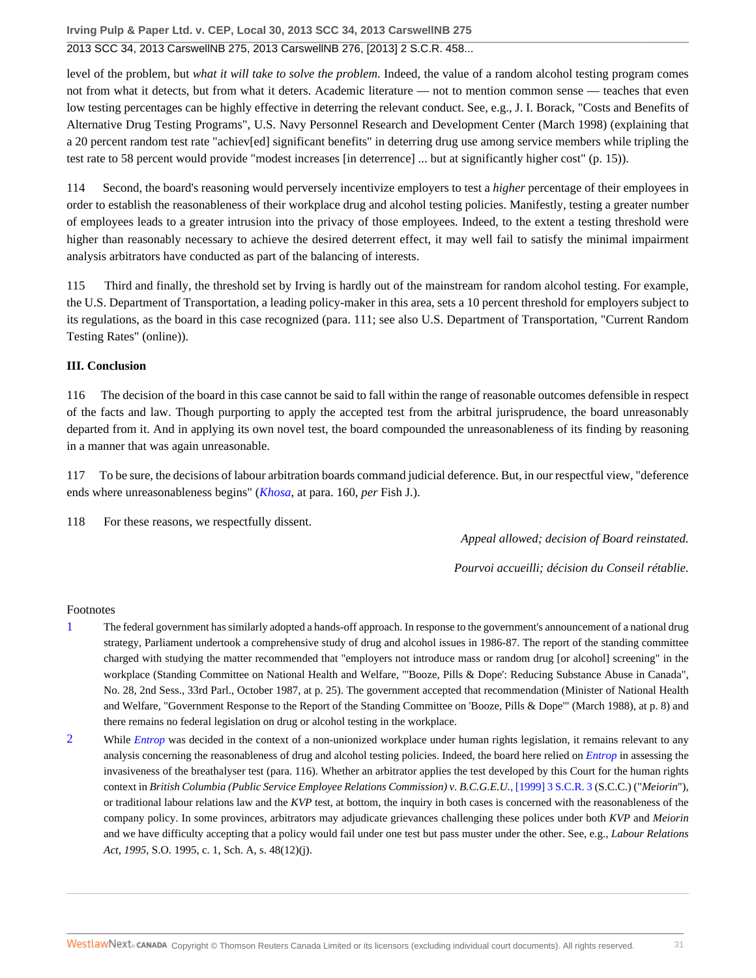level of the problem, but *what it will take to solve the problem*. Indeed, the value of a random alcohol testing program comes not from what it detects, but from what it deters. Academic literature — not to mention common sense — teaches that even low testing percentages can be highly effective in deterring the relevant conduct. See, e.g., J. I. Borack, "Costs and Benefits of Alternative Drug Testing Programs", U.S. Navy Personnel Research and Development Center (March 1998) (explaining that a 20 percent random test rate "achiev[ed] significant benefits" in deterring drug use among service members while tripling the test rate to 58 percent would provide "modest increases [in deterrence] ... but at significantly higher cost" (p. 15)).

114 Second, the board's reasoning would perversely incentivize employers to test a *higher* percentage of their employees in order to establish the reasonableness of their workplace drug and alcohol testing policies. Manifestly, testing a greater number of employees leads to a greater intrusion into the privacy of those employees. Indeed, to the extent a testing threshold were higher than reasonably necessary to achieve the desired deterrent effect, it may well fail to satisfy the minimal impairment analysis arbitrators have conducted as part of the balancing of interests.

115 Third and finally, the threshold set by Irving is hardly out of the mainstream for random alcohol testing. For example, the U.S. Department of Transportation, a leading policy-maker in this area, sets a 10 percent threshold for employers subject to its regulations, as the board in this case recognized (para. 111; see also U.S. Department of Transportation, "Current Random Testing Rates" (online)).

### **III. Conclusion**

116 The decision of the board in this case cannot be said to fall within the range of reasonable outcomes defensible in respect of the facts and law. Though purporting to apply the accepted test from the arbitral jurisprudence, the board unreasonably departed from it. And in applying its own novel test, the board compounded the unreasonableness of its finding by reasoning in a manner that was again unreasonable.

117 To be sure, the decisions of labour arbitration boards command judicial deference. But, in our respectful view, "deference ends where unreasonableness begins" (*[Khosa](http://nextcanada.westlaw.com/Link/Document/FullText?findType=Y&pubNum=6407&serNum=2018284831&originationContext=document&transitionType=Document&vr=3.0&rs=cblt1.0&contextData=(sc.History*oc.Default))*, at para. 160, *per* Fish J.).

118 For these reasons, we respectfully dissent.

*Appeal allowed; decision of Board reinstated.*

*Pourvoi accueilli; décision du Conseil rétablie.*

#### Footnotes

- <span id="page-30-0"></span>[1](#page-21-0) The federal government has similarly adopted a hands-off approach. In response to the government's announcement of a national drug strategy, Parliament undertook a comprehensive study of drug and alcohol issues in 1986-87. The report of the standing committee charged with studying the matter recommended that "employers not introduce mass or random drug [or alcohol] screening" in the workplace (Standing Committee on National Health and Welfare, "'Booze, Pills & Dope': Reducing Substance Abuse in Canada", No. 28, 2nd Sess., 33rd Parl., October 1987, at p. 25). The government accepted that recommendation (Minister of National Health and Welfare, "Government Response to the Report of the Standing Committee on 'Booze, Pills & Dope'" (March 1988), at p. 8) and there remains no federal legislation on drug or alcohol testing in the workplace.
- <span id="page-30-1"></span>[2](#page-24-0) While *[Entrop](http://nextcanada.westlaw.com/Link/Document/FullText?findType=Y&pubNum=6407&serNum=2000548423&originationContext=document&transitionType=Document&vr=3.0&rs=cblt1.0&contextData=(sc.History*oc.Default))* was decided in the context of a non-unionized workplace under human rights legislation, it remains relevant to any analysis concerning the reasonableness of drug and alcohol testing policies. Indeed, the board here relied on *[Entrop](http://nextcanada.westlaw.com/Link/Document/FullText?findType=Y&pubNum=6407&serNum=2000548423&originationContext=document&transitionType=Document&vr=3.0&rs=cblt1.0&contextData=(sc.History*oc.Default))* in assessing the invasiveness of the breathalyser test (para. 116). Whether an arbitrator applies the test developed by this Court for the human rights context in *British Columbia (Public Service Employee Relations Commission) v. B.C.G.E.U.*[, \[1999\] 3 S.C.R. 3](http://nextcanada.westlaw.com/Link/Document/FullText?findType=Y&pubNum=6407&serNum=1999291821&originationContext=document&transitionType=Document&vr=3.0&rs=cblt1.0&contextData=(sc.History*oc.Default)) (S.C.C.) ("*Meiorin*"), or traditional labour relations law and the *KVP* test, at bottom, the inquiry in both cases is concerned with the reasonableness of the company policy. In some provinces, arbitrators may adjudicate grievances challenging these polices under both *KVP* and *Meiorin* and we have difficulty accepting that a policy would fail under one test but pass muster under the other. See, e.g., *Labour Relations Act, 1995*, S.O. 1995, c. 1, Sch. A, s. 48(12)(j).